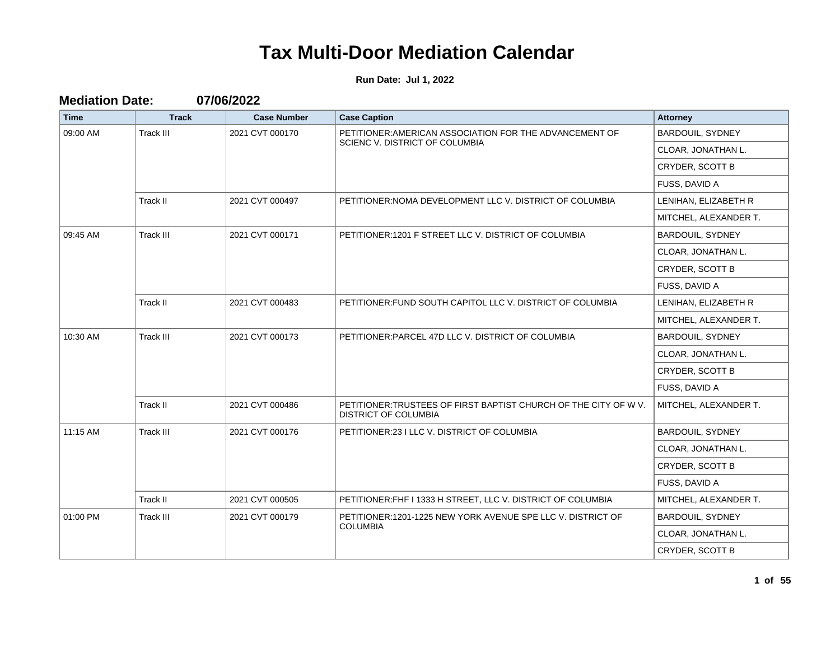| <b>Time</b> | <b>Track</b>     | <b>Case Number</b> | <b>Case Caption</b>                                                                             | <b>Attorney</b>         |
|-------------|------------------|--------------------|-------------------------------------------------------------------------------------------------|-------------------------|
| 09:00 AM    | <b>Track III</b> | 2021 CVT 000170    | PETITIONER: AMERICAN ASSOCIATION FOR THE ADVANCEMENT OF<br>SCIENC V. DISTRICT OF COLUMBIA       | <b>BARDOUIL, SYDNEY</b> |
|             |                  |                    |                                                                                                 | CLOAR, JONATHAN L.      |
|             |                  |                    |                                                                                                 | CRYDER, SCOTT B         |
|             |                  |                    |                                                                                                 | FUSS, DAVID A           |
|             | Track II         | 2021 CVT 000497    | PETITIONER: NOMA DEVELOPMENT LLC V. DISTRICT OF COLUMBIA                                        | LENIHAN, ELIZABETH R    |
|             |                  |                    |                                                                                                 | MITCHEL, ALEXANDER T.   |
| 09:45 AM    | <b>Track III</b> | 2021 CVT 000171    | PETITIONER:1201 F STREET LLC V. DISTRICT OF COLUMBIA                                            | <b>BARDOUIL, SYDNEY</b> |
|             |                  |                    |                                                                                                 | CLOAR, JONATHAN L.      |
|             |                  |                    |                                                                                                 | CRYDER, SCOTT B         |
|             |                  |                    |                                                                                                 | FUSS, DAVID A           |
|             | Track II         | 2021 CVT 000483    | PETITIONER: FUND SOUTH CAPITOL LLC V. DISTRICT OF COLUMBIA                                      | LENIHAN, ELIZABETH R    |
|             |                  |                    |                                                                                                 | MITCHEL, ALEXANDER T.   |
| 10:30 AM    | <b>Track III</b> | 2021 CVT 000173    | PETITIONER: PARCEL 47D LLC V. DISTRICT OF COLUMBIA                                              | <b>BARDOUIL, SYDNEY</b> |
|             |                  |                    |                                                                                                 | CLOAR, JONATHAN L.      |
|             |                  |                    |                                                                                                 | CRYDER, SCOTT B         |
|             |                  |                    |                                                                                                 | FUSS, DAVID A           |
|             | Track II         | 2021 CVT 000486    | PETITIONER: TRUSTEES OF FIRST BAPTIST CHURCH OF THE CITY OF W V.<br><b>DISTRICT OF COLUMBIA</b> | MITCHEL, ALEXANDER T.   |
| 11:15 AM    | <b>Track III</b> | 2021 CVT 000176    | PETITIONER:23 I LLC V. DISTRICT OF COLUMBIA                                                     | BARDOUIL, SYDNEY        |
|             |                  |                    |                                                                                                 | CLOAR, JONATHAN L.      |
|             |                  |                    |                                                                                                 | CRYDER, SCOTT B         |
|             |                  |                    |                                                                                                 | FUSS, DAVID A           |
|             | Track II         | 2021 CVT 000505    | PETITIONER: FHF I 1333 H STREET, LLC V. DISTRICT OF COLUMBIA                                    | MITCHEL, ALEXANDER T.   |
| 01:00 PM    | <b>Track III</b> | 2021 CVT 000179    | PETITIONER:1201-1225 NEW YORK AVENUE SPE LLC V. DISTRICT OF                                     | <b>BARDOUIL, SYDNEY</b> |
|             |                  |                    | <b>COLUMBIA</b>                                                                                 | CLOAR, JONATHAN L.      |
|             |                  |                    |                                                                                                 | CRYDER, SCOTT B         |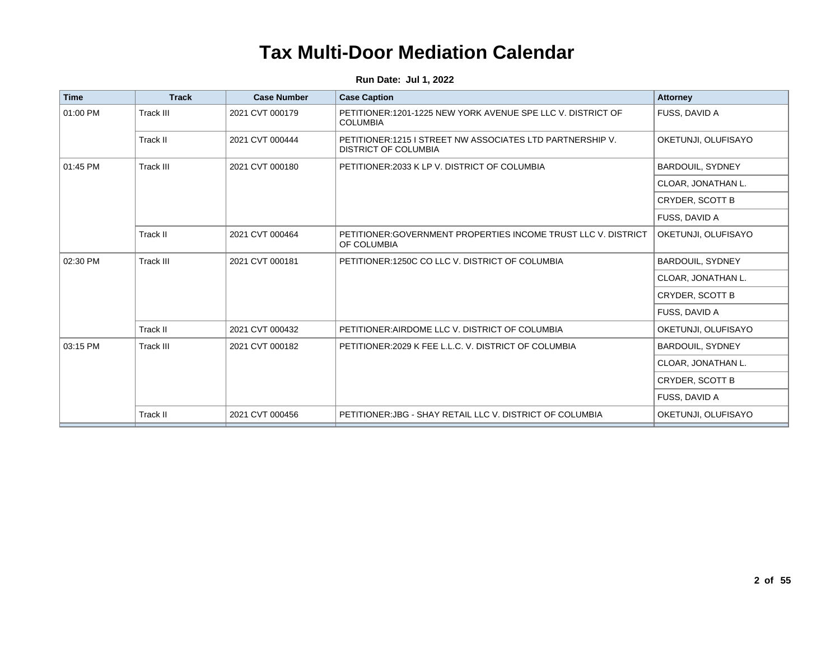| <b>Time</b> | <b>Track</b>     | <b>Case Number</b> | <b>Case Caption</b>                                                                      | <b>Attorney</b>         |
|-------------|------------------|--------------------|------------------------------------------------------------------------------------------|-------------------------|
| 01:00 PM    | Track III        | 2021 CVT 000179    | PETITIONER:1201-1225 NEW YORK AVENUE SPE LLC V. DISTRICT OF<br><b>COLUMBIA</b>           | FUSS, DAVID A           |
|             | Track II         | 2021 CVT 000444    | PETITIONER:1215 I STREET NW ASSOCIATES LTD PARTNERSHIP V.<br><b>DISTRICT OF COLUMBIA</b> | OKETUNJI, OLUFISAYO     |
| 01:45 PM    | Track III        | 2021 CVT 000180    | PETITIONER: 2033 K LP V, DISTRICT OF COLUMBIA                                            | <b>BARDOUIL, SYDNEY</b> |
|             |                  |                    |                                                                                          | CLOAR, JONATHAN L.      |
|             |                  |                    |                                                                                          | <b>CRYDER, SCOTT B</b>  |
|             |                  |                    |                                                                                          | FUSS, DAVID A           |
|             | Track II         | 2021 CVT 000464    | PETITIONER: GOVERNMENT PROPERTIES INCOME TRUST LLC V. DISTRICT<br>OF COLUMBIA            | OKETUNJI, OLUFISAYO     |
| 02:30 PM    | <b>Track III</b> | 2021 CVT 000181    | PETITIONER: 1250C CO LLC V. DISTRICT OF COLUMBIA                                         | <b>BARDOUIL, SYDNEY</b> |
|             |                  |                    |                                                                                          | CLOAR. JONATHAN L.      |
|             |                  |                    |                                                                                          | CRYDER, SCOTT B         |
|             |                  |                    |                                                                                          | FUSS, DAVID A           |
|             | Track II         | 2021 CVT 000432    | PETITIONER: AIRDOME LLC V. DISTRICT OF COLUMBIA                                          | OKETUNJI, OLUFISAYO     |
| 03:15 PM    | <b>Track III</b> | 2021 CVT 000182    | PETITIONER: 2029 K FEE L.L.C. V. DISTRICT OF COLUMBIA                                    | <b>BARDOUIL, SYDNEY</b> |
|             |                  |                    |                                                                                          | CLOAR. JONATHAN L.      |
|             |                  |                    |                                                                                          | <b>CRYDER, SCOTT B</b>  |
|             |                  |                    |                                                                                          | FUSS, DAVID A           |
|             | Track II         | 2021 CVT 000456    | PETITIONER: JBG - SHAY RETAIL LLC V. DISTRICT OF COLUMBIA                                | OKETUNJI, OLUFISAYO     |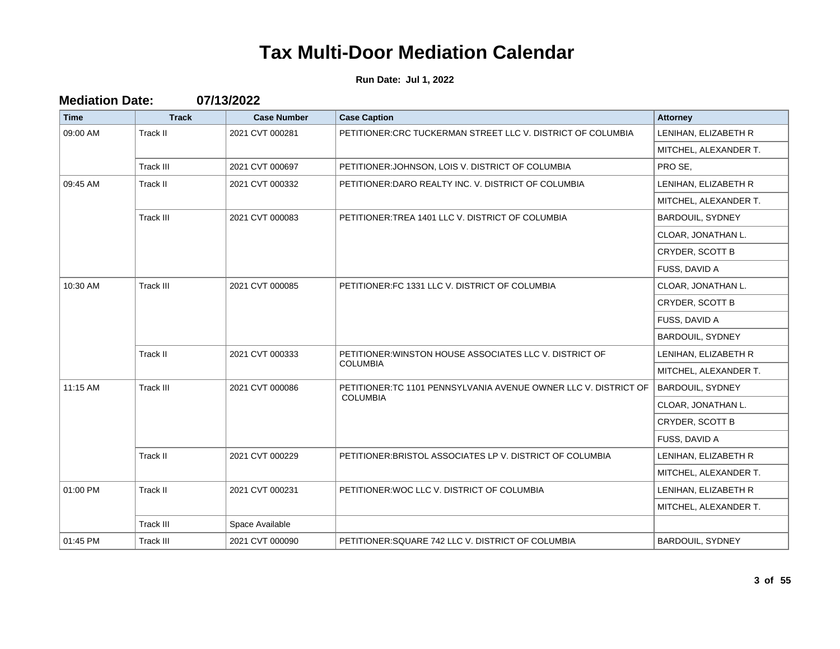| <b>Time</b> | <b>Track</b>     | <b>Case Number</b> | <b>Case Caption</b>                                                                | <b>Attorney</b>         |
|-------------|------------------|--------------------|------------------------------------------------------------------------------------|-------------------------|
| 09:00 AM    | Track II         | 2021 CVT 000281    | PETITIONER: CRC TUCKERMAN STREET LLC V. DISTRICT OF COLUMBIA                       | LENIHAN, ELIZABETH R    |
|             |                  |                    |                                                                                    | MITCHEL, ALEXANDER T.   |
|             | <b>Track III</b> | 2021 CVT 000697    | PETITIONER: JOHNSON, LOIS V. DISTRICT OF COLUMBIA                                  | PRO SE.                 |
| 09:45 AM    | Track II         | 2021 CVT 000332    | PETITIONER: DARO REALTY INC. V. DISTRICT OF COLUMBIA                               | LENIHAN, ELIZABETH R    |
|             |                  |                    |                                                                                    | MITCHEL, ALEXANDER T.   |
|             | <b>Track III</b> | 2021 CVT 000083    | PETITIONER: TREA 1401 LLC V. DISTRICT OF COLUMBIA                                  | <b>BARDOUIL, SYDNEY</b> |
|             |                  |                    |                                                                                    | CLOAR, JONATHAN L.      |
|             |                  |                    |                                                                                    | CRYDER, SCOTT B         |
|             |                  |                    |                                                                                    | FUSS, DAVID A           |
| 10:30 AM    | <b>Track III</b> | 2021 CVT 000085    | PETITIONER: FC 1331 LLC V. DISTRICT OF COLUMBIA                                    | CLOAR, JONATHAN L.      |
|             |                  |                    |                                                                                    | CRYDER, SCOTT B         |
|             |                  |                    |                                                                                    | FUSS, DAVID A           |
|             |                  |                    |                                                                                    | <b>BARDOUIL, SYDNEY</b> |
|             | Track II         | 2021 CVT 000333    | PETITIONER: WINSTON HOUSE ASSOCIATES LLC V. DISTRICT OF                            | LENIHAN, ELIZABETH R    |
|             |                  |                    | <b>COLUMBIA</b>                                                                    | MITCHEL, ALEXANDER T.   |
| 11:15 AM    | <b>Track III</b> | 2021 CVT 000086    | PETITIONER:TC 1101 PENNSYLVANIA AVENUE OWNER LLC V. DISTRICT OF<br><b>COLUMBIA</b> | <b>BARDOUIL, SYDNEY</b> |
|             |                  |                    |                                                                                    | CLOAR, JONATHAN L.      |
|             |                  |                    |                                                                                    | CRYDER, SCOTT B         |
|             |                  |                    |                                                                                    | FUSS, DAVID A           |
|             | Track II         | 2021 CVT 000229    | PETITIONER: BRISTOL ASSOCIATES LP V. DISTRICT OF COLUMBIA                          | LENIHAN, ELIZABETH R    |
|             |                  |                    |                                                                                    | MITCHEL, ALEXANDER T.   |
| 01:00 PM    | Track II         | 2021 CVT 000231    | PETITIONER: WOC LLC V. DISTRICT OF COLUMBIA                                        | LENIHAN, ELIZABETH R    |
|             |                  |                    |                                                                                    | MITCHEL, ALEXANDER T.   |
|             | Track III        | Space Available    |                                                                                    |                         |
| 01:45 PM    | <b>Track III</b> | 2021 CVT 000090    | PETITIONER: SQUARE 742 LLC V. DISTRICT OF COLUMBIA                                 | <b>BARDOUIL, SYDNEY</b> |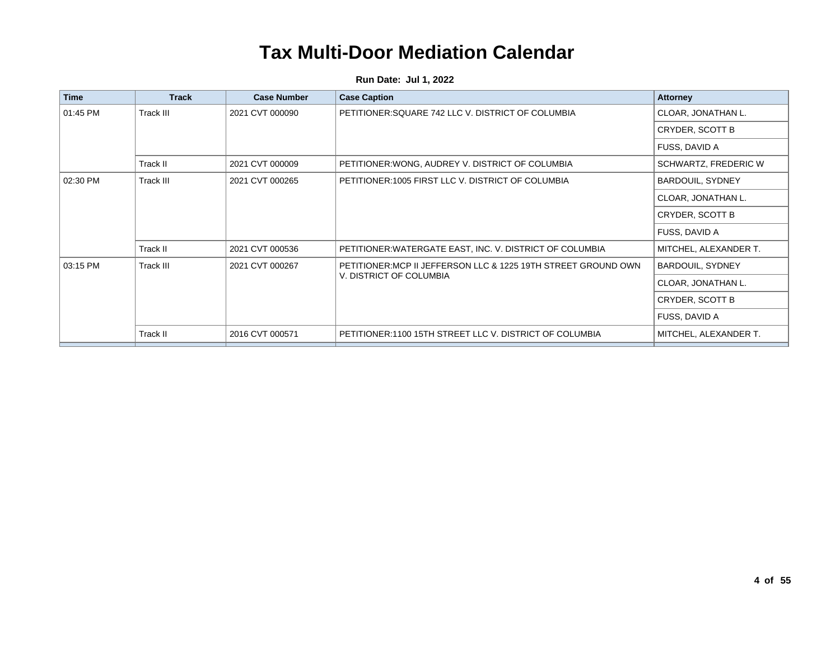| <b>Time</b> | <b>Track</b> | <b>Case Number</b> | <b>Case Caption</b>                                                                       | <b>Attorney</b>         |
|-------------|--------------|--------------------|-------------------------------------------------------------------------------------------|-------------------------|
| 01:45 PM    | Track III    | 2021 CVT 000090    | PETITIONER: SQUARE 742 LLC V. DISTRICT OF COLUMBIA                                        | CLOAR, JONATHAN L.      |
|             |              |                    |                                                                                           | CRYDER, SCOTT B         |
|             |              |                    |                                                                                           | FUSS, DAVID A           |
|             | Track II     | 2021 CVT 000009    | PETITIONER: WONG, AUDREY V. DISTRICT OF COLUMBIA                                          | SCHWARTZ, FREDERIC W    |
| 02:30 PM    | Track III    | 2021 CVT 000265    | PETITIONER: 1005 FIRST LLC V. DISTRICT OF COLUMBIA                                        | <b>BARDOUIL, SYDNEY</b> |
|             |              |                    |                                                                                           | CLOAR, JONATHAN L.      |
|             |              |                    |                                                                                           | CRYDER, SCOTT B         |
|             |              |                    |                                                                                           | FUSS, DAVID A           |
|             | Track II     | 2021 CVT 000536    | PETITIONER: WATERGATE EAST, INC. V. DISTRICT OF COLUMBIA                                  | MITCHEL, ALEXANDER T.   |
| 03:15 PM    | Track III    | 2021 CVT 000267    | PETITIONER: MCP II JEFFERSON LLC & 1225 19TH STREET GROUND OWN<br>V. DISTRICT OF COLUMBIA | <b>BARDOUIL, SYDNEY</b> |
|             |              |                    |                                                                                           | CLOAR, JONATHAN L.      |
|             |              |                    |                                                                                           | CRYDER, SCOTT B         |
|             |              |                    |                                                                                           | FUSS, DAVID A           |
|             | Track II     | 2016 CVT 000571    | PETITIONER:1100 15TH STREET LLC V. DISTRICT OF COLUMBIA                                   | MITCHEL, ALEXANDER T.   |
|             |              |                    |                                                                                           |                         |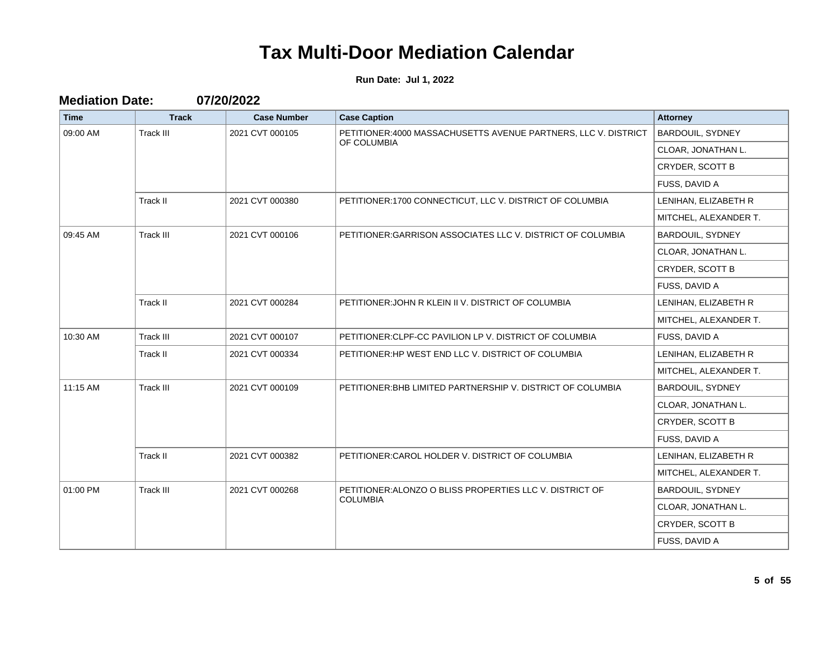| <b>Time</b> | <b>Track</b>     | <b>Case Number</b> | <b>Case Caption</b>                                                            | <b>Attorney</b>         |
|-------------|------------------|--------------------|--------------------------------------------------------------------------------|-------------------------|
| 09:00 AM    | Track III        | 2021 CVT 000105    | PETITIONER: 4000 MASSACHUSETTS AVENUE PARTNERS, LLC V. DISTRICT<br>OF COLUMBIA | <b>BARDOUIL, SYDNEY</b> |
|             |                  |                    |                                                                                | CLOAR, JONATHAN L.      |
|             |                  |                    |                                                                                | CRYDER, SCOTT B         |
|             |                  |                    |                                                                                | FUSS, DAVID A           |
|             | Track II         | 2021 CVT 000380    | PETITIONER:1700 CONNECTICUT, LLC V. DISTRICT OF COLUMBIA                       | LENIHAN, ELIZABETH R    |
|             |                  |                    |                                                                                | MITCHEL, ALEXANDER T.   |
| 09:45 AM    | <b>Track III</b> | 2021 CVT 000106    | PETITIONER: GARRISON ASSOCIATES LLC V. DISTRICT OF COLUMBIA                    | <b>BARDOUIL, SYDNEY</b> |
|             |                  |                    |                                                                                | CLOAR, JONATHAN L.      |
|             |                  |                    |                                                                                | CRYDER, SCOTT B         |
|             |                  |                    |                                                                                | FUSS, DAVID A           |
|             | Track II         | 2021 CVT 000284    | PETITIONER: JOHN R KLEIN II V. DISTRICT OF COLUMBIA                            | LENIHAN, ELIZABETH R    |
|             |                  |                    |                                                                                | MITCHEL, ALEXANDER T.   |
| 10:30 AM    | Track III        | 2021 CVT 000107    | PETITIONER: CLPF-CC PAVILION LP V. DISTRICT OF COLUMBIA                        | FUSS, DAVID A           |
|             | Track II         | 2021 CVT 000334    | PETITIONER: HP WEST END LLC V. DISTRICT OF COLUMBIA                            | LENIHAN, ELIZABETH R    |
|             |                  |                    |                                                                                | MITCHEL, ALEXANDER T.   |
| 11:15 AM    | <b>Track III</b> | 2021 CVT 000109    | PETITIONER: BHB LIMITED PARTNERSHIP V. DISTRICT OF COLUMBIA                    | BARDOUIL, SYDNEY        |
|             |                  |                    |                                                                                | CLOAR, JONATHAN L.      |
|             |                  |                    |                                                                                | CRYDER, SCOTT B         |
|             |                  |                    |                                                                                | FUSS, DAVID A           |
|             | Track II         | 2021 CVT 000382    | PETITIONER: CAROL HOLDER V. DISTRICT OF COLUMBIA                               | LENIHAN, ELIZABETH R    |
|             |                  |                    |                                                                                | MITCHEL, ALEXANDER T.   |
| 01:00 PM    | <b>Track III</b> | 2021 CVT 000268    | PETITIONER: ALONZO O BLISS PROPERTIES LLC V. DISTRICT OF                       | <b>BARDOUIL, SYDNEY</b> |
|             |                  |                    | <b>COLUMBIA</b>                                                                | CLOAR, JONATHAN L.      |
|             |                  |                    |                                                                                | CRYDER, SCOTT B         |
|             |                  |                    |                                                                                | FUSS, DAVID A           |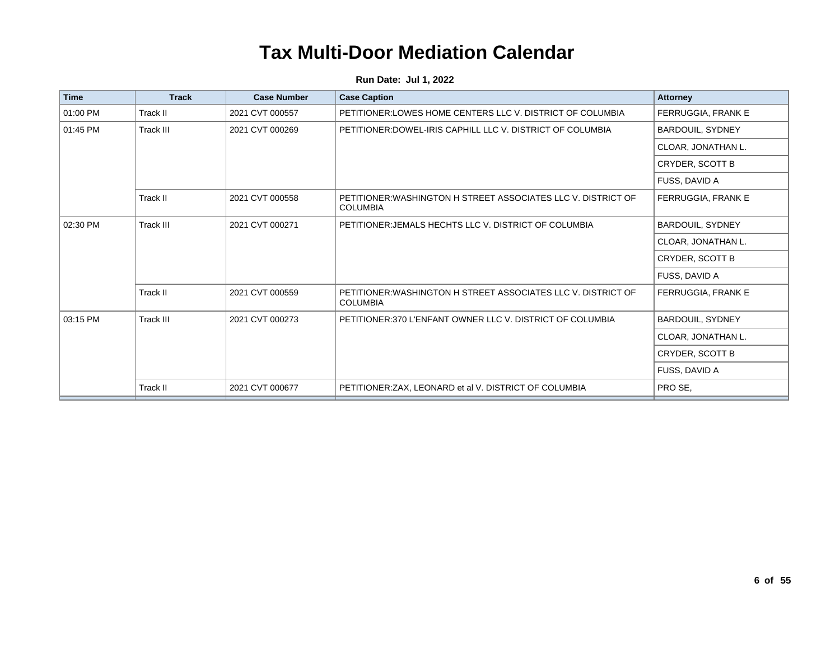| <b>Time</b> | <b>Track</b>     | <b>Case Number</b> | <b>Case Caption</b>                                                              | <b>Attorney</b>           |
|-------------|------------------|--------------------|----------------------------------------------------------------------------------|---------------------------|
| 01:00 PM    | Track II         | 2021 CVT 000557    | PETITIONER: LOWES HOME CENTERS LLC V. DISTRICT OF COLUMBIA                       | FERRUGGIA, FRANK E        |
| 01:45 PM    | <b>Track III</b> | 2021 CVT 000269    | PETITIONER: DOWEL-IRIS CAPHILL LLC V. DISTRICT OF COLUMBIA                       | BARDOUIL, SYDNEY          |
|             |                  |                    |                                                                                  | CLOAR, JONATHAN L.        |
|             |                  |                    |                                                                                  | CRYDER, SCOTT B           |
|             |                  |                    |                                                                                  | FUSS, DAVID A             |
|             | Track II         | 2021 CVT 000558    | PETITIONER: WASHINGTON H STREET ASSOCIATES LLC V. DISTRICT OF<br><b>COLUMBIA</b> | FERRUGGIA, FRANK E        |
| 02:30 PM    | <b>Track III</b> | 2021 CVT 000271    | PETITIONER: JEMALS HECHTS LLC V. DISTRICT OF COLUMBIA                            | BARDOUIL, SYDNEY          |
|             |                  |                    |                                                                                  | CLOAR, JONATHAN L.        |
|             |                  |                    |                                                                                  | CRYDER, SCOTT B           |
|             |                  |                    |                                                                                  | FUSS, DAVID A             |
|             | Track II         | 2021 CVT 000559    | PETITIONER: WASHINGTON H STREET ASSOCIATES LLC V. DISTRICT OF<br><b>COLUMBIA</b> | <b>FERRUGGIA, FRANK E</b> |
| 03:15 PM    | Track III        | 2021 CVT 000273    | PETITIONER:370 L'ENFANT OWNER LLC V. DISTRICT OF COLUMBIA                        | <b>BARDOUIL, SYDNEY</b>   |
|             |                  |                    |                                                                                  | CLOAR, JONATHAN L.        |
|             |                  |                    |                                                                                  | CRYDER, SCOTT B           |
|             |                  |                    |                                                                                  | FUSS, DAVID A             |
|             | <b>Track II</b>  | 2021 CVT 000677    | PETITIONER: ZAX, LEONARD et al V. DISTRICT OF COLUMBIA                           | PRO SE.                   |
|             |                  |                    |                                                                                  |                           |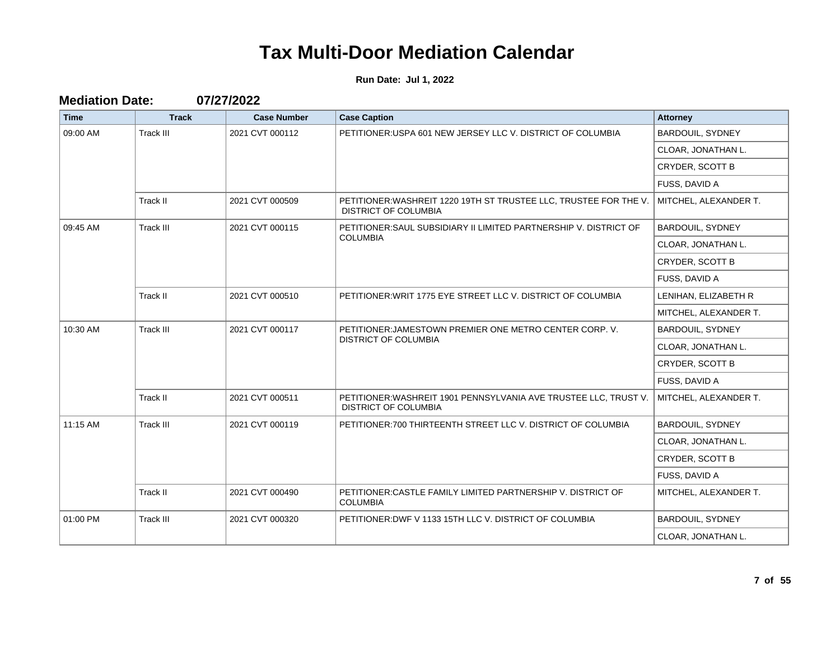| <b>Time</b> | <b>Track</b>     | <b>Case Number</b> | <b>Case Caption</b>                                                                              | <b>Attorney</b>         |
|-------------|------------------|--------------------|--------------------------------------------------------------------------------------------------|-------------------------|
| 09:00 AM    | <b>Track III</b> | 2021 CVT 000112    | PETITIONER: USPA 601 NEW JERSEY LLC V. DISTRICT OF COLUMBIA                                      | <b>BARDOUIL, SYDNEY</b> |
|             |                  |                    |                                                                                                  | CLOAR, JONATHAN L.      |
|             |                  |                    |                                                                                                  | CRYDER, SCOTT B         |
|             |                  |                    |                                                                                                  | FUSS, DAVID A           |
|             | Track II         | 2021 CVT 000509    | PETITIONER: WASHREIT 1220 19TH ST TRUSTEE LLC, TRUSTEE FOR THE V.<br><b>DISTRICT OF COLUMBIA</b> | MITCHEL, ALEXANDER T.   |
| 09:45 AM    | <b>Track III</b> | 2021 CVT 000115    | PETITIONER: SAUL SUBSIDIARY II LIMITED PARTNERSHIP V. DISTRICT OF                                | BARDOUIL, SYDNEY        |
|             |                  |                    | <b>COLUMBIA</b>                                                                                  | CLOAR, JONATHAN L.      |
|             |                  |                    |                                                                                                  | CRYDER, SCOTT B         |
|             |                  |                    |                                                                                                  | FUSS, DAVID A           |
|             | Track II         | 2021 CVT 000510    | PETITIONER: WRIT 1775 EYE STREET LLC V. DISTRICT OF COLUMBIA                                     | LENIHAN, ELIZABETH R    |
|             |                  |                    |                                                                                                  | MITCHEL, ALEXANDER T.   |
| 10:30 AM    | <b>Track III</b> | 2021 CVT 000117    | PETITIONER: JAMESTOWN PREMIER ONE METRO CENTER CORP. V.<br><b>DISTRICT OF COLUMBIA</b>           | <b>BARDOUIL, SYDNEY</b> |
|             |                  |                    |                                                                                                  | CLOAR, JONATHAN L.      |
|             |                  |                    |                                                                                                  | CRYDER, SCOTT B         |
|             |                  |                    |                                                                                                  | FUSS, DAVID A           |
|             | Track II         | 2021 CVT 000511    | PETITIONER: WASHREIT 1901 PENNSYLVANIA AVE TRUSTEE LLC, TRUST V.<br><b>DISTRICT OF COLUMBIA</b>  | MITCHEL, ALEXANDER T.   |
| 11:15 AM    | <b>Track III</b> | 2021 CVT 000119    | PETITIONER:700 THIRTEENTH STREET LLC V. DISTRICT OF COLUMBIA                                     | <b>BARDOUIL, SYDNEY</b> |
|             |                  |                    |                                                                                                  | CLOAR, JONATHAN L.      |
|             |                  |                    |                                                                                                  | CRYDER, SCOTT B         |
|             |                  |                    |                                                                                                  | FUSS, DAVID A           |
|             | <b>Track II</b>  | 2021 CVT 000490    | PETITIONER: CASTLE FAMILY LIMITED PARTNERSHIP V. DISTRICT OF<br><b>COLUMBIA</b>                  | MITCHEL, ALEXANDER T.   |
| 01:00 PM    | <b>Track III</b> | 2021 CVT 000320    | PETITIONER: DWF V 1133 15TH LLC V. DISTRICT OF COLUMBIA                                          | BARDOUIL, SYDNEY        |
|             |                  |                    |                                                                                                  | CLOAR, JONATHAN L.      |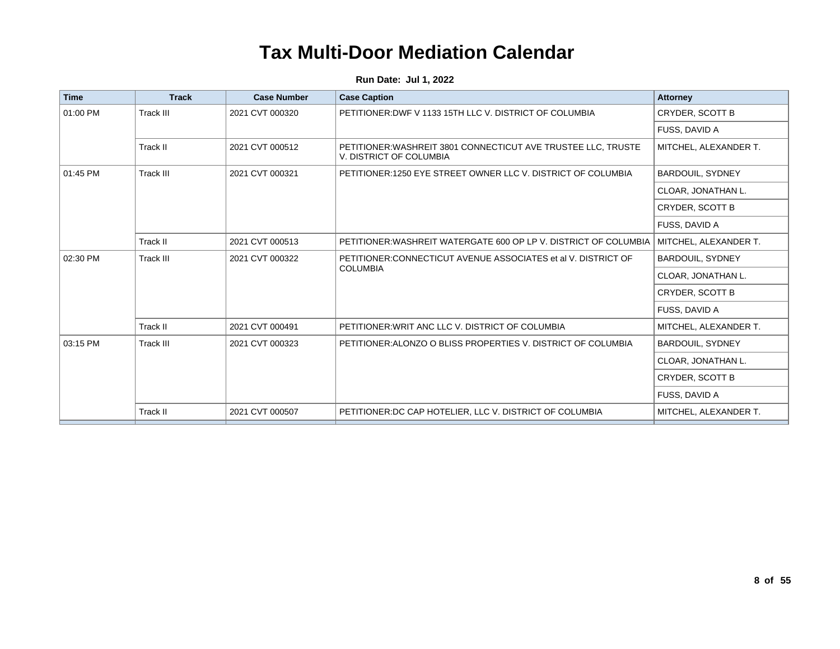| <b>Time</b> | <b>Track</b>     | <b>Case Number</b> | <b>Case Caption</b>                                                                      | <b>Attorney</b>         |
|-------------|------------------|--------------------|------------------------------------------------------------------------------------------|-------------------------|
| 01:00 PM    | Track III        | 2021 CVT 000320    | PETITIONER: DWF V 1133 15TH LLC V. DISTRICT OF COLUMBIA                                  | <b>CRYDER, SCOTT B</b>  |
|             |                  |                    |                                                                                          | <b>FUSS, DAVID A</b>    |
|             | <b>Track II</b>  | 2021 CVT 000512    | PETITIONER: WASHREIT 3801 CONNECTICUT AVE TRUSTEE LLC, TRUSTE<br>V. DISTRICT OF COLUMBIA | MITCHEL, ALEXANDER T.   |
| 01:45 PM    | <b>Track III</b> | 2021 CVT 000321    | PETITIONER:1250 EYE STREET OWNER LLC V. DISTRICT OF COLUMBIA                             | <b>BARDOUIL, SYDNEY</b> |
|             |                  |                    |                                                                                          | CLOAR, JONATHAN L.      |
|             |                  |                    |                                                                                          | <b>CRYDER, SCOTT B</b>  |
|             |                  |                    |                                                                                          | FUSS, DAVID A           |
|             | Track II         | 2021 CVT 000513    | PETITIONER: WASHREIT WATERGATE 600 OP LP V. DISTRICT OF COLUMBIA                         | MITCHEL, ALEXANDER T.   |
| 02:30 PM    | <b>Track III</b> | 2021 CVT 000322    | PETITIONER: CONNECTICUT AVENUE ASSOCIATES et al V. DISTRICT OF<br><b>COLUMBIA</b>        | <b>BARDOUIL, SYDNEY</b> |
|             |                  |                    |                                                                                          | CLOAR, JONATHAN L.      |
|             |                  |                    |                                                                                          | <b>CRYDER, SCOTT B</b>  |
|             |                  |                    |                                                                                          | FUSS, DAVID A           |
|             | Track II         | 2021 CVT 000491    | PETITIONER: WRIT ANC LLC V. DISTRICT OF COLUMBIA                                         | MITCHEL, ALEXANDER T.   |
| 03:15 PM    | <b>Track III</b> | 2021 CVT 000323    | PETITIONER: ALONZO O BLISS PROPERTIES V. DISTRICT OF COLUMBIA                            | <b>BARDOUIL, SYDNEY</b> |
|             |                  |                    |                                                                                          | CLOAR, JONATHAN L.      |
|             |                  |                    |                                                                                          | <b>CRYDER, SCOTT B</b>  |
|             |                  |                    |                                                                                          | FUSS, DAVID A           |
|             | Track II         | 2021 CVT 000507    | PETITIONER: DC CAP HOTELIER, LLC V. DISTRICT OF COLUMBIA                                 | MITCHEL, ALEXANDER T.   |
|             |                  |                    |                                                                                          |                         |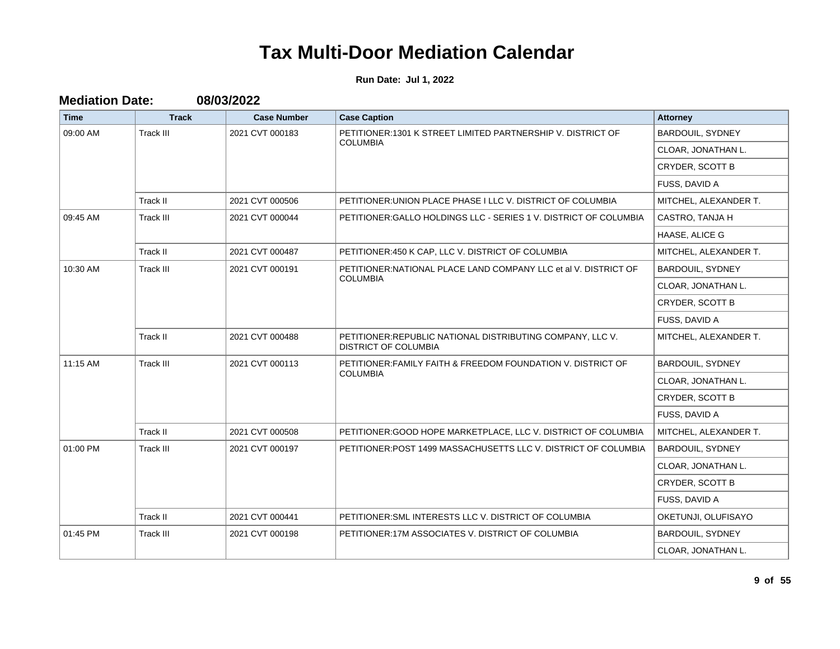| <b>Mediation Date:</b> | 08/03/2022 |
|------------------------|------------|
|                        |            |

| <b>Time</b> | <b>Track</b>     | <b>Case Number</b> | <b>Case Caption</b>                                                                      | <b>Attorney</b>         |
|-------------|------------------|--------------------|------------------------------------------------------------------------------------------|-------------------------|
| 09:00 AM    | Track III        | 2021 CVT 000183    | PETITIONER:1301 K STREET LIMITED PARTNERSHIP V. DISTRICT OF                              | BARDOUIL, SYDNEY        |
|             |                  |                    | <b>COLUMBIA</b>                                                                          | CLOAR, JONATHAN L.      |
|             |                  |                    |                                                                                          | CRYDER, SCOTT B         |
|             |                  |                    |                                                                                          | <b>FUSS, DAVID A</b>    |
|             | Track II         | 2021 CVT 000506    | PETITIONER: UNION PLACE PHASE I LLC V. DISTRICT OF COLUMBIA                              | MITCHEL, ALEXANDER T.   |
| 09:45 AM    | Track III        | 2021 CVT 000044    | PETITIONER: GALLO HOLDINGS LLC - SERIES 1 V. DISTRICT OF COLUMBIA                        | CASTRO, TANJA H         |
|             |                  |                    |                                                                                          | <b>HAASE, ALICE G</b>   |
|             | Track II         | 2021 CVT 000487    | PETITIONER:450 K CAP, LLC V. DISTRICT OF COLUMBIA                                        | MITCHEL, ALEXANDER T.   |
| 10:30 AM    | Track III        | 2021 CVT 000191    | PETITIONER: NATIONAL PLACE LAND COMPANY LLC et al V. DISTRICT OF                         | BARDOUIL, SYDNEY        |
|             |                  |                    | <b>COLUMBIA</b>                                                                          | CLOAR, JONATHAN L.      |
|             |                  |                    |                                                                                          | CRYDER, SCOTT B         |
|             |                  |                    |                                                                                          | FUSS, DAVID A           |
|             | Track II         | 2021 CVT 000488    | PETITIONER:REPUBLIC NATIONAL DISTRIBUTING COMPANY, LLC V.<br><b>DISTRICT OF COLUMBIA</b> | MITCHEL, ALEXANDER T.   |
| 11:15 AM    | <b>Track III</b> | 2021 CVT 000113    | PETITIONER: FAMILY FAITH & FREEDOM FOUNDATION V. DISTRICT OF<br><b>COLUMBIA</b>          | BARDOUIL, SYDNEY        |
|             |                  |                    |                                                                                          | CLOAR, JONATHAN L.      |
|             |                  |                    |                                                                                          | CRYDER, SCOTT B         |
|             |                  |                    |                                                                                          | FUSS, DAVID A           |
|             | Track II         | 2021 CVT 000508    | PETITIONER: GOOD HOPE MARKETPLACE, LLC V. DISTRICT OF COLUMBIA                           | MITCHEL, ALEXANDER T.   |
| 01:00 PM    | Track III        | 2021 CVT 000197    | PETITIONER: POST 1499 MASSACHUSETTS LLC V. DISTRICT OF COLUMBIA                          | <b>BARDOUIL, SYDNEY</b> |
|             |                  |                    |                                                                                          | CLOAR, JONATHAN L.      |
|             |                  |                    |                                                                                          | CRYDER, SCOTT B         |
|             |                  |                    |                                                                                          | FUSS, DAVID A           |
|             | Track II         | 2021 CVT 000441    | PETITIONER: SML INTERESTS LLC V. DISTRICT OF COLUMBIA                                    | OKETUNJI, OLUFISAYO     |
| 01:45 PM    | <b>Track III</b> | 2021 CVT 000198    | PETITIONER:17M ASSOCIATES V. DISTRICT OF COLUMBIA                                        | BARDOUIL, SYDNEY        |
|             |                  |                    |                                                                                          | CLOAR, JONATHAN L.      |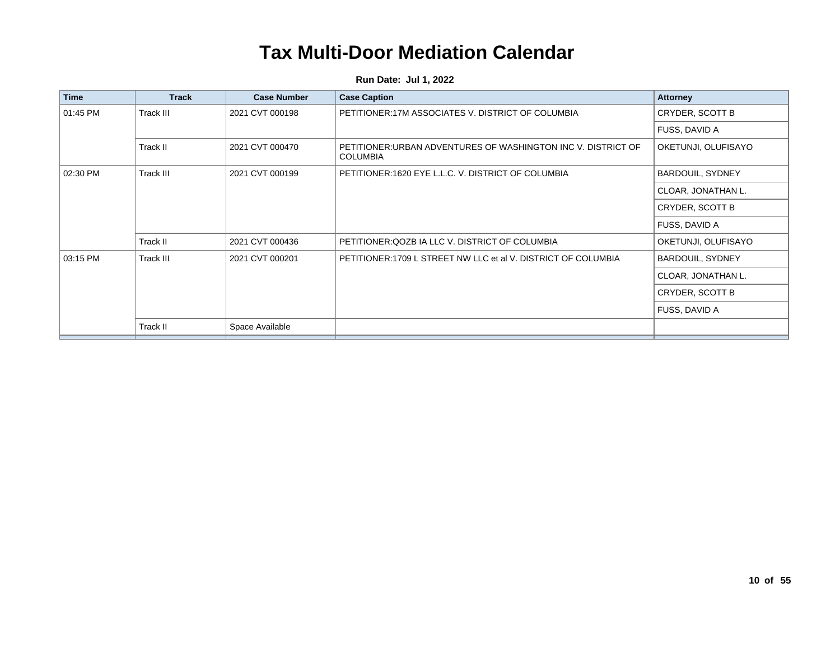| <b>Time</b> | <b>Track</b> | <b>Case Number</b> | <b>Case Caption</b>                                                              | <b>Attorney</b>         |
|-------------|--------------|--------------------|----------------------------------------------------------------------------------|-------------------------|
| 01:45 PM    | Track III    | 2021 CVT 000198    | PETITIONER:17M ASSOCIATES V. DISTRICT OF COLUMBIA                                | CRYDER, SCOTT B         |
|             |              |                    |                                                                                  | FUSS, DAVID A           |
|             | Track II     | 2021 CVT 000470    | PETITIONER: URBAN ADVENTURES OF WASHINGTON INC V. DISTRICT OF<br><b>COLUMBIA</b> | OKETUNJI, OLUFISAYO     |
| 02:30 PM    | Track III    | 2021 CVT 000199    | PETITIONER:1620 EYE L.L.C. V. DISTRICT OF COLUMBIA                               | <b>BARDOUIL, SYDNEY</b> |
|             |              |                    |                                                                                  | CLOAR, JONATHAN L.      |
|             |              |                    |                                                                                  | CRYDER, SCOTT B         |
|             |              |                    |                                                                                  | FUSS, DAVID A           |
|             | Track II     | 2021 CVT 000436    | PETITIONER: QOZB IA LLC V. DISTRICT OF COLUMBIA                                  | OKETUNJI, OLUFISAYO     |
| 03:15 PM    | Track III    | 2021 CVT 000201    | PETITIONER:1709 L STREET NW LLC et al V. DISTRICT OF COLUMBIA                    | <b>BARDOUIL, SYDNEY</b> |
|             |              |                    |                                                                                  | CLOAR, JONATHAN L.      |
|             |              |                    |                                                                                  | CRYDER, SCOTT B         |
|             |              |                    |                                                                                  | FUSS, DAVID A           |
|             | Track II     | Space Available    |                                                                                  |                         |
|             |              |                    |                                                                                  |                         |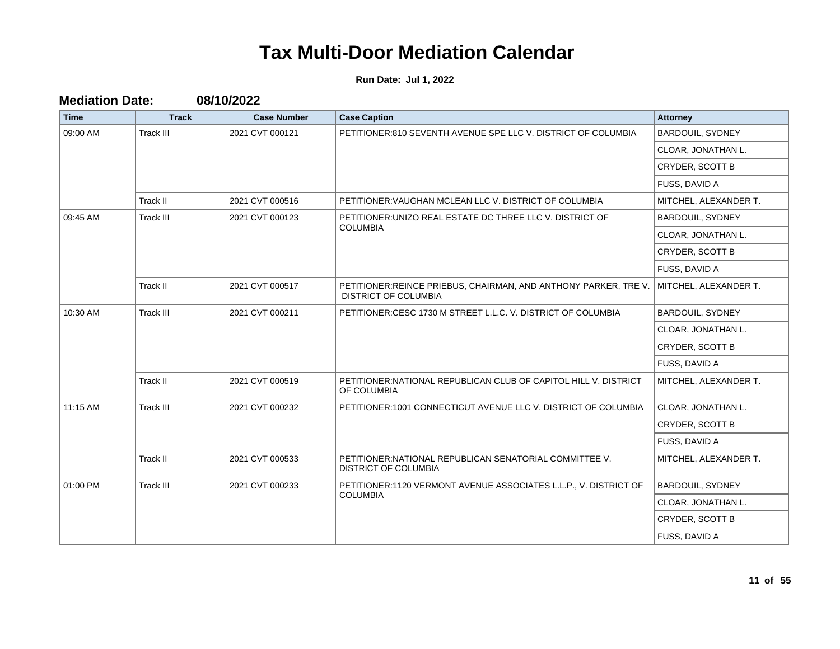| <b>Mediation Date:</b> | 08/10/2022 |
|------------------------|------------|
|                        |            |

| <b>Time</b> | <b>Track</b>     | <b>Case Number</b> | <b>Case Caption</b>                                                                             | <b>Attorney</b>         |
|-------------|------------------|--------------------|-------------------------------------------------------------------------------------------------|-------------------------|
| 09:00 AM    | Track III        | 2021 CVT 000121    | PETITIONER:810 SEVENTH AVENUE SPE LLC V. DISTRICT OF COLUMBIA                                   | <b>BARDOUIL, SYDNEY</b> |
|             |                  |                    |                                                                                                 | CLOAR, JONATHAN L.      |
|             |                  |                    |                                                                                                 | CRYDER, SCOTT B         |
|             |                  |                    |                                                                                                 | FUSS, DAVID A           |
|             | Track II         | 2021 CVT 000516    | PETITIONER: VAUGHAN MCLEAN LLC V. DISTRICT OF COLUMBIA                                          | MITCHEL, ALEXANDER T.   |
| 09:45 AM    | Track III        | 2021 CVT 000123    | PETITIONER: UNIZO REAL ESTATE DC THREE LLC V. DISTRICT OF                                       | <b>BARDOUIL, SYDNEY</b> |
|             |                  |                    | <b>COLUMBIA</b>                                                                                 | CLOAR, JONATHAN L.      |
|             |                  |                    |                                                                                                 | CRYDER, SCOTT B         |
|             |                  |                    |                                                                                                 | FUSS, DAVID A           |
|             | Track II         | 2021 CVT 000517    | PETITIONER: REINCE PRIEBUS, CHAIRMAN, AND ANTHONY PARKER, TRE V.<br><b>DISTRICT OF COLUMBIA</b> | MITCHEL, ALEXANDER T.   |
| 10:30 AM    | <b>Track III</b> | 2021 CVT 000211    | PETITIONER: CESC 1730 M STREET L.L.C. V. DISTRICT OF COLUMBIA                                   | <b>BARDOUIL, SYDNEY</b> |
|             |                  |                    |                                                                                                 | CLOAR, JONATHAN L.      |
|             |                  |                    |                                                                                                 | <b>CRYDER, SCOTT B</b>  |
|             |                  |                    |                                                                                                 | FUSS, DAVID A           |
|             | Track II         | 2021 CVT 000519    | PETITIONER: NATIONAL REPUBLICAN CLUB OF CAPITOL HILL V. DISTRICT<br>OF COLUMBIA                 | MITCHEL, ALEXANDER T.   |
| 11:15 AM    | <b>Track III</b> | 2021 CVT 000232    | PETITIONER:1001 CONNECTICUT AVENUE LLC V. DISTRICT OF COLUMBIA                                  | CLOAR, JONATHAN L.      |
|             |                  |                    |                                                                                                 | CRYDER, SCOTT B         |
|             |                  |                    |                                                                                                 | FUSS, DAVID A           |
|             | Track II         | 2021 CVT 000533    | PETITIONER: NATIONAL REPUBLICAN SENATORIAL COMMITTEE V.<br><b>DISTRICT OF COLUMBIA</b>          | MITCHEL, ALEXANDER T.   |
| 01:00 PM    | <b>Track III</b> | 2021 CVT 000233    | PETITIONER:1120 VERMONT AVENUE ASSOCIATES L.L.P., V. DISTRICT OF                                | BARDOUIL, SYDNEY        |
|             |                  |                    | <b>COLUMBIA</b>                                                                                 | CLOAR, JONATHAN L.      |
|             |                  |                    |                                                                                                 | CRYDER, SCOTT B         |
|             |                  |                    |                                                                                                 | FUSS, DAVID A           |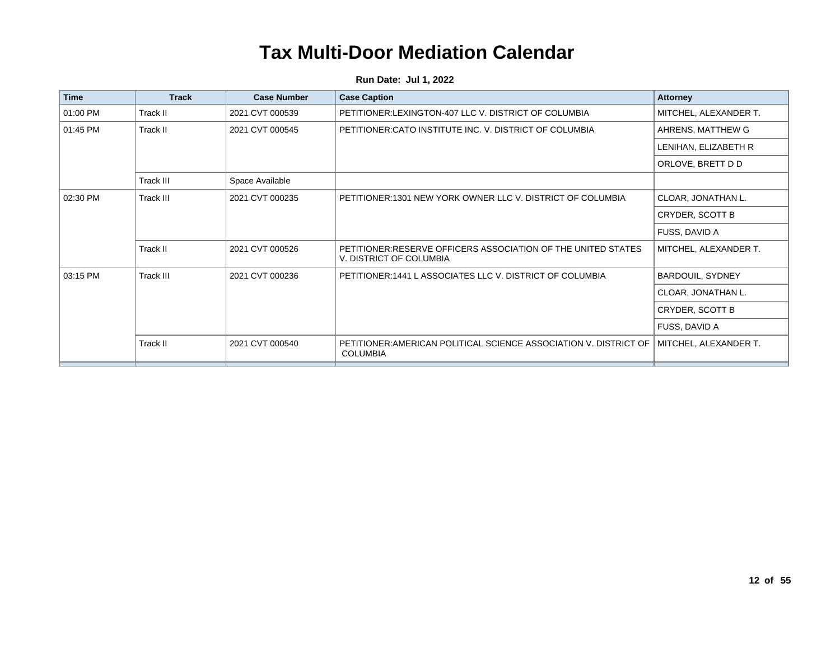| <b>Time</b> | <b>Track</b> | <b>Case Number</b> | <b>Case Caption</b>                                                                      | <b>Attorney</b>         |
|-------------|--------------|--------------------|------------------------------------------------------------------------------------------|-------------------------|
| 01:00 PM    | Track II     | 2021 CVT 000539    | PETITIONER:LEXINGTON-407 LLC V. DISTRICT OF COLUMBIA                                     | MITCHEL, ALEXANDER T.   |
| 01:45 PM    | Track II     | 2021 CVT 000545    | PETITIONER: CATO INSTITUTE INC. V. DISTRICT OF COLUMBIA                                  | AHRENS, MATTHEW G       |
|             |              |                    |                                                                                          | LENIHAN, ELIZABETH R    |
|             |              |                    |                                                                                          | ORLOVE, BRETT D D       |
|             | Track III    | Space Available    |                                                                                          |                         |
| 02:30 PM    | Track III    | 2021 CVT 000235    | PETITIONER:1301 NEW YORK OWNER LLC V. DISTRICT OF COLUMBIA                               | CLOAR, JONATHAN L.      |
|             |              |                    |                                                                                          | CRYDER, SCOTT B         |
|             |              |                    |                                                                                          | FUSS, DAVID A           |
|             | Track II     | 2021 CVT 000526    | PETITIONER: RESERVE OFFICERS ASSOCIATION OF THE UNITED STATES<br>V. DISTRICT OF COLUMBIA | MITCHEL, ALEXANDER T.   |
| 03:15 PM    | Track III    | 2021 CVT 000236    | PETITIONER:1441 L ASSOCIATES LLC V. DISTRICT OF COLUMBIA                                 | <b>BARDOUIL, SYDNEY</b> |
|             |              |                    |                                                                                          | CLOAR, JONATHAN L.      |
|             |              |                    |                                                                                          | CRYDER, SCOTT B         |
|             |              |                    |                                                                                          | FUSS, DAVID A           |
|             | Track II     | 2021 CVT 000540    | PETITIONER: AMERICAN POLITICAL SCIENCE ASSOCIATION V. DISTRICT OF<br><b>COLUMBIA</b>     | MITCHEL, ALEXANDER T.   |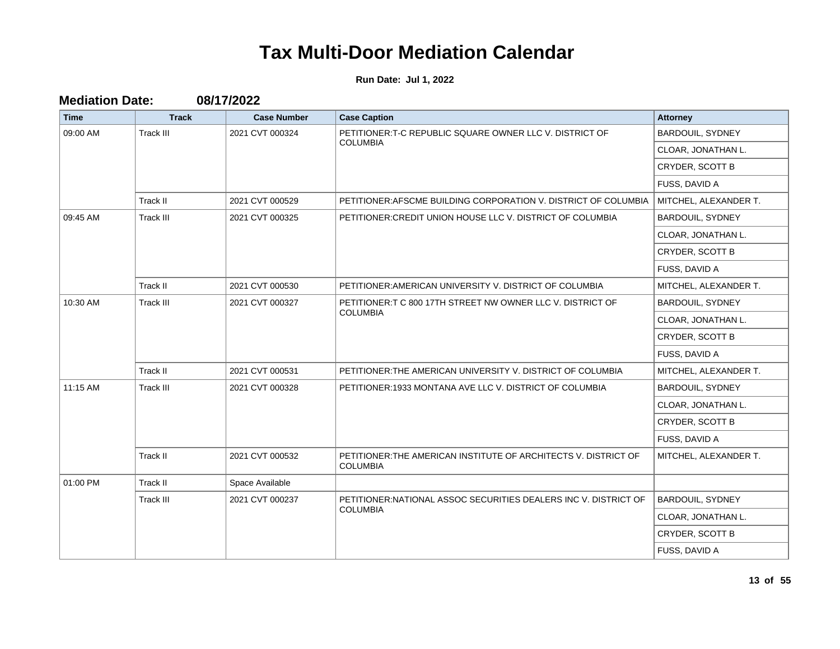| <b>Time</b> | <b>Track</b>     | <b>Case Number</b> | <b>Case Caption</b>                                                                | <b>Attorney</b>         |
|-------------|------------------|--------------------|------------------------------------------------------------------------------------|-------------------------|
| 09:00 AM    | <b>Track III</b> | 2021 CVT 000324    | PETITIONER: T-C REPUBLIC SQUARE OWNER LLC V. DISTRICT OF                           | BARDOUIL, SYDNEY        |
|             |                  |                    | <b>COLUMBIA</b>                                                                    | CLOAR, JONATHAN L.      |
|             |                  |                    |                                                                                    | CRYDER, SCOTT B         |
|             |                  |                    |                                                                                    | FUSS, DAVID A           |
|             | Track II         | 2021 CVT 000529    | PETITIONER: AFSCME BUILDING CORPORATION V. DISTRICT OF COLUMBIA                    | MITCHEL, ALEXANDER T.   |
| 09:45 AM    | <b>Track III</b> | 2021 CVT 000325    | PETITIONER: CREDIT UNION HOUSE LLC V. DISTRICT OF COLUMBIA                         | BARDOUIL, SYDNEY        |
|             |                  |                    |                                                                                    | CLOAR, JONATHAN L.      |
|             |                  |                    |                                                                                    | CRYDER, SCOTT B         |
|             |                  |                    |                                                                                    | FUSS, DAVID A           |
|             | Track II         | 2021 CVT 000530    | PETITIONER: AMERICAN UNIVERSITY V. DISTRICT OF COLUMBIA                            | MITCHEL, ALEXANDER T.   |
| 10:30 AM    | <b>Track III</b> | 2021 CVT 000327    | PETITIONER: T C 800 17TH STREET NW OWNER LLC V. DISTRICT OF<br><b>COLUMBIA</b>     | <b>BARDOUIL, SYDNEY</b> |
|             |                  |                    |                                                                                    | CLOAR, JONATHAN L.      |
|             |                  |                    |                                                                                    | CRYDER, SCOTT B         |
|             |                  |                    |                                                                                    | FUSS, DAVID A           |
|             | Track II         | 2021 CVT 000531    | PETITIONER: THE AMERICAN UNIVERSITY V. DISTRICT OF COLUMBIA                        | MITCHEL, ALEXANDER T.   |
| 11:15 AM    | <b>Track III</b> | 2021 CVT 000328    | PETITIONER:1933 MONTANA AVE LLC V. DISTRICT OF COLUMBIA                            | BARDOUIL, SYDNEY        |
|             |                  |                    |                                                                                    | CLOAR, JONATHAN L.      |
|             |                  |                    |                                                                                    | CRYDER, SCOTT B         |
|             |                  |                    |                                                                                    | FUSS, DAVID A           |
|             | Track II         | 2021 CVT 000532    | PETITIONER: THE AMERICAN INSTITUTE OF ARCHITECTS V. DISTRICT OF<br><b>COLUMBIA</b> | MITCHEL, ALEXANDER T.   |
| 01:00 PM    | Track II         | Space Available    |                                                                                    |                         |
|             | <b>Track III</b> | 2021 CVT 000237    | PETITIONER:NATIONAL ASSOC SECURITIES DEALERS INC V. DISTRICT OF                    | <b>BARDOUIL, SYDNEY</b> |
|             |                  |                    | <b>COLUMBIA</b>                                                                    | CLOAR, JONATHAN L.      |
|             |                  |                    |                                                                                    | CRYDER, SCOTT B         |
|             |                  |                    |                                                                                    | FUSS, DAVID A           |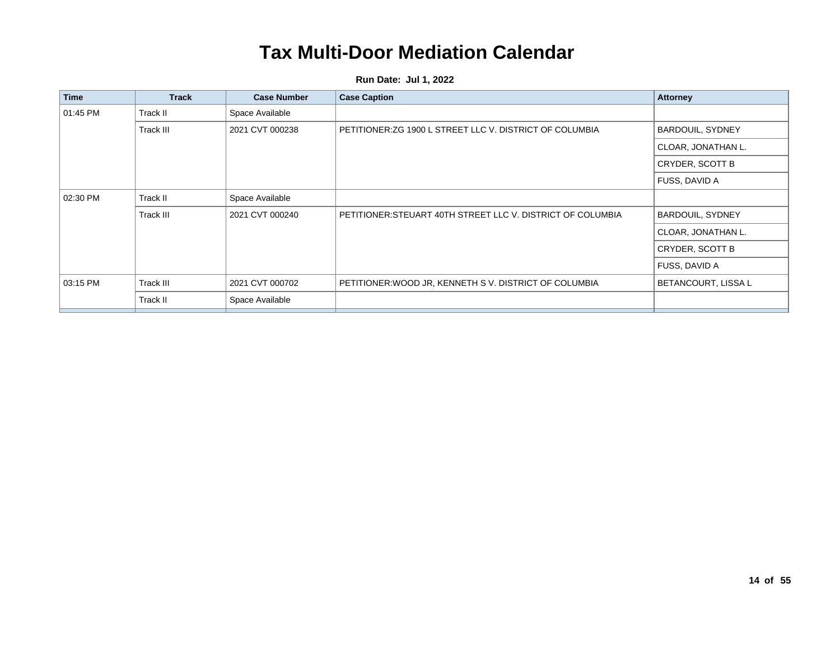| <b>Time</b> | <b>Track</b> | <b>Case Number</b> | <b>Case Caption</b>                                         | <b>Attorney</b>            |
|-------------|--------------|--------------------|-------------------------------------------------------------|----------------------------|
| 01:45 PM    | Track II     | Space Available    |                                                             |                            |
|             | Track III    | 2021 CVT 000238    | PETITIONER: ZG 1900 L STREET LLC V. DISTRICT OF COLUMBIA    | <b>BARDOUIL, SYDNEY</b>    |
|             |              |                    |                                                             | CLOAR, JONATHAN L.         |
|             |              |                    |                                                             | <b>CRYDER, SCOTT B</b>     |
|             |              |                    |                                                             | FUSS, DAVID A              |
| 02:30 PM    | Track II     | Space Available    |                                                             |                            |
|             | Track III    | 2021 CVT 000240    | PETITIONER: STEUART 40TH STREET LLC V. DISTRICT OF COLUMBIA | <b>BARDOUIL, SYDNEY</b>    |
|             |              |                    |                                                             | CLOAR, JONATHAN L.         |
|             |              |                    |                                                             | CRYDER, SCOTT B            |
|             |              |                    |                                                             | FUSS, DAVID A              |
| 03:15 PM    | Track III    | 2021 CVT 000702    | PETITIONER:WOOD JR, KENNETH S V. DISTRICT OF COLUMBIA       | <b>BETANCOURT, LISSA L</b> |
|             | Track II     | Space Available    |                                                             |                            |
|             |              |                    |                                                             |                            |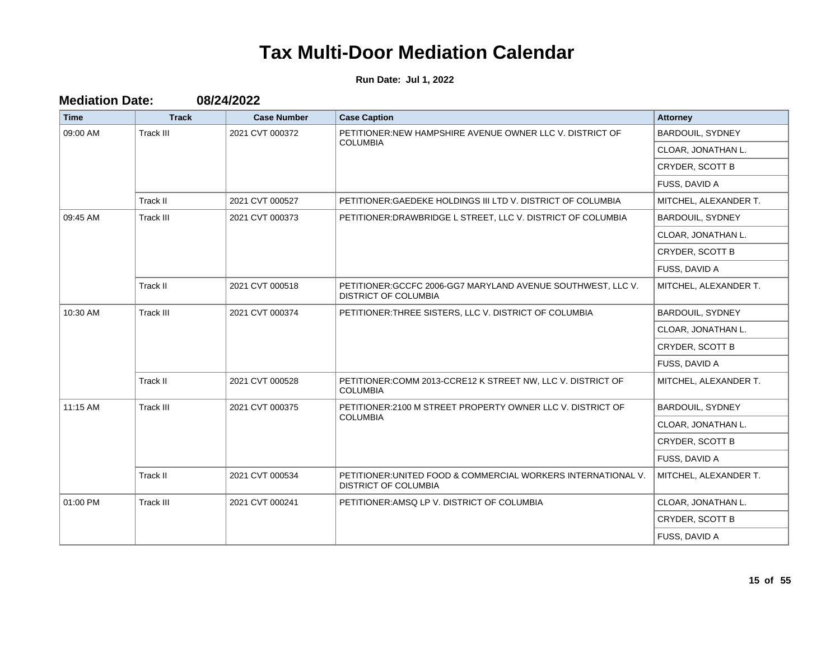| <b>Time</b> | <b>Track</b>     | <b>Case Number</b> | <b>Case Caption</b>                                                                          | <b>Attorney</b>         |
|-------------|------------------|--------------------|----------------------------------------------------------------------------------------------|-------------------------|
| 09:00 AM    | Track III        | 2021 CVT 000372    | PETITIONER:NEW HAMPSHIRE AVENUE OWNER LLC V. DISTRICT OF                                     | BARDOUIL, SYDNEY        |
|             |                  |                    | <b>COLUMBIA</b>                                                                              | CLOAR, JONATHAN L.      |
|             |                  |                    |                                                                                              | CRYDER, SCOTT B         |
|             |                  |                    |                                                                                              | FUSS, DAVID A           |
|             | Track II         | 2021 CVT 000527    | PETITIONER: GAEDEKE HOLDINGS III LTD V. DISTRICT OF COLUMBIA                                 | MITCHEL, ALEXANDER T.   |
| 09:45 AM    | <b>Track III</b> | 2021 CVT 000373    | PETITIONER: DRAWBRIDGE L STREET, LLC V. DISTRICT OF COLUMBIA                                 | <b>BARDOUIL, SYDNEY</b> |
|             |                  |                    |                                                                                              | CLOAR, JONATHAN L.      |
|             |                  |                    |                                                                                              | CRYDER, SCOTT B         |
|             |                  |                    |                                                                                              | FUSS, DAVID A           |
|             | Track II         | 2021 CVT 000518    | PETITIONER: GCCFC 2006-GG7 MARYLAND AVENUE SOUTHWEST, LLC V.<br><b>DISTRICT OF COLUMBIA</b>  | MITCHEL, ALEXANDER T.   |
| 10:30 AM    | <b>Track III</b> | 2021 CVT 000374    | PETITIONER: THREE SISTERS, LLC V. DISTRICT OF COLUMBIA                                       | <b>BARDOUIL, SYDNEY</b> |
|             |                  |                    |                                                                                              | CLOAR, JONATHAN L.      |
|             |                  |                    |                                                                                              | CRYDER, SCOTT B         |
|             |                  |                    |                                                                                              | FUSS, DAVID A           |
|             | Track II         | 2021 CVT 000528    | PETITIONER: COMM 2013-CCRE12 K STREET NW, LLC V. DISTRICT OF<br><b>COLUMBIA</b>              | MITCHEL, ALEXANDER T.   |
| 11:15 AM    | <b>Track III</b> | 2021 CVT 000375    | PETITIONER: 2100 M STREET PROPERTY OWNER LLC V. DISTRICT OF<br><b>COLUMBIA</b>               | BARDOUIL, SYDNEY        |
|             |                  |                    |                                                                                              | CLOAR, JONATHAN L.      |
|             |                  |                    |                                                                                              | CRYDER, SCOTT B         |
|             |                  |                    |                                                                                              | FUSS, DAVID A           |
|             | Track II         | 2021 CVT 000534    | PETITIONER: UNITED FOOD & COMMERCIAL WORKERS INTERNATIONAL V.<br><b>DISTRICT OF COLUMBIA</b> | MITCHEL, ALEXANDER T.   |
| 01:00 PM    | <b>Track III</b> | 2021 CVT 000241    | PETITIONER: AMSQ LP V. DISTRICT OF COLUMBIA                                                  | CLOAR, JONATHAN L.      |
|             |                  |                    |                                                                                              | CRYDER, SCOTT B         |
|             |                  |                    |                                                                                              | FUSS, DAVID A           |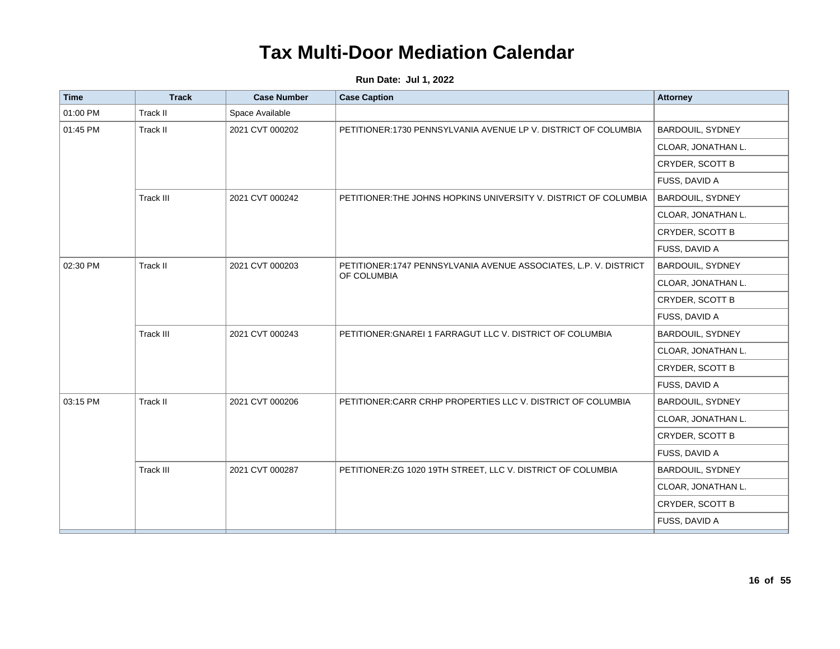| <b>Time</b> | <b>Track</b> | <b>Case Number</b> | <b>Case Caption</b>                                                                                                                                                                                                                                                                                                                                                                                                                                                                                                                                                                                                                                  | <b>Attorney</b>    |
|-------------|--------------|--------------------|------------------------------------------------------------------------------------------------------------------------------------------------------------------------------------------------------------------------------------------------------------------------------------------------------------------------------------------------------------------------------------------------------------------------------------------------------------------------------------------------------------------------------------------------------------------------------------------------------------------------------------------------------|--------------------|
| 01:00 PM    | Track II     | Space Available    |                                                                                                                                                                                                                                                                                                                                                                                                                                                                                                                                                                                                                                                      |                    |
| 01:45 PM    | Track II     | 2021 CVT 000202    | PETITIONER:1730 PENNSYLVANIA AVENUE LP V. DISTRICT OF COLUMBIA                                                                                                                                                                                                                                                                                                                                                                                                                                                                                                                                                                                       | BARDOUIL, SYDNEY   |
|             |              |                    |                                                                                                                                                                                                                                                                                                                                                                                                                                                                                                                                                                                                                                                      | CLOAR, JONATHAN L. |
|             |              |                    |                                                                                                                                                                                                                                                                                                                                                                                                                                                                                                                                                                                                                                                      | CRYDER, SCOTT B    |
|             |              |                    |                                                                                                                                                                                                                                                                                                                                                                                                                                                                                                                                                                                                                                                      | FUSS, DAVID A      |
|             | Track III    | 2021 CVT 000242    | PETITIONER: THE JOHNS HOPKINS UNIVERSITY V. DISTRICT OF COLUMBIA                                                                                                                                                                                                                                                                                                                                                                                                                                                                                                                                                                                     | BARDOUIL, SYDNEY   |
|             |              |                    | CLOAR, JONATHAN L.<br>CRYDER, SCOTT B<br>FUSS, DAVID A<br>PETITIONER:1747 PENNSYLVANIA AVENUE ASSOCIATES, L.P. V. DISTRICT<br>BARDOUIL, SYDNEY<br>OF COLUMBIA<br>CLOAR, JONATHAN L.<br>CRYDER, SCOTT B<br>FUSS, DAVID A<br>PETITIONER: GNAREI 1 FARRAGUT LLC V. DISTRICT OF COLUMBIA<br><b>BARDOUIL, SYDNEY</b><br>CLOAR, JONATHAN L.<br>CRYDER, SCOTT B<br>FUSS, DAVID A<br>PETITIONER: CARR CRHP PROPERTIES LLC V. DISTRICT OF COLUMBIA<br>BARDOUIL, SYDNEY<br>CLOAR, JONATHAN L.<br>CRYDER, SCOTT B<br>FUSS, DAVID A<br>PETITIONER: ZG 1020 19TH STREET, LLC V. DISTRICT OF COLUMBIA<br>BARDOUIL, SYDNEY<br>CLOAR, JONATHAN L.<br>CRYDER, SCOTT B |                    |
|             |              |                    |                                                                                                                                                                                                                                                                                                                                                                                                                                                                                                                                                                                                                                                      |                    |
|             |              |                    |                                                                                                                                                                                                                                                                                                                                                                                                                                                                                                                                                                                                                                                      |                    |
| 02:30 PM    | Track II     | 2021 CVT 000203    |                                                                                                                                                                                                                                                                                                                                                                                                                                                                                                                                                                                                                                                      |                    |
|             |              |                    |                                                                                                                                                                                                                                                                                                                                                                                                                                                                                                                                                                                                                                                      |                    |
|             |              |                    |                                                                                                                                                                                                                                                                                                                                                                                                                                                                                                                                                                                                                                                      |                    |
|             |              |                    |                                                                                                                                                                                                                                                                                                                                                                                                                                                                                                                                                                                                                                                      |                    |
|             | Track III    | 2021 CVT 000243    |                                                                                                                                                                                                                                                                                                                                                                                                                                                                                                                                                                                                                                                      |                    |
|             |              |                    |                                                                                                                                                                                                                                                                                                                                                                                                                                                                                                                                                                                                                                                      |                    |
|             |              |                    |                                                                                                                                                                                                                                                                                                                                                                                                                                                                                                                                                                                                                                                      |                    |
|             |              |                    |                                                                                                                                                                                                                                                                                                                                                                                                                                                                                                                                                                                                                                                      |                    |
| 03:15 PM    | Track II     | 2021 CVT 000206    |                                                                                                                                                                                                                                                                                                                                                                                                                                                                                                                                                                                                                                                      |                    |
|             |              |                    |                                                                                                                                                                                                                                                                                                                                                                                                                                                                                                                                                                                                                                                      |                    |
|             |              |                    |                                                                                                                                                                                                                                                                                                                                                                                                                                                                                                                                                                                                                                                      |                    |
|             |              |                    |                                                                                                                                                                                                                                                                                                                                                                                                                                                                                                                                                                                                                                                      |                    |
|             | Track III    | 2021 CVT 000287    |                                                                                                                                                                                                                                                                                                                                                                                                                                                                                                                                                                                                                                                      |                    |
|             |              |                    |                                                                                                                                                                                                                                                                                                                                                                                                                                                                                                                                                                                                                                                      |                    |
|             |              |                    |                                                                                                                                                                                                                                                                                                                                                                                                                                                                                                                                                                                                                                                      |                    |
|             |              |                    |                                                                                                                                                                                                                                                                                                                                                                                                                                                                                                                                                                                                                                                      | FUSS, DAVID A      |
|             |              |                    |                                                                                                                                                                                                                                                                                                                                                                                                                                                                                                                                                                                                                                                      |                    |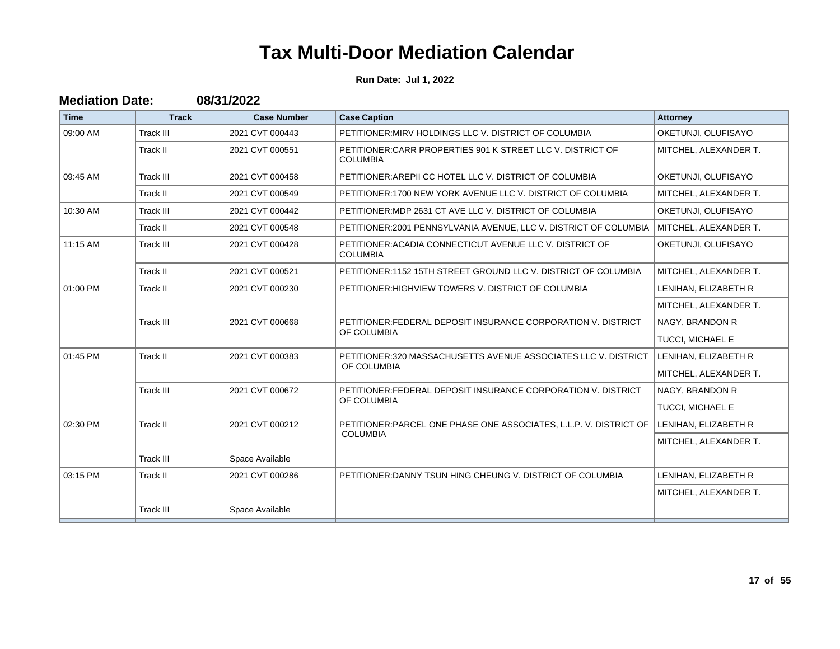| <b>Time</b> | <b>Track</b>     | <b>Case Number</b> | <b>Case Caption</b>                                                            | <b>Attorney</b>         |
|-------------|------------------|--------------------|--------------------------------------------------------------------------------|-------------------------|
| 09:00 AM    | Track III        | 2021 CVT 000443    | PETITIONER: MIRV HOLDINGS LLC V. DISTRICT OF COLUMBIA                          | OKETUNJI, OLUFISAYO     |
|             | Track II         | 2021 CVT 000551    | PETITIONER: CARR PROPERTIES 901 K STREET LLC V. DISTRICT OF<br><b>COLUMBIA</b> | MITCHEL, ALEXANDER T.   |
| 09:45 AM    | <b>Track III</b> | 2021 CVT 000458    | PETITIONER: AREPII CC HOTEL LLC V. DISTRICT OF COLUMBIA                        | OKETUNJI, OLUFISAYO     |
|             | Track II         | 2021 CVT 000549    | PETITIONER: 1700 NEW YORK AVENUE LLC V. DISTRICT OF COLUMBIA                   | MITCHEL, ALEXANDER T.   |
| 10:30 AM    | <b>Track III</b> | 2021 CVT 000442    | PETITIONER: MDP 2631 CT AVE LLC V. DISTRICT OF COLUMBIA                        | OKETUNJI, OLUFISAYO     |
|             | Track II         | 2021 CVT 000548    | PETITIONER: 2001 PENNSYLVANIA AVENUE, LLC V. DISTRICT OF COLUMBIA              | MITCHEL, ALEXANDER T.   |
| 11:15 AM    | <b>Track III</b> | 2021 CVT 000428    | PETITIONER: ACADIA CONNECTICUT AVENUE LLC V. DISTRICT OF<br><b>COLUMBIA</b>    | OKETUNJI, OLUFISAYO     |
|             | Track II         | 2021 CVT 000521    | PETITIONER: 1152 15TH STREET GROUND LLC V. DISTRICT OF COLUMBIA                | MITCHEL, ALEXANDER T.   |
| 01:00 PM    | Track II         | 2021 CVT 000230    | PETITIONER: HIGHVIEW TOWERS V. DISTRICT OF COLUMBIA                            | LENIHAN, ELIZABETH R    |
|             |                  |                    |                                                                                | MITCHEL, ALEXANDER T.   |
|             | <b>Track III</b> | 2021 CVT 000668    | PETITIONER: FEDERAL DEPOSIT INSURANCE CORPORATION V. DISTRICT<br>OF COLUMBIA   | NAGY, BRANDON R         |
|             |                  |                    |                                                                                | <b>TUCCI. MICHAEL E</b> |
| 01:45 PM    | Track II         | 2021 CVT 000383    | PETITIONER:320 MASSACHUSETTS AVENUE ASSOCIATES LLC V. DISTRICT                 | LENIHAN, ELIZABETH R    |
|             |                  |                    | OF COLUMBIA                                                                    | MITCHEL, ALEXANDER T.   |
|             | <b>Track III</b> | 2021 CVT 000672    | PETITIONER: FEDERAL DEPOSIT INSURANCE CORPORATION V. DISTRICT<br>OF COLUMBIA   | NAGY, BRANDON R         |
|             |                  |                    |                                                                                | <b>TUCCI, MICHAEL E</b> |
| 02:30 PM    | Track II         | 2021 CVT 000212    | PETITIONER: PARCEL ONE PHASE ONE ASSOCIATES, L.L.P. V. DISTRICT OF             | LENIHAN, ELIZABETH R    |
|             |                  |                    | <b>COLUMBIA</b>                                                                | MITCHEL, ALEXANDER T.   |
|             | <b>Track III</b> | Space Available    |                                                                                |                         |
| 03:15 PM    | Track II         | 2021 CVT 000286    | PETITIONER: DANNY TSUN HING CHEUNG V. DISTRICT OF COLUMBIA                     | LENIHAN, ELIZABETH R    |
|             |                  |                    |                                                                                | MITCHEL, ALEXANDER T.   |
|             | <b>Track III</b> | Space Available    |                                                                                |                         |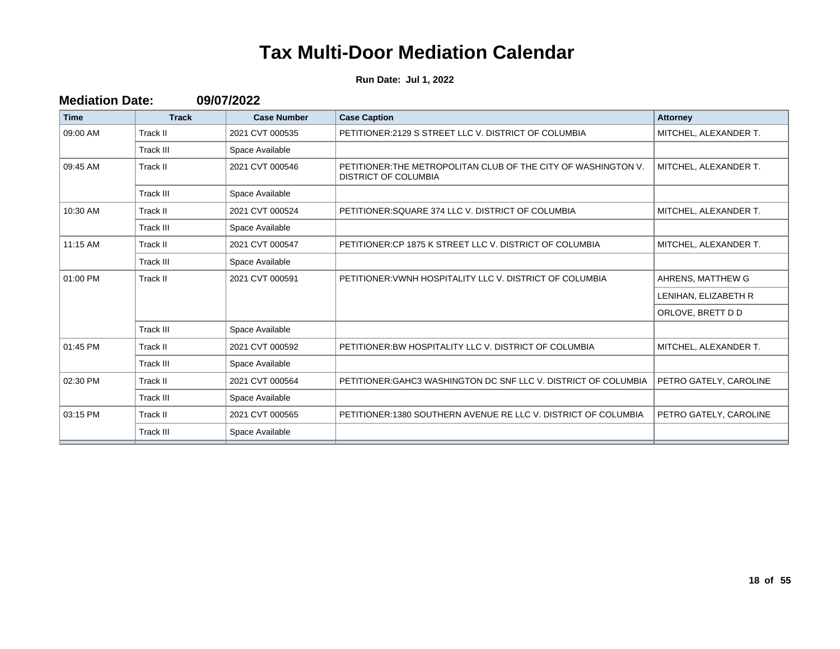**Run Date: Jul 1, 2022**

#### **Mediation Date: 09/07/2022 Time Track Case Number Case Caption Attorney** 09:00 AM Track II 2021 CVT 000535 PETITIONER:2129 S STREET LLC V. DISTRICT OF COLUMBIA MITCHEL, ALEXANDER T. Track III Space Available 09:45 AM Track II 2021 CVT 000546 PETITIONER:THE METROPOLITAN CLUB OF THE CITY OF WASHINGTON V. DISTRICT OF COLUMBIA MITCHEL, ALEXANDER T. Track III Space Available AM 10:30 AM Track II 2021 CVT 000524 PETITIONER:SQUARE 374 LLC V. DISTRICT OF COLUMBIA MITCHEL, ALEXANDER T. Track III Space Available 11:15 AM Track II 2021 CVT 000547 PETITIONER:CP 1875 K STREET LLC V. DISTRICT OF COLUMBIA MITCHEL, ALEXANDER T. Track III Boace Available 01:00 PM | Track II | 2021 CVT 000591 | PETITIONER:VWNH HOSPITALITY LLC V. DISTRICT OF COLUMBIA | AHRENS, MATTHEW G LENIHAN, ELIZABETH R ORLOVE, BRETT D D Track III | Space Available 01:45 PM Track II 2021 CVT 000592 PETITIONER:BW HOSPITALITY LLC V. DISTRICT OF COLUMBIA MITCHEL, ALEXANDER T. Track III | Space Available 02:30 PM Track II 2021 CVT 000564 PETITIONER:GAHC3 WASHINGTON DC SNF LLC V. DISTRICT OF COLUMBIA PETRO GATELY, CAROLINE Track III | Space Available 03:15 PM Track II 2021 CVT 000565 PETITIONER:1380 SOUTHERN AVENUE RE LLC V. DISTRICT OF COLUMBIA PETRO GATELY, CAROLINE Track III | Space Available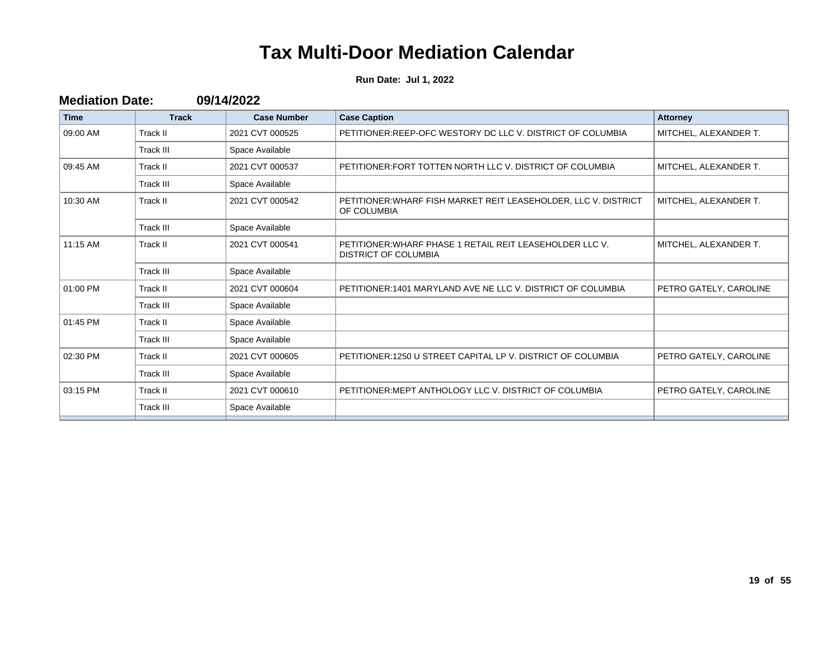| <b>Time</b> | <b>Track</b>     | <b>Case Number</b> | <b>Case Caption</b>                                                                     | <b>Attorney</b>        |
|-------------|------------------|--------------------|-----------------------------------------------------------------------------------------|------------------------|
| 09:00 AM    | Track II         | 2021 CVT 000525    | PETITIONER: REEP-OFC WESTORY DC LLC V. DISTRICT OF COLUMBIA                             | MITCHEL, ALEXANDER T.  |
|             | Track III        | Space Available    |                                                                                         |                        |
| 09:45 AM    | Track II         | 2021 CVT 000537    | PETITIONER: FORT TOTTEN NORTH LLC V. DISTRICT OF COLUMBIA                               | MITCHEL, ALEXANDER T.  |
|             | Track III        | Space Available    |                                                                                         |                        |
| 10:30 AM    | Track II         | 2021 CVT 000542    | PETITIONER: WHARF FISH MARKET REIT LEASEHOLDER, LLC V. DISTRICT<br>OF COLUMBIA          | MITCHEL, ALEXANDER T.  |
|             | <b>Track III</b> | Space Available    |                                                                                         |                        |
| 11:15 AM    | Track II         | 2021 CVT 000541    | PETITIONER: WHARF PHASE 1 RETAIL REIT LEASEHOLDER LLC V.<br><b>DISTRICT OF COLUMBIA</b> | MITCHEL, ALEXANDER T.  |
|             | <b>Track III</b> | Space Available    |                                                                                         |                        |
| 01:00 PM    | Track II         | 2021 CVT 000604    | PETITIONER:1401 MARYLAND AVE NE LLC V. DISTRICT OF COLUMBIA                             | PETRO GATELY, CAROLINE |
|             | Track III        | Space Available    |                                                                                         |                        |
| 01:45 PM    | Track II         | Space Available    |                                                                                         |                        |
|             | <b>Track III</b> | Space Available    |                                                                                         |                        |
| 02:30 PM    | Track II         | 2021 CVT 000605    | PETITIONER:1250 U STREET CAPITAL LP V. DISTRICT OF COLUMBIA                             | PETRO GATELY, CAROLINE |
|             | Track III        | Space Available    |                                                                                         |                        |
| 03:15 PM    | Track II         | 2021 CVT 000610    | PETITIONER: MEPT ANTHOLOGY LLC V. DISTRICT OF COLUMBIA                                  | PETRO GATELY, CAROLINE |
|             | <b>Track III</b> | Space Available    |                                                                                         |                        |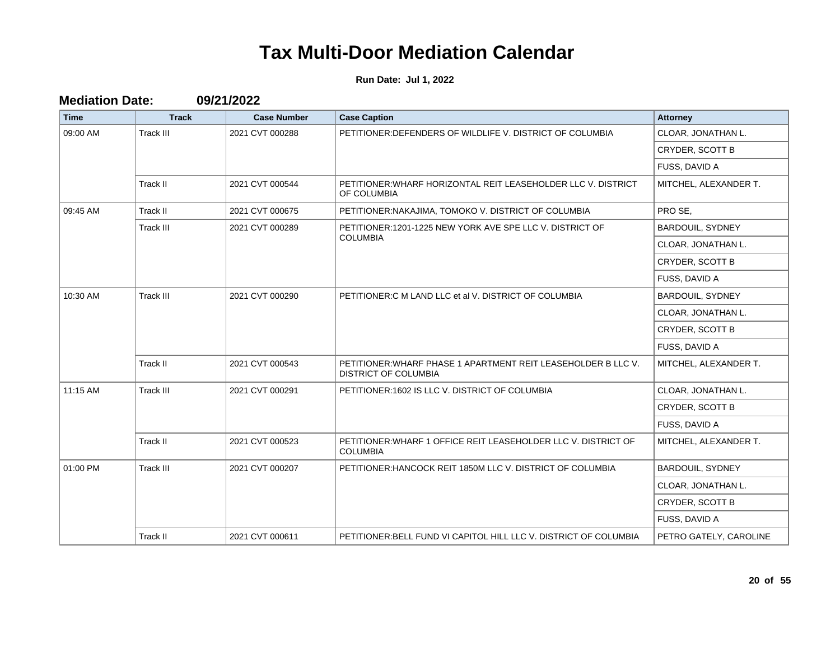| <b>Time</b> | <b>Track</b>     | <b>Case Number</b> | <b>Case Caption</b>                                                                          | <b>Attorney</b>         |
|-------------|------------------|--------------------|----------------------------------------------------------------------------------------------|-------------------------|
| 09:00 AM    | <b>Track III</b> | 2021 CVT 000288    | PETITIONER: DEFENDERS OF WILDLIFE V. DISTRICT OF COLUMBIA                                    | CLOAR, JONATHAN L.      |
|             |                  |                    |                                                                                              | <b>CRYDER, SCOTT B</b>  |
|             |                  |                    |                                                                                              | <b>FUSS, DAVID A</b>    |
|             | Track II         | 2021 CVT 000544    | PETITIONER: WHARF HORIZONTAL REIT LEASEHOLDER LLC V. DISTRICT<br>OF COLUMBIA                 | MITCHEL, ALEXANDER T.   |
| 09:45 AM    | Track II         | 2021 CVT 000675    | PETITIONER: NAKAJIMA, TOMOKO V. DISTRICT OF COLUMBIA                                         | PRO SE,                 |
|             | <b>Track III</b> | 2021 CVT 000289    | PETITIONER:1201-1225 NEW YORK AVE SPE LLC V. DISTRICT OF                                     | <b>BARDOUIL, SYDNEY</b> |
|             |                  |                    | <b>COLUMBIA</b>                                                                              | CLOAR, JONATHAN L.      |
|             |                  |                    |                                                                                              | CRYDER, SCOTT B         |
|             |                  |                    |                                                                                              | FUSS, DAVID A           |
| 10:30 AM    | <b>Track III</b> | 2021 CVT 000290    | PETITIONER: C M LAND LLC et al V. DISTRICT OF COLUMBIA                                       | <b>BARDOUIL, SYDNEY</b> |
|             |                  |                    |                                                                                              | CLOAR, JONATHAN L.      |
|             |                  |                    |                                                                                              | CRYDER, SCOTT B         |
|             |                  |                    |                                                                                              | FUSS, DAVID A           |
|             | <b>Track II</b>  | 2021 CVT 000543    | PETITIONER: WHARF PHASE 1 APARTMENT REIT LEASEHOLDER B LLC V.<br><b>DISTRICT OF COLUMBIA</b> | MITCHEL, ALEXANDER T.   |
| 11:15 AM    | <b>Track III</b> | 2021 CVT 000291    | PETITIONER:1602 IS LLC V. DISTRICT OF COLUMBIA                                               | CLOAR, JONATHAN L.      |
|             |                  |                    |                                                                                              | <b>CRYDER, SCOTT B</b>  |
|             |                  |                    |                                                                                              | FUSS, DAVID A           |
|             | Track II         | 2021 CVT 000523    | PETITIONER: WHARF 1 OFFICE REIT LEASEHOLDER LLC V. DISTRICT OF<br><b>COLUMBIA</b>            | MITCHEL, ALEXANDER T.   |
| 01:00 PM    | <b>Track III</b> | 2021 CVT 000207    | PETITIONER: HANCOCK REIT 1850M LLC V. DISTRICT OF COLUMBIA                                   | <b>BARDOUIL, SYDNEY</b> |
|             |                  |                    |                                                                                              | CLOAR, JONATHAN L.      |
|             |                  |                    |                                                                                              | CRYDER, SCOTT B         |
|             |                  |                    |                                                                                              | <b>FUSS, DAVID A</b>    |
|             | Track II         | 2021 CVT 000611    | PETITIONER: BELL FUND VI CAPITOL HILL LLC V. DISTRICT OF COLUMBIA                            | PETRO GATELY, CAROLINE  |
|             |                  |                    |                                                                                              |                         |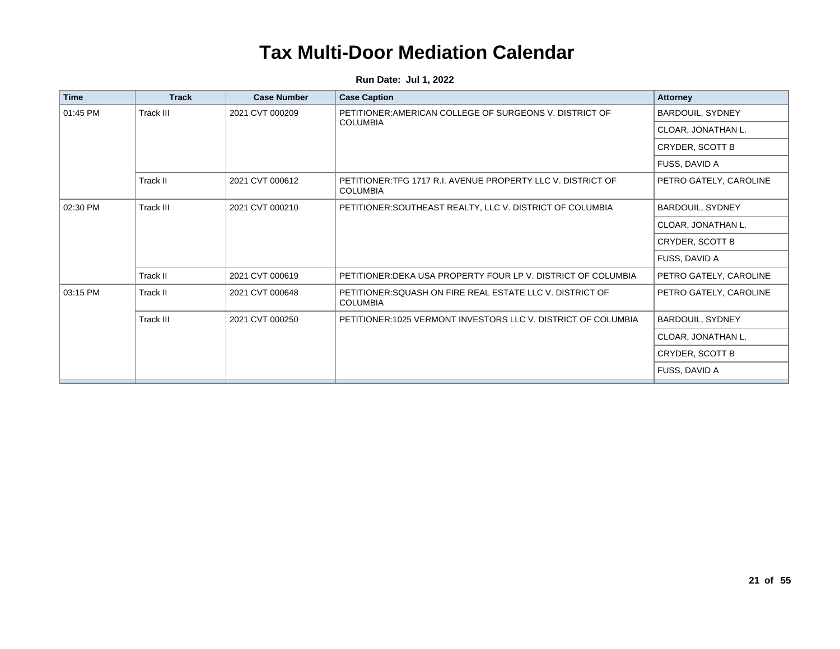| <b>Time</b> | <b>Track</b> | <b>Case Number</b> | <b>Case Caption</b>                                                             | Attorney                |
|-------------|--------------|--------------------|---------------------------------------------------------------------------------|-------------------------|
| 01:45 PM    | Track III    | 2021 CVT 000209    | PETITIONER: AMERICAN COLLEGE OF SURGEONS V. DISTRICT OF                         | <b>BARDOUIL, SYDNEY</b> |
|             |              |                    | <b>COLUMBIA</b>                                                                 | CLOAR, JONATHAN L.      |
|             |              |                    |                                                                                 | CRYDER, SCOTT B         |
|             |              |                    |                                                                                 | FUSS, DAVID A           |
|             | Track II     | 2021 CVT 000612    | PETITIONER: TFG 1717 R.I. AVENUE PROPERTY LLC V. DISTRICT OF<br><b>COLUMBIA</b> | PETRO GATELY, CAROLINE  |
| 02:30 PM    | Track III    | 2021 CVT 000210    | PETITIONER: SOUTHEAST REALTY, LLC V. DISTRICT OF COLUMBIA                       | BARDOUIL, SYDNEY        |
|             |              |                    |                                                                                 | CLOAR, JONATHAN L.      |
|             |              |                    |                                                                                 | CRYDER, SCOTT B         |
|             |              |                    |                                                                                 | FUSS, DAVID A           |
|             | Track II     | 2021 CVT 000619    | PETITIONER: DEKA USA PROPERTY FOUR LP V. DISTRICT OF COLUMBIA                   | PETRO GATELY, CAROLINE  |
| 03:15 PM    | Track II     | 2021 CVT 000648    | PETITIONER: SQUASH ON FIRE REAL ESTATE LLC V. DISTRICT OF<br><b>COLUMBIA</b>    | PETRO GATELY, CAROLINE  |
|             | Track III    | 2021 CVT 000250    | PETITIONER:1025 VERMONT INVESTORS LLC V. DISTRICT OF COLUMBIA                   | BARDOUIL, SYDNEY        |
|             |              |                    |                                                                                 | CLOAR, JONATHAN L.      |
|             |              |                    |                                                                                 | CRYDER, SCOTT B         |
|             |              |                    |                                                                                 | FUSS, DAVID A           |
|             |              |                    |                                                                                 |                         |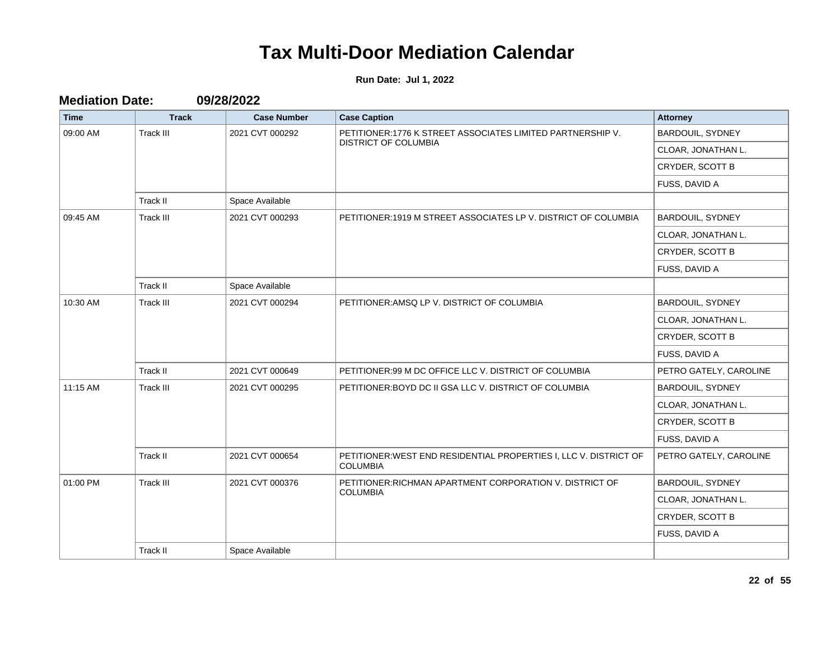**Run Date: Jul 1, 2022**

**Mediation Date: 09/28/2022**

| <b>Time</b> | <b>Track</b>     | <b>Case Number</b> | <b>Case Caption</b>                                                                  | <b>Attorney</b>        |
|-------------|------------------|--------------------|--------------------------------------------------------------------------------------|------------------------|
| 09:00 AM    | Track III        | 2021 CVT 000292    | PETITIONER:1776 K STREET ASSOCIATES LIMITED PARTNERSHIP V.                           | BARDOUIL, SYDNEY       |
|             |                  |                    | <b>DISTRICT OF COLUMBIA</b>                                                          | CLOAR, JONATHAN L.     |
|             |                  |                    |                                                                                      | CRYDER, SCOTT B        |
|             |                  |                    |                                                                                      | FUSS, DAVID A          |
|             | Track II         | Space Available    |                                                                                      |                        |
| 09:45 AM    | <b>Track III</b> | 2021 CVT 000293    | PETITIONER:1919 M STREET ASSOCIATES LP V. DISTRICT OF COLUMBIA                       | BARDOUIL, SYDNEY       |
|             |                  |                    |                                                                                      | CLOAR, JONATHAN L.     |
|             |                  |                    |                                                                                      | CRYDER, SCOTT B        |
|             |                  |                    |                                                                                      | FUSS, DAVID A          |
|             | Track II         | Space Available    |                                                                                      |                        |
| 10:30 AM    | <b>Track III</b> | 2021 CVT 000294    | PETITIONER: AMSQ LP V. DISTRICT OF COLUMBIA                                          | BARDOUIL, SYDNEY       |
|             |                  |                    |                                                                                      | CLOAR, JONATHAN L.     |
|             |                  |                    |                                                                                      | CRYDER, SCOTT B        |
|             |                  |                    |                                                                                      | FUSS, DAVID A          |
|             | Track II         | 2021 CVT 000649    | PETITIONER:99 M DC OFFICE LLC V. DISTRICT OF COLUMBIA                                | PETRO GATELY, CAROLINE |
| 11:15 AM    | <b>Track III</b> | 2021 CVT 000295    | PETITIONER: BOYD DC II GSA LLC V. DISTRICT OF COLUMBIA                               | BARDOUIL, SYDNEY       |
|             |                  |                    |                                                                                      | CLOAR, JONATHAN L.     |
|             |                  |                    |                                                                                      | CRYDER, SCOTT B        |
|             |                  |                    |                                                                                      | FUSS, DAVID A          |
|             | Track II         | 2021 CVT 000654    | PETITIONER: WEST END RESIDENTIAL PROPERTIES I, LLC V. DISTRICT OF<br><b>COLUMBIA</b> | PETRO GATELY, CAROLINE |
| 01:00 PM    | <b>Track III</b> | 2021 CVT 000376    | PETITIONER: RICHMAN APARTMENT CORPORATION V. DISTRICT OF                             | BARDOUIL, SYDNEY       |
|             |                  |                    | <b>COLUMBIA</b>                                                                      | CLOAR, JONATHAN L.     |
|             |                  |                    |                                                                                      | <b>CRYDER, SCOTT B</b> |
|             |                  |                    |                                                                                      | FUSS, DAVID A          |
|             | Track II         | Space Available    |                                                                                      |                        |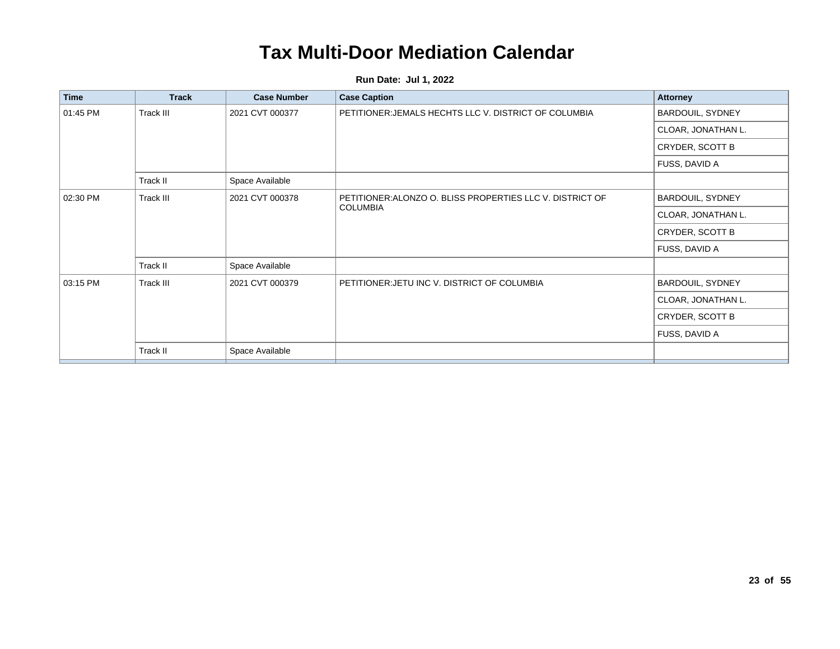| <b>Time</b> | <b>Track</b> | <b>Case Number</b> | <b>Case Caption</b>                                                          | Attorney           |
|-------------|--------------|--------------------|------------------------------------------------------------------------------|--------------------|
| 01:45 PM    | Track III    | 2021 CVT 000377    | PETITIONER: JEMALS HECHTS LLC V. DISTRICT OF COLUMBIA                        | BARDOUIL, SYDNEY   |
|             |              |                    |                                                                              | CLOAR, JONATHAN L. |
|             |              |                    |                                                                              | CRYDER, SCOTT B    |
|             |              |                    |                                                                              | FUSS, DAVID A      |
|             | Track II     | Space Available    |                                                                              |                    |
| 02:30 PM    | Track III    | 2021 CVT 000378    | PETITIONER: ALONZO O. BLISS PROPERTIES LLC V. DISTRICT OF<br><b>COLUMBIA</b> | BARDOUIL, SYDNEY   |
|             |              |                    |                                                                              | CLOAR, JONATHAN L. |
|             |              |                    |                                                                              | CRYDER, SCOTT B    |
|             |              |                    |                                                                              | FUSS, DAVID A      |
|             | Track II     | Space Available    |                                                                              |                    |
| 03:15 PM    | Track III    | 2021 CVT 000379    | PETITIONER: JETU INC V. DISTRICT OF COLUMBIA                                 | BARDOUIL, SYDNEY   |
|             |              |                    |                                                                              | CLOAR, JONATHAN L. |
|             |              |                    |                                                                              | CRYDER, SCOTT B    |
|             |              |                    |                                                                              | FUSS, DAVID A      |
|             | Track II     | Space Available    |                                                                              |                    |
|             |              |                    |                                                                              |                    |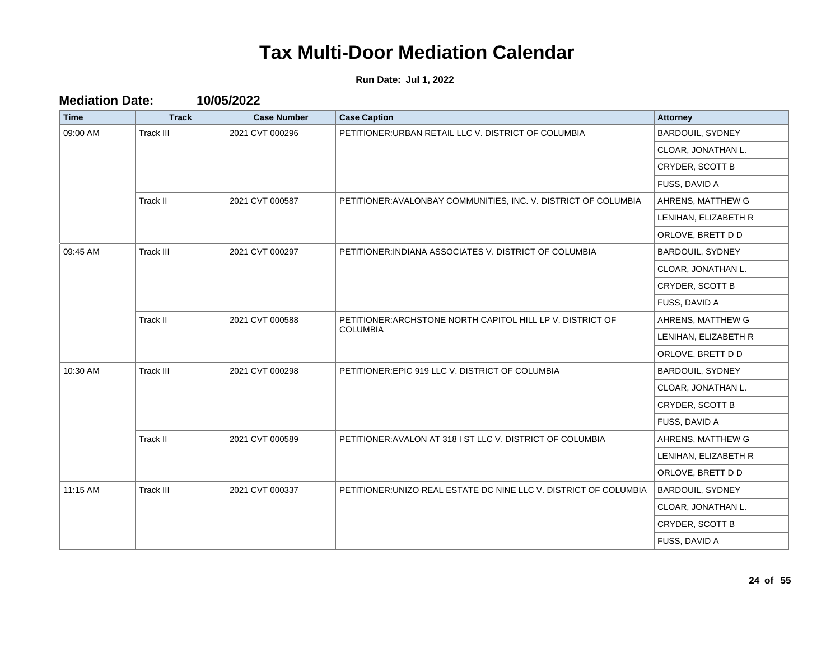| <b>Time</b>                  | <b>Track</b>     | <b>Case Number</b>                               | <b>Case Caption</b>                                                           | <b>Attorney</b>      |
|------------------------------|------------------|--------------------------------------------------|-------------------------------------------------------------------------------|----------------------|
| 09:00 AM                     | <b>Track III</b> | 2021 CVT 000296                                  | PETITIONER: URBAN RETAIL LLC V. DISTRICT OF COLUMBIA                          | BARDOUIL, SYDNEY     |
|                              |                  |                                                  |                                                                               | CLOAR, JONATHAN L.   |
|                              |                  |                                                  |                                                                               | CRYDER, SCOTT B      |
|                              |                  |                                                  |                                                                               | FUSS, DAVID A        |
|                              | Track II         | 2021 CVT 000587                                  | PETITIONER: AVALONBAY COMMUNITIES, INC. V. DISTRICT OF COLUMBIA               | AHRENS, MATTHEW G    |
|                              |                  |                                                  |                                                                               | LENIHAN, ELIZABETH R |
|                              |                  |                                                  |                                                                               | ORLOVE, BRETT D D    |
| 09:45 AM                     | <b>Track III</b> | 2021 CVT 000297                                  | PETITIONER: INDIANA ASSOCIATES V. DISTRICT OF COLUMBIA                        | BARDOUIL, SYDNEY     |
|                              |                  |                                                  |                                                                               | CLOAR, JONATHAN L.   |
|                              |                  |                                                  |                                                                               | CRYDER, SCOTT B      |
|                              |                  |                                                  |                                                                               | FUSS, DAVID A        |
|                              | Track II         | 2021 CVT 000588                                  | PETITIONER: ARCHSTONE NORTH CAPITOL HILL LP V. DISTRICT OF<br><b>COLUMBIA</b> | AHRENS, MATTHEW G    |
|                              |                  |                                                  |                                                                               | LENIHAN, ELIZABETH R |
|                              |                  |                                                  |                                                                               | ORLOVE, BRETT D D    |
| 10:30 AM<br><b>Track III</b> | 2021 CVT 000298  | PETITIONER: EPIC 919 LLC V. DISTRICT OF COLUMBIA | BARDOUIL, SYDNEY                                                              |                      |
|                              |                  |                                                  |                                                                               | CLOAR, JONATHAN L.   |
|                              |                  |                                                  |                                                                               | CRYDER, SCOTT B      |
|                              |                  |                                                  |                                                                               | FUSS, DAVID A        |
|                              | Track II         | 2021 CVT 000589                                  | PETITIONER: AVALON AT 318 I ST LLC V. DISTRICT OF COLUMBIA                    | AHRENS, MATTHEW G    |
|                              |                  |                                                  |                                                                               | LENIHAN, ELIZABETH R |
|                              |                  |                                                  |                                                                               | ORLOVE, BRETT D D    |
| 11:15 AM                     | <b>Track III</b> | 2021 CVT 000337                                  | PETITIONER: UNIZO REAL ESTATE DC NINE LLC V. DISTRICT OF COLUMBIA             | BARDOUIL, SYDNEY     |
|                              |                  |                                                  |                                                                               | CLOAR, JONATHAN L.   |
|                              |                  |                                                  |                                                                               | CRYDER, SCOTT B      |
|                              |                  |                                                  |                                                                               | FUSS, DAVID A        |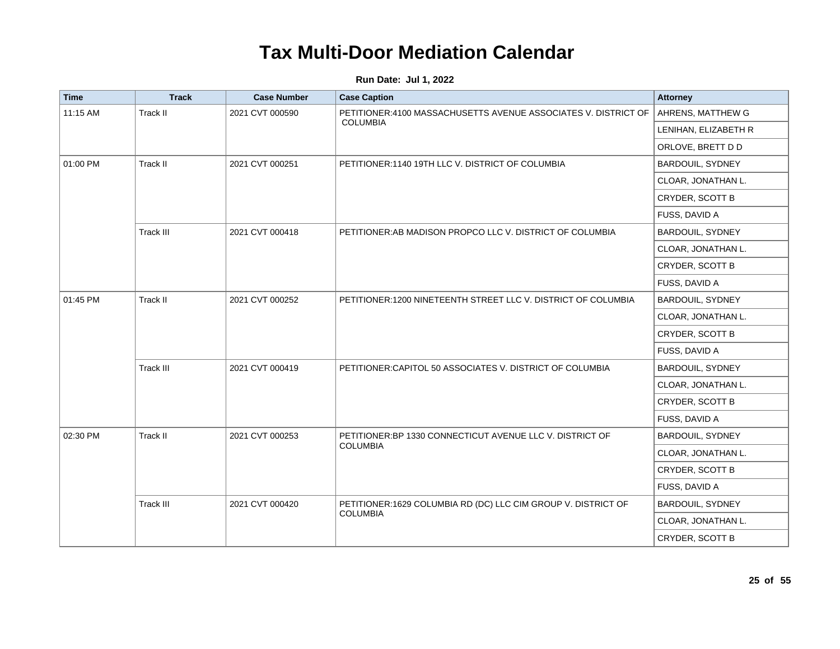| <b>Time</b> | <b>Track</b>     | <b>Case Number</b> | <b>Case Caption</b>                                            | <b>Attorney</b>      |
|-------------|------------------|--------------------|----------------------------------------------------------------|----------------------|
| 11:15 AM    | Track II         | 2021 CVT 000590    | PETITIONER:4100 MASSACHUSETTS AVENUE ASSOCIATES V. DISTRICT OF | AHRENS, MATTHEW G    |
|             |                  |                    | <b>COLUMBIA</b>                                                | LENIHAN, ELIZABETH R |
|             |                  |                    |                                                                | ORLOVE, BRETT D D    |
| 01:00 PM    | Track II         | 2021 CVT 000251    | PETITIONER:1140 19TH LLC V. DISTRICT OF COLUMBIA               | BARDOUIL, SYDNEY     |
|             |                  |                    |                                                                | CLOAR, JONATHAN L.   |
|             |                  |                    |                                                                | CRYDER, SCOTT B      |
|             |                  |                    |                                                                | FUSS, DAVID A        |
|             | Track III        | 2021 CVT 000418    | PETITIONER: AB MADISON PROPCO LLC V. DISTRICT OF COLUMBIA      | BARDOUIL, SYDNEY     |
|             |                  |                    |                                                                | CLOAR, JONATHAN L.   |
|             |                  |                    |                                                                | CRYDER, SCOTT B      |
|             |                  |                    |                                                                | FUSS, DAVID A        |
| 01:45 PM    | Track II         | 2021 CVT 000252    | PETITIONER:1200 NINETEENTH STREET LLC V. DISTRICT OF COLUMBIA  | BARDOUIL, SYDNEY     |
|             |                  |                    |                                                                | CLOAR, JONATHAN L.   |
|             |                  |                    |                                                                | CRYDER, SCOTT B      |
|             |                  |                    |                                                                | FUSS, DAVID A        |
|             | Track III        | 2021 CVT 000419    | PETITIONER: CAPITOL 50 ASSOCIATES V. DISTRICT OF COLUMBIA      | BARDOUIL, SYDNEY     |
|             |                  |                    |                                                                | CLOAR, JONATHAN L.   |
|             |                  |                    |                                                                | CRYDER, SCOTT B      |
|             |                  |                    |                                                                | FUSS, DAVID A        |
| 02:30 PM    | Track II         | 2021 CVT 000253    | PETITIONER: BP 1330 CONNECTICUT AVENUE LLC V. DISTRICT OF      | BARDOUIL, SYDNEY     |
|             |                  |                    | <b>COLUMBIA</b>                                                | CLOAR, JONATHAN L.   |
|             |                  |                    |                                                                | CRYDER, SCOTT B      |
|             |                  |                    |                                                                | FUSS, DAVID A        |
|             | <b>Track III</b> | 2021 CVT 000420    | PETITIONER:1629 COLUMBIA RD (DC) LLC CIM GROUP V. DISTRICT OF  | BARDOUIL, SYDNEY     |
|             |                  |                    | <b>COLUMBIA</b>                                                | CLOAR, JONATHAN L.   |
|             |                  |                    |                                                                | CRYDER, SCOTT B      |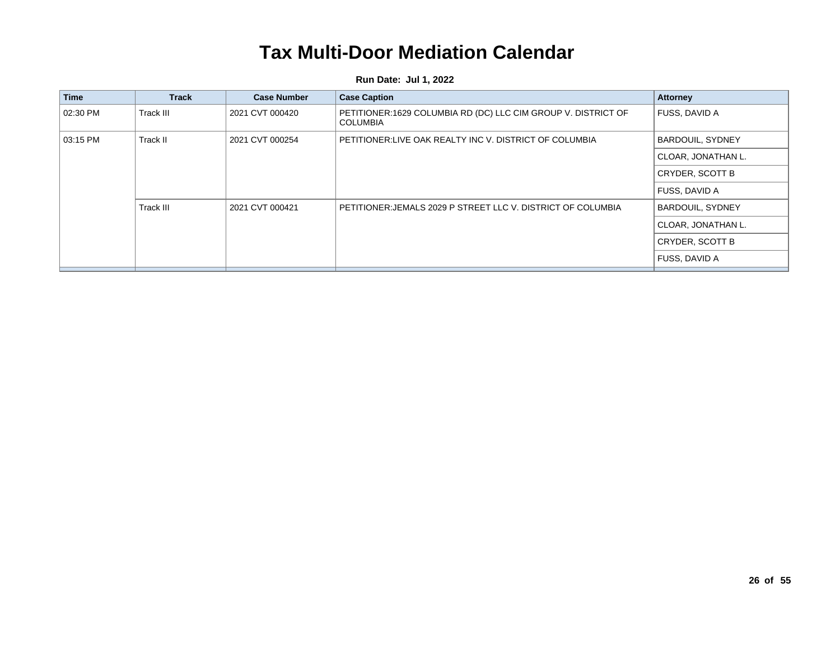| <b>Time</b> | <b>Track</b> | <b>Case Number</b> | <b>Case Caption</b>                                                         | <b>Attorney</b>         |
|-------------|--------------|--------------------|-----------------------------------------------------------------------------|-------------------------|
| 02:30 PM    | Track III    | 2021 CVT 000420    | PETITIONER:1629 COLUMBIA RD (DC) LLC CIM GROUP V. DISTRICT OF<br>  COLUMBIA | <b>FUSS, DAVID A</b>    |
| 03:15 PM    | Track II     | 2021 CVT 000254    | PETITIONER:LIVE OAK REALTY INC V. DISTRICT OF COLUMBIA                      | <b>BARDOUIL, SYDNEY</b> |
|             |              |                    |                                                                             | CLOAR, JONATHAN L.      |
|             |              |                    |                                                                             | CRYDER, SCOTT B         |
|             |              |                    |                                                                             | <b>FUSS, DAVID A</b>    |
|             | Track III    | 2021 CVT 000421    | PETITIONER:JEMALS 2029 P STREET LLC V. DISTRICT OF COLUMBIA                 | <b>BARDOUIL, SYDNEY</b> |
|             |              |                    |                                                                             | CLOAR, JONATHAN L.      |
|             |              |                    |                                                                             | CRYDER, SCOTT B         |
|             |              |                    |                                                                             | FUSS, DAVID A           |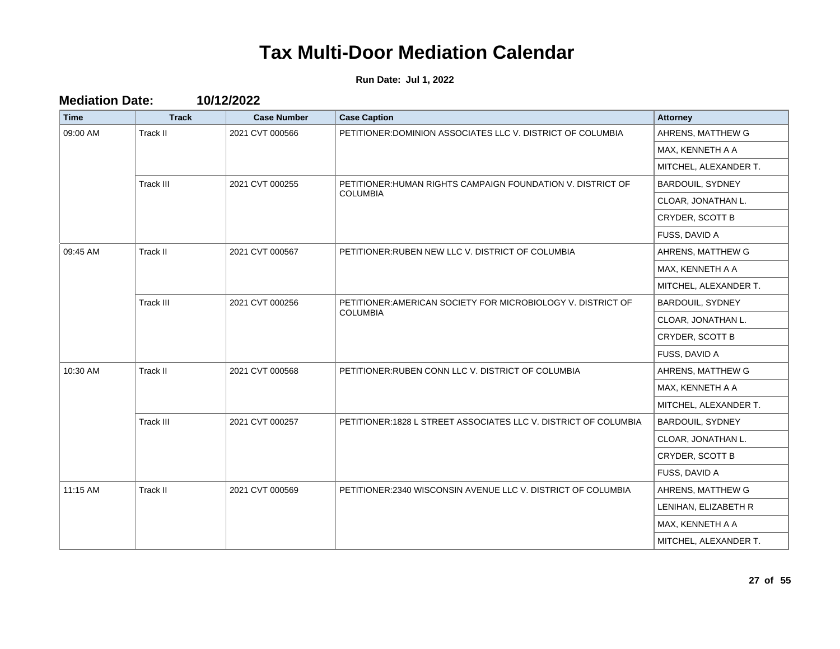| <b>Time</b> | <b>Track</b>     | <b>Case Number</b> | <b>Case Caption</b>                                                             | <b>Attorney</b>         |
|-------------|------------------|--------------------|---------------------------------------------------------------------------------|-------------------------|
| 09:00 AM    | Track II         | 2021 CVT 000566    | PETITIONER: DOMINION ASSOCIATES LLC V. DISTRICT OF COLUMBIA                     | AHRENS, MATTHEW G       |
|             |                  |                    |                                                                                 | MAX, KENNETH A A        |
|             |                  |                    |                                                                                 | MITCHEL, ALEXANDER T.   |
|             | <b>Track III</b> | 2021 CVT 000255    | PETITIONER: HUMAN RIGHTS CAMPAIGN FOUNDATION V. DISTRICT OF                     | <b>BARDOUIL, SYDNEY</b> |
|             |                  |                    | <b>COLUMBIA</b>                                                                 | CLOAR, JONATHAN L.      |
|             |                  |                    |                                                                                 | CRYDER, SCOTT B         |
|             |                  |                    |                                                                                 | FUSS, DAVID A           |
| 09:45 AM    | Track II         | 2021 CVT 000567    | PETITIONER: RUBEN NEW LLC V. DISTRICT OF COLUMBIA                               | AHRENS, MATTHEW G       |
|             |                  |                    |                                                                                 | MAX, KENNETH A A        |
|             |                  |                    |                                                                                 | MITCHEL, ALEXANDER T.   |
|             | <b>Track III</b> | 2021 CVT 000256    | PETITIONER: AMERICAN SOCIETY FOR MICROBIOLOGY V. DISTRICT OF<br><b>COLUMBIA</b> | BARDOUIL, SYDNEY        |
|             |                  |                    |                                                                                 | CLOAR, JONATHAN L.      |
|             |                  |                    |                                                                                 | CRYDER, SCOTT B         |
|             |                  |                    |                                                                                 | FUSS, DAVID A           |
| 10:30 AM    | Track II         | 2021 CVT 000568    | PETITIONER: RUBEN CONN LLC V. DISTRICT OF COLUMBIA                              | AHRENS, MATTHEW G       |
|             |                  |                    |                                                                                 | MAX, KENNETH A A        |
|             |                  |                    |                                                                                 | MITCHEL, ALEXANDER T.   |
|             | <b>Track III</b> | 2021 CVT 000257    | PETITIONER: 1828 L STREET ASSOCIATES LLC V. DISTRICT OF COLUMBIA                | BARDOUIL, SYDNEY        |
|             |                  |                    |                                                                                 | CLOAR, JONATHAN L.      |
|             |                  |                    |                                                                                 | CRYDER, SCOTT B         |
|             |                  |                    |                                                                                 | FUSS, DAVID A           |
| 11:15 AM    | Track II         | 2021 CVT 000569    | PETITIONER: 2340 WISCONSIN AVENUE LLC V. DISTRICT OF COLUMBIA                   | AHRENS, MATTHEW G       |
|             |                  |                    |                                                                                 | LENIHAN, ELIZABETH R    |
|             |                  |                    |                                                                                 | MAX, KENNETH A A        |
|             |                  |                    |                                                                                 | MITCHEL, ALEXANDER T.   |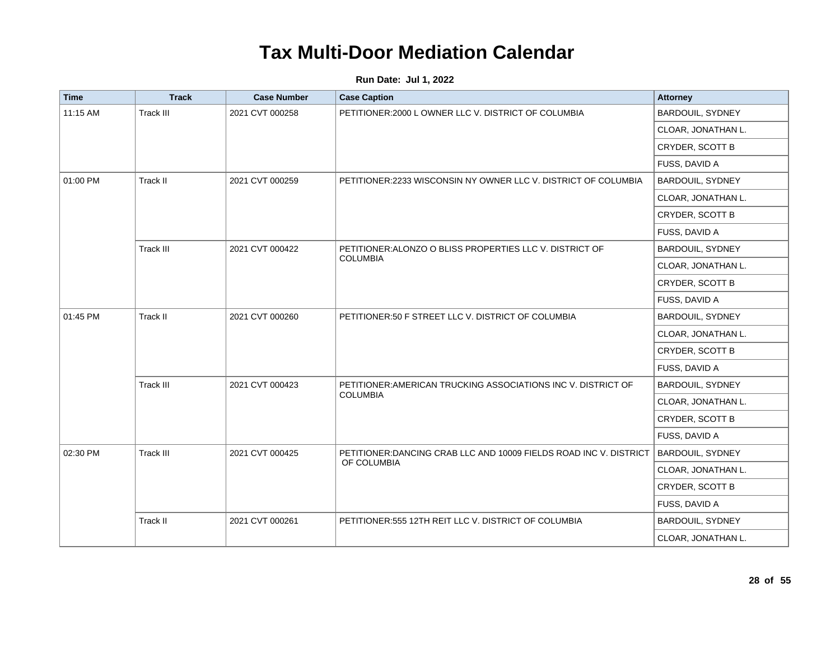| <b>Time</b>                                     | <b>Track</b>                                             | <b>Case Number</b> | <b>Case Caption</b>                                                | <b>Attorney</b>    |
|-------------------------------------------------|----------------------------------------------------------|--------------------|--------------------------------------------------------------------|--------------------|
| 11:15 AM                                        | Track III                                                | 2021 CVT 000258    | PETITIONER: 2000 L OWNER LLC V. DISTRICT OF COLUMBIA               | BARDOUIL, SYDNEY   |
|                                                 |                                                          |                    |                                                                    | CLOAR, JONATHAN L. |
|                                                 |                                                          |                    |                                                                    | CRYDER, SCOTT B    |
|                                                 |                                                          |                    |                                                                    | FUSS, DAVID A      |
| 01:00 PM                                        | Track II                                                 | 2021 CVT 000259    | PETITIONER:2233 WISCONSIN NY OWNER LLC V. DISTRICT OF COLUMBIA     | BARDOUIL, SYDNEY   |
|                                                 |                                                          |                    |                                                                    | CLOAR, JONATHAN L. |
|                                                 |                                                          |                    |                                                                    | CRYDER, SCOTT B    |
| Track III<br>2021 CVT 000422<br><b>COLUMBIA</b> |                                                          |                    |                                                                    | FUSS, DAVID A      |
|                                                 | PETITIONER: ALONZO O BLISS PROPERTIES LLC V. DISTRICT OF | BARDOUIL, SYDNEY   |                                                                    |                    |
|                                                 |                                                          |                    |                                                                    | CLOAR, JONATHAN L. |
|                                                 |                                                          |                    |                                                                    | CRYDER, SCOTT B    |
|                                                 |                                                          |                    |                                                                    | FUSS, DAVID A      |
| Track II<br>01:45 PM<br>2021 CVT 000260         |                                                          |                    | PETITIONER:50 F STREET LLC V. DISTRICT OF COLUMBIA                 | BARDOUIL, SYDNEY   |
|                                                 |                                                          |                    |                                                                    | CLOAR, JONATHAN L. |
|                                                 |                                                          | CRYDER, SCOTT B    |                                                                    |                    |
|                                                 |                                                          |                    |                                                                    | FUSS, DAVID A      |
|                                                 | Track III                                                | 2021 CVT 000423    | PETITIONER: AMERICAN TRUCKING ASSOCIATIONS INC V. DISTRICT OF      | BARDOUIL, SYDNEY   |
|                                                 |                                                          |                    | <b>COLUMBIA</b>                                                    | CLOAR, JONATHAN L. |
|                                                 |                                                          |                    |                                                                    | CRYDER, SCOTT B    |
|                                                 |                                                          |                    |                                                                    | FUSS, DAVID A      |
| 02:30 PM                                        | Track III                                                | 2021 CVT 000425    | PETITIONER: DANCING CRAB LLC AND 10009 FIELDS ROAD INC V. DISTRICT | BARDOUIL, SYDNEY   |
|                                                 |                                                          |                    | OF COLUMBIA                                                        | CLOAR, JONATHAN L. |
|                                                 |                                                          |                    |                                                                    | CRYDER, SCOTT B    |
|                                                 |                                                          |                    |                                                                    | FUSS, DAVID A      |
|                                                 | Track II                                                 | 2021 CVT 000261    | PETITIONER:555 12TH REIT LLC V. DISTRICT OF COLUMBIA               | BARDOUIL, SYDNEY   |
|                                                 |                                                          |                    |                                                                    | CLOAR, JONATHAN L. |
|                                                 |                                                          |                    |                                                                    |                    |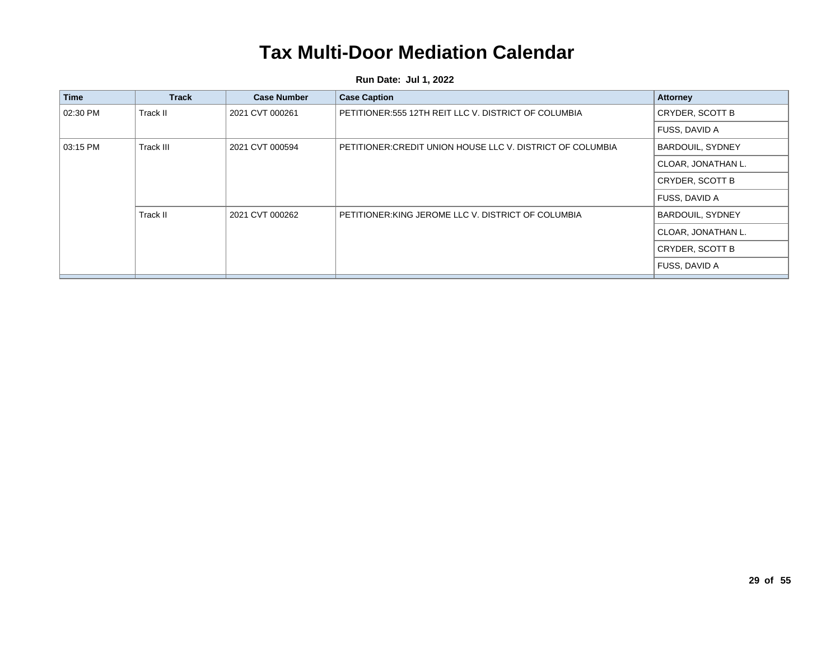| <b>Time</b> | <b>Track</b> | <b>Case Number</b> | <b>Case Caption</b>                                       | <b>Attorney</b>         |
|-------------|--------------|--------------------|-----------------------------------------------------------|-------------------------|
| 02:30 PM    | Track II     | 2021 CVT 000261    | PETITIONER:555 12TH REIT LLC V. DISTRICT OF COLUMBIA      | CRYDER, SCOTT B         |
|             |              |                    |                                                           | FUSS, DAVID A           |
| 03:15 PM    | Track III    | 2021 CVT 000594    | PETITIONER:CREDIT UNION HOUSE LLC V. DISTRICT OF COLUMBIA | <b>BARDOUIL, SYDNEY</b> |
|             |              |                    |                                                           | CLOAR, JONATHAN L.      |
|             |              |                    |                                                           | CRYDER, SCOTT B         |
|             |              |                    |                                                           | FUSS, DAVID A           |
|             | Track II     | 2021 CVT 000262    | PETITIONER:KING JEROME LLC V. DISTRICT OF COLUMBIA        | <b>BARDOUIL, SYDNEY</b> |
|             |              |                    |                                                           | CLOAR, JONATHAN L.      |
|             |              |                    |                                                           | CRYDER, SCOTT B         |
|             |              |                    |                                                           | FUSS, DAVID A           |
|             |              |                    |                                                           |                         |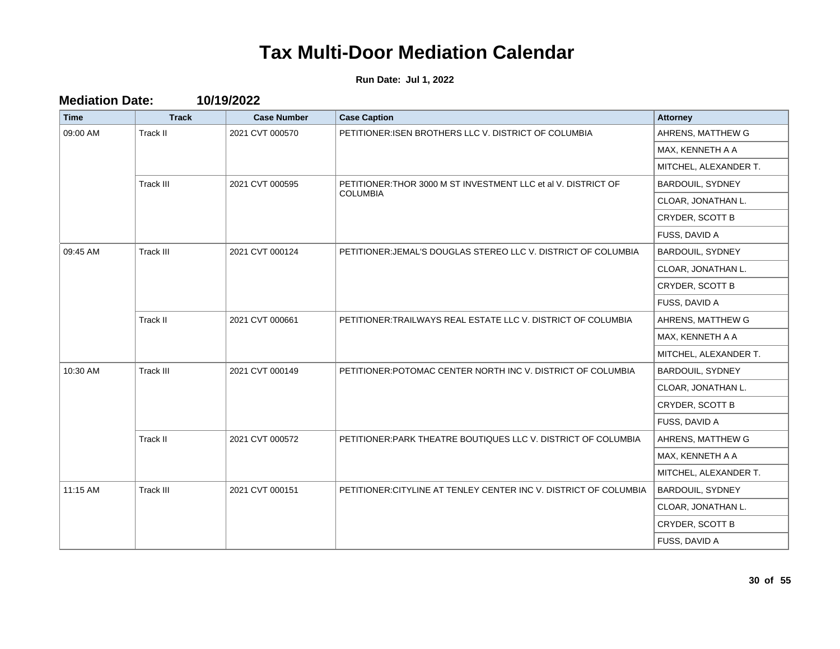| <b>Time</b>                                                                    | <b>Track</b>                                                   | <b>Case Number</b>      | <b>Case Caption</b>                                               | <b>Attorney</b>       |
|--------------------------------------------------------------------------------|----------------------------------------------------------------|-------------------------|-------------------------------------------------------------------|-----------------------|
| 09:00 AM                                                                       | Track II                                                       | 2021 CVT 000570         | PETITIONER: ISEN BROTHERS LLC V. DISTRICT OF COLUMBIA             | AHRENS, MATTHEW G     |
|                                                                                |                                                                |                         |                                                                   | MAX, KENNETH A A      |
|                                                                                |                                                                |                         |                                                                   | MITCHEL, ALEXANDER T. |
|                                                                                | Track III                                                      | 2021 CVT 000595         | PETITIONER: THOR 3000 M ST INVESTMENT LLC et al V. DISTRICT OF    | BARDOUIL, SYDNEY      |
|                                                                                |                                                                |                         | <b>COLUMBIA</b>                                                   | CLOAR, JONATHAN L.    |
|                                                                                |                                                                |                         |                                                                   | CRYDER, SCOTT B       |
|                                                                                |                                                                |                         |                                                                   | FUSS, DAVID A         |
| 09:45 AM<br><b>Track III</b><br>2021 CVT 000124<br>Track II<br>2021 CVT 000661 | PETITIONER: JEMAL'S DOUGLAS STEREO LLC V. DISTRICT OF COLUMBIA | <b>BARDOUIL, SYDNEY</b> |                                                                   |                       |
|                                                                                |                                                                |                         |                                                                   | CLOAR, JONATHAN L.    |
|                                                                                |                                                                |                         |                                                                   | CRYDER, SCOTT B       |
|                                                                                |                                                                |                         |                                                                   | FUSS, DAVID A         |
|                                                                                |                                                                |                         | PETITIONER: TRAILWAYS REAL ESTATE LLC V. DISTRICT OF COLUMBIA     | AHRENS, MATTHEW G     |
|                                                                                |                                                                |                         |                                                                   | MAX, KENNETH A A      |
|                                                                                |                                                                |                         |                                                                   | MITCHEL, ALEXANDER T. |
| 10:30 AM                                                                       | <b>Track III</b>                                               | 2021 CVT 000149         | PETITIONER: POTOMAC CENTER NORTH INC V. DISTRICT OF COLUMBIA      | BARDOUIL, SYDNEY      |
|                                                                                |                                                                |                         |                                                                   | CLOAR, JONATHAN L.    |
|                                                                                |                                                                |                         |                                                                   | CRYDER, SCOTT B       |
|                                                                                |                                                                |                         |                                                                   | FUSS, DAVID A         |
|                                                                                | Track II                                                       | 2021 CVT 000572         | PETITIONER: PARK THEATRE BOUTIQUES LLC V. DISTRICT OF COLUMBIA    | AHRENS, MATTHEW G     |
|                                                                                |                                                                |                         |                                                                   | MAX, KENNETH A A      |
|                                                                                |                                                                |                         |                                                                   | MITCHEL, ALEXANDER T. |
| 11:15 AM                                                                       | <b>Track III</b>                                               | 2021 CVT 000151         | PETITIONER: CITYLINE AT TENLEY CENTER INC V. DISTRICT OF COLUMBIA | BARDOUIL, SYDNEY      |
|                                                                                |                                                                |                         |                                                                   | CLOAR, JONATHAN L.    |
|                                                                                |                                                                |                         |                                                                   | CRYDER, SCOTT B       |
|                                                                                |                                                                |                         |                                                                   | FUSS, DAVID A         |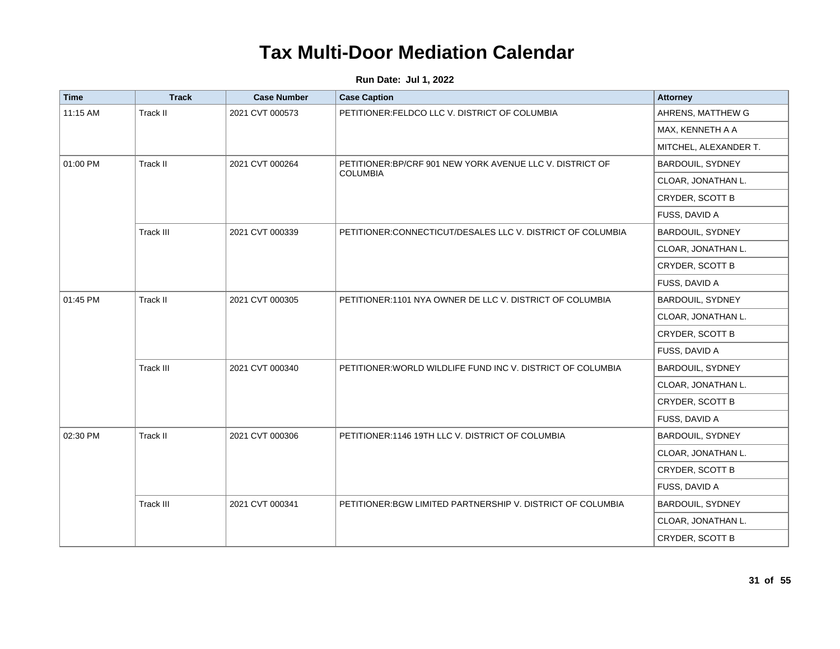| <b>Time</b>          | <b>Track</b>    | <b>Case Number</b> | <b>Case Caption</b>                                                                                                                                                                                                                      | <b>Attorney</b>       |
|----------------------|-----------------|--------------------|------------------------------------------------------------------------------------------------------------------------------------------------------------------------------------------------------------------------------------------|-----------------------|
| 11:15 AM             | Track II        | 2021 CVT 000573    | PETITIONER: FELDCO LLC V. DISTRICT OF COLUMBIA                                                                                                                                                                                           | AHRENS, MATTHEW G     |
|                      |                 |                    | PETITIONER: BP/CRF 901 NEW YORK AVENUE LLC V. DISTRICT OF<br><b>COLUMBIA</b><br>FUSS, DAVID A<br>PETITIONER:CONNECTICUT/DESALES LLC V. DISTRICT OF COLUMBIA<br>FUSS, DAVID A<br>PETITIONER:1101 NYA OWNER DE LLC V. DISTRICT OF COLUMBIA | MAX, KENNETH A A      |
|                      |                 |                    |                                                                                                                                                                                                                                          | MITCHEL, ALEXANDER T. |
| 01:00 PM<br>Track II | 2021 CVT 000264 |                    | BARDOUIL, SYDNEY                                                                                                                                                                                                                         |                       |
|                      |                 |                    |                                                                                                                                                                                                                                          | CLOAR, JONATHAN L.    |
|                      |                 |                    |                                                                                                                                                                                                                                          | CRYDER, SCOTT B       |
|                      |                 |                    |                                                                                                                                                                                                                                          |                       |
|                      | Track III       | 2021 CVT 000339    |                                                                                                                                                                                                                                          | BARDOUIL, SYDNEY      |
|                      |                 |                    |                                                                                                                                                                                                                                          | CLOAR, JONATHAN L.    |
|                      |                 |                    |                                                                                                                                                                                                                                          | CRYDER, SCOTT B       |
|                      |                 |                    |                                                                                                                                                                                                                                          |                       |
| 01:45 PM             | Track II        | 2021 CVT 000305    |                                                                                                                                                                                                                                          | BARDOUIL, SYDNEY      |
|                      |                 |                    |                                                                                                                                                                                                                                          | CLOAR, JONATHAN L.    |
|                      |                 |                    |                                                                                                                                                                                                                                          | CRYDER, SCOTT B       |
|                      |                 |                    |                                                                                                                                                                                                                                          | FUSS, DAVID A         |
|                      | Track III       | 2021 CVT 000340    | PETITIONER: WORLD WILDLIFE FUND INC V. DISTRICT OF COLUMBIA                                                                                                                                                                              | BARDOUIL, SYDNEY      |
|                      |                 |                    |                                                                                                                                                                                                                                          | CLOAR, JONATHAN L.    |
|                      |                 |                    |                                                                                                                                                                                                                                          | CRYDER, SCOTT B       |
|                      |                 |                    |                                                                                                                                                                                                                                          | FUSS, DAVID A         |
| 02:30 PM             | Track II        | 2021 CVT 000306    | PETITIONER: 1146 19TH LLC V. DISTRICT OF COLUMBIA                                                                                                                                                                                        | BARDOUIL, SYDNEY      |
|                      |                 |                    |                                                                                                                                                                                                                                          | CLOAR, JONATHAN L.    |
|                      |                 |                    |                                                                                                                                                                                                                                          | CRYDER, SCOTT B       |
|                      |                 |                    |                                                                                                                                                                                                                                          | FUSS, DAVID A         |
|                      | Track III       | 2021 CVT 000341    | PETITIONER: BGW LIMITED PARTNERSHIP V. DISTRICT OF COLUMBIA                                                                                                                                                                              | BARDOUIL, SYDNEY      |
|                      |                 |                    |                                                                                                                                                                                                                                          | CLOAR, JONATHAN L.    |
|                      |                 |                    |                                                                                                                                                                                                                                          | CRYDER, SCOTT B       |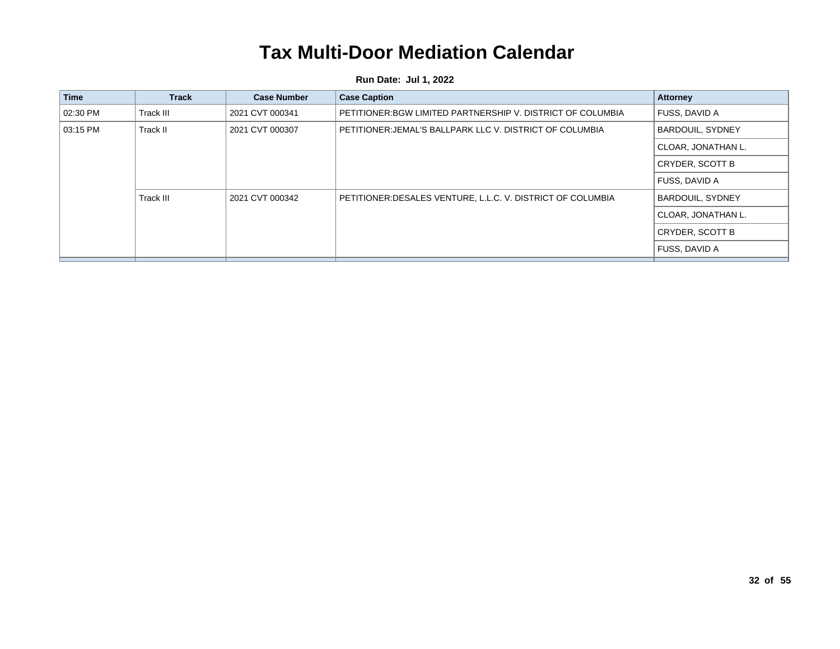| <b>Time</b> | <b>Track</b> | <b>Case Number</b> | <b>Case Caption</b>                                        | <b>Attorney</b>         |
|-------------|--------------|--------------------|------------------------------------------------------------|-------------------------|
| 02:30 PM    | Track III    | 2021 CVT 000341    | PETITIONER:BGW LIMITED PARTNERSHIP V. DISTRICT OF COLUMBIA | FUSS, DAVID A           |
| 03:15 PM    | Track II     | 2021 CVT 000307    | PETITIONER:JEMAL'S BALLPARK LLC V. DISTRICT OF COLUMBIA    | <b>BARDOUIL, SYDNEY</b> |
|             |              |                    |                                                            | CLOAR, JONATHAN L.      |
|             |              |                    |                                                            | CRYDER, SCOTT B         |
|             |              |                    |                                                            | FUSS, DAVID A           |
|             | Track III    | 2021 CVT 000342    | PETITIONER:DESALES VENTURE, L.L.C. V. DISTRICT OF COLUMBIA | <b>BARDOUIL, SYDNEY</b> |
|             |              |                    |                                                            | CLOAR, JONATHAN L.      |
|             |              |                    |                                                            | CRYDER, SCOTT B         |
|             |              |                    |                                                            | FUSS, DAVID A           |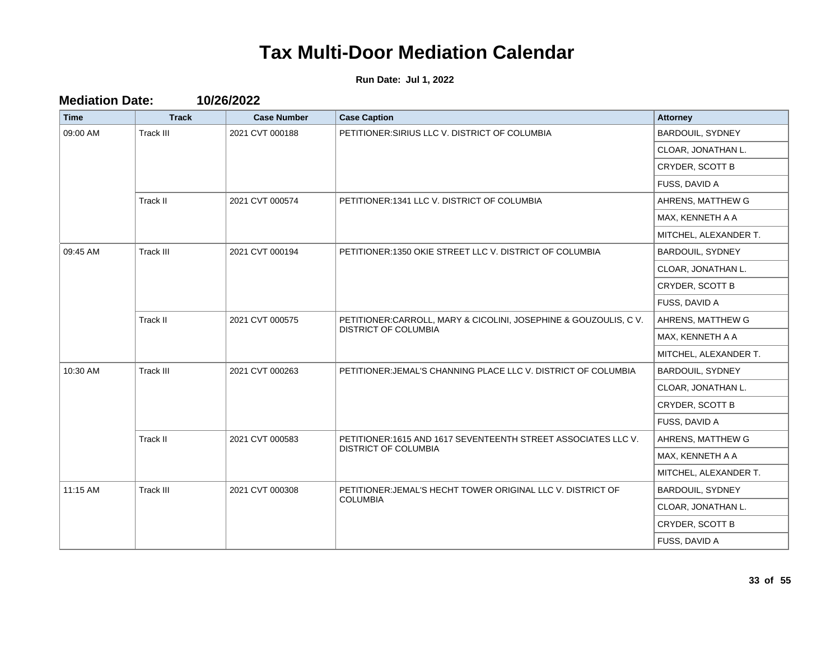**Run Date: Jul 1, 2022**

**Mediation Date: 10/26/2022**

| <b>Time</b> | <b>Track</b>     | <b>Case Number</b>                                             | <b>Case Caption</b>                                                                              | <b>Attorney</b>         |
|-------------|------------------|----------------------------------------------------------------|--------------------------------------------------------------------------------------------------|-------------------------|
| 09:00 AM    | Track III        | 2021 CVT 000188                                                | PETITIONER: SIRIUS LLC V. DISTRICT OF COLUMBIA                                                   | BARDOUIL, SYDNEY        |
|             |                  |                                                                |                                                                                                  | CLOAR, JONATHAN L.      |
|             |                  |                                                                |                                                                                                  | CRYDER, SCOTT B         |
|             |                  |                                                                |                                                                                                  | FUSS, DAVID A           |
|             | Track II         | 2021 CVT 000574<br>PETITIONER:1341 LLC V. DISTRICT OF COLUMBIA | AHRENS, MATTHEW G                                                                                |                         |
|             |                  |                                                                |                                                                                                  | MAX, KENNETH A A        |
|             |                  |                                                                |                                                                                                  | MITCHEL, ALEXANDER T.   |
| 09:45 AM    | Track III        | 2021 CVT 000194                                                | PETITIONER:1350 OKIE STREET LLC V. DISTRICT OF COLUMBIA                                          | <b>BARDOUIL, SYDNEY</b> |
| Track II    |                  |                                                                |                                                                                                  | CLOAR, JONATHAN L.      |
|             |                  |                                                                |                                                                                                  | CRYDER, SCOTT B         |
|             |                  |                                                                |                                                                                                  | FUSS, DAVID A           |
|             |                  | 2021 CVT 000575                                                | PETITIONER: CARROLL, MARY & CICOLINI, JOSEPHINE & GOUZOULIS, C V.<br><b>DISTRICT OF COLUMBIA</b> | AHRENS, MATTHEW G       |
|             |                  |                                                                |                                                                                                  | MAX, KENNETH A A        |
|             |                  |                                                                |                                                                                                  | MITCHEL, ALEXANDER T.   |
| 10:30 AM    | <b>Track III</b> | 2021 CVT 000263                                                | PETITIONER: JEMAL'S CHANNING PLACE LLC V. DISTRICT OF COLUMBIA                                   | BARDOUIL, SYDNEY        |
|             |                  |                                                                |                                                                                                  | CLOAR, JONATHAN L.      |
|             |                  |                                                                |                                                                                                  | CRYDER, SCOTT B         |
|             |                  |                                                                |                                                                                                  | FUSS, DAVID A           |
|             | Track II         | 2021 CVT 000583                                                | PETITIONER:1615 AND 1617 SEVENTEENTH STREET ASSOCIATES LLC V.                                    | AHRENS, MATTHEW G       |
|             |                  |                                                                | DISTRICT OF COLUMBIA                                                                             | MAX, KENNETH A A        |
|             |                  |                                                                |                                                                                                  | MITCHEL, ALEXANDER T.   |
| 11:15 AM    | <b>Track III</b> | 2021 CVT 000308                                                | PETITIONER: JEMAL'S HECHT TOWER ORIGINAL LLC V. DISTRICT OF                                      | BARDOUIL, SYDNEY        |
|             |                  |                                                                | <b>COLUMBIA</b>                                                                                  | CLOAR, JONATHAN L.      |
|             |                  |                                                                |                                                                                                  | CRYDER, SCOTT B         |
|             |                  |                                                                |                                                                                                  | FUSS, DAVID A           |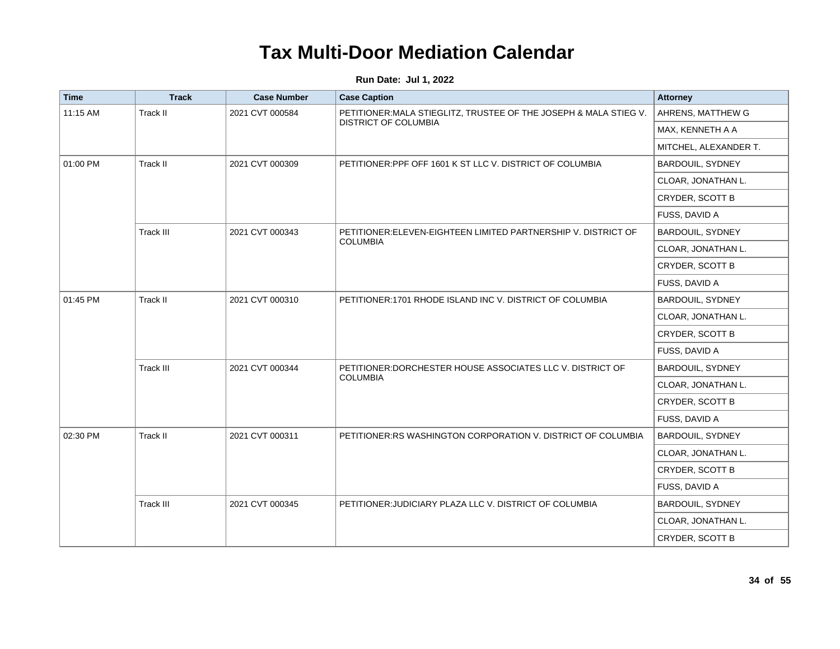| <b>Time</b> | <b>Track</b>     | <b>Case Number</b>                 | <b>Case Caption</b>                                               | <b>Attorney</b>         |
|-------------|------------------|------------------------------------|-------------------------------------------------------------------|-------------------------|
| 11:15 AM    | Track II         | 2021 CVT 000584                    | PETITIONER: MALA STIEGLITZ, TRUSTEE OF THE JOSEPH & MALA STIEG V. | AHRENS, MATTHEW G       |
|             |                  |                                    | <b>DISTRICT OF COLUMBIA</b>                                       | MAX, KENNETH A A        |
|             |                  |                                    |                                                                   | MITCHEL, ALEXANDER T.   |
| 01:00 PM    | Track II         | 2021 CVT 000309                    | PETITIONER: PPF OFF 1601 K ST LLC V. DISTRICT OF COLUMBIA         | BARDOUIL, SYDNEY        |
|             |                  |                                    |                                                                   | CLOAR, JONATHAN L.      |
|             |                  |                                    |                                                                   | CRYDER, SCOTT B         |
|             |                  |                                    |                                                                   | FUSS, DAVID A           |
|             | Track III        | 2021 CVT 000343                    | PETITIONER: ELEVEN-EIGHTEEN LIMITED PARTNERSHIP V. DISTRICT OF    | BARDOUIL, SYDNEY        |
|             |                  |                                    | <b>COLUMBIA</b>                                                   | CLOAR, JONATHAN L.      |
|             |                  |                                    |                                                                   | CRYDER, SCOTT B         |
|             |                  |                                    |                                                                   | FUSS, DAVID A           |
| 01:45 PM    | Track II         | 2021 CVT 000310                    | PETITIONER:1701 RHODE ISLAND INC V. DISTRICT OF COLUMBIA          | BARDOUIL, SYDNEY        |
|             |                  |                                    |                                                                   | CLOAR, JONATHAN L.      |
|             |                  |                                    |                                                                   | CRYDER, SCOTT B         |
|             |                  |                                    |                                                                   | FUSS, DAVID A           |
|             | Track III        | 2021 CVT 000344<br><b>COLUMBIA</b> | PETITIONER: DORCHESTER HOUSE ASSOCIATES LLC V. DISTRICT OF        | BARDOUIL, SYDNEY        |
|             |                  |                                    |                                                                   | CLOAR, JONATHAN L.      |
|             |                  |                                    |                                                                   | CRYDER, SCOTT B         |
|             |                  |                                    |                                                                   | FUSS, DAVID A           |
| 02:30 PM    | Track II         | 2021 CVT 000311                    | PETITIONER:RS WASHINGTON CORPORATION V. DISTRICT OF COLUMBIA      | BARDOUIL, SYDNEY        |
|             |                  |                                    |                                                                   | CLOAR, JONATHAN L.      |
|             |                  |                                    |                                                                   | CRYDER, SCOTT B         |
|             |                  |                                    |                                                                   | FUSS, DAVID A           |
|             | <b>Track III</b> | 2021 CVT 000345                    | PETITIONER: JUDICIARY PLAZA LLC V. DISTRICT OF COLUMBIA           | <b>BARDOUIL, SYDNEY</b> |
|             |                  |                                    |                                                                   | CLOAR, JONATHAN L.      |
|             |                  |                                    |                                                                   | CRYDER, SCOTT B         |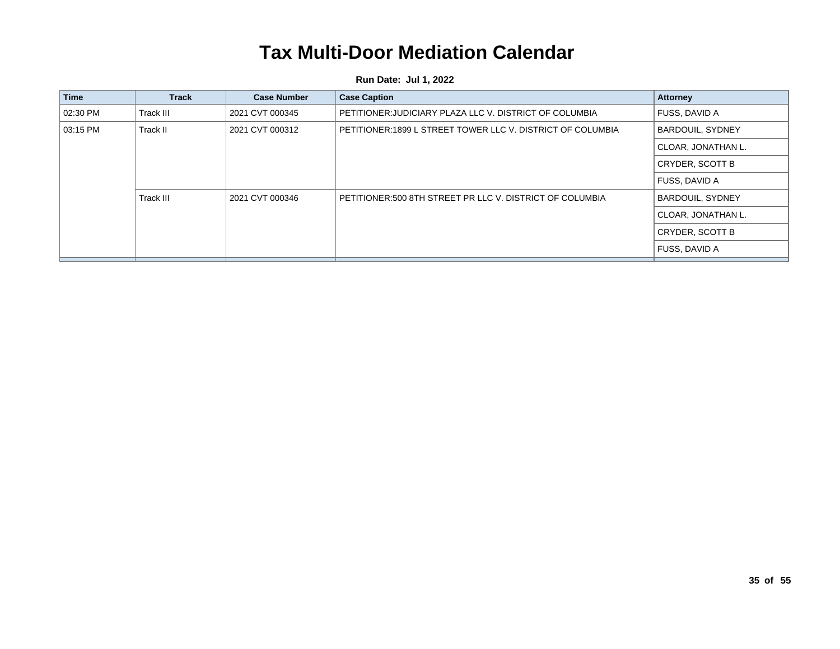| <b>Time</b> | <b>Track</b> | <b>Case Number</b> | <b>Case Caption</b>                                        | <b>Attorney</b>         |
|-------------|--------------|--------------------|------------------------------------------------------------|-------------------------|
| 02:30 PM    | Track III    | 2021 CVT 000345    | PETITIONER:JUDICIARY PLAZA LLC V. DISTRICT OF COLUMBIA     | <b>FUSS, DAVID A</b>    |
| 03:15 PM    | Track II     | 2021 CVT 000312    | PETITIONER:1899 L STREET TOWER LLC V. DISTRICT OF COLUMBIA | <b>BARDOUIL, SYDNEY</b> |
|             |              |                    |                                                            | CLOAR, JONATHAN L.      |
|             |              |                    |                                                            | CRYDER, SCOTT B         |
|             |              |                    |                                                            | FUSS, DAVID A           |
|             | Track III    | 2021 CVT 000346    | PETITIONER:500 8TH STREET PR LLC V. DISTRICT OF COLUMBIA   | <b>BARDOUIL, SYDNEY</b> |
|             |              |                    |                                                            | CLOAR, JONATHAN L.      |
|             |              |                    |                                                            | CRYDER, SCOTT B         |
|             |              |                    |                                                            | <b>FUSS, DAVID A</b>    |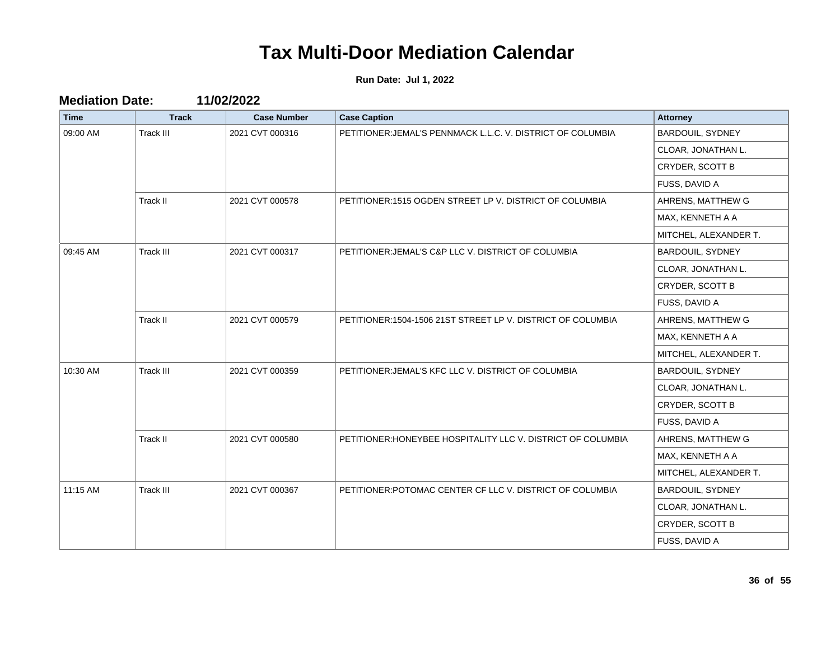| <b>Time</b> | <b>Track</b>     | <b>Case Number</b> | <b>Case Caption</b>                                          | <b>Attorney</b>       |
|-------------|------------------|--------------------|--------------------------------------------------------------|-----------------------|
| 09:00 AM    | Track III        | 2021 CVT 000316    | PETITIONER: JEMAL'S PENNMACK L.L.C. V. DISTRICT OF COLUMBIA  | BARDOUIL, SYDNEY      |
|             |                  |                    |                                                              | CLOAR, JONATHAN L.    |
|             |                  |                    |                                                              | CRYDER, SCOTT B       |
|             |                  |                    |                                                              | FUSS, DAVID A         |
|             | Track II         | 2021 CVT 000578    | PETITIONER:1515 OGDEN STREET LP V. DISTRICT OF COLUMBIA      | AHRENS, MATTHEW G     |
|             |                  |                    |                                                              | MAX, KENNETH A A      |
|             |                  |                    |                                                              | MITCHEL, ALEXANDER T. |
| 09:45 AM    | <b>Track III</b> | 2021 CVT 000317    | PETITIONER: JEMAL'S C&P LLC V. DISTRICT OF COLUMBIA          | BARDOUIL, SYDNEY      |
|             |                  |                    |                                                              | CLOAR, JONATHAN L.    |
|             |                  |                    |                                                              | CRYDER, SCOTT B       |
|             |                  |                    |                                                              | FUSS, DAVID A         |
|             | Track II         | 2021 CVT 000579    | PETITIONER: 1504-1506 21ST STREET LP V. DISTRICT OF COLUMBIA | AHRENS, MATTHEW G     |
|             |                  |                    |                                                              | MAX, KENNETH A A      |
|             |                  |                    |                                                              | MITCHEL, ALEXANDER T. |
| 10:30 AM    | <b>Track III</b> | 2021 CVT 000359    | PETITIONER: JEMAL'S KFC LLC V. DISTRICT OF COLUMBIA          | BARDOUIL, SYDNEY      |
|             |                  |                    |                                                              | CLOAR, JONATHAN L.    |
|             |                  |                    |                                                              | CRYDER, SCOTT B       |
|             |                  |                    |                                                              | FUSS, DAVID A         |
|             | Track II         | 2021 CVT 000580    | PETITIONER: HONEYBEE HOSPITALITY LLC V. DISTRICT OF COLUMBIA | AHRENS, MATTHEW G     |
|             |                  |                    |                                                              | MAX, KENNETH A A      |
|             |                  |                    |                                                              | MITCHEL, ALEXANDER T. |
| 11:15 AM    | <b>Track III</b> | 2021 CVT 000367    | PETITIONER: POTOMAC CENTER CF LLC V. DISTRICT OF COLUMBIA    | BARDOUIL, SYDNEY      |
|             |                  |                    |                                                              | CLOAR, JONATHAN L.    |
|             |                  |                    |                                                              | CRYDER, SCOTT B       |
|             |                  |                    |                                                              | FUSS, DAVID A         |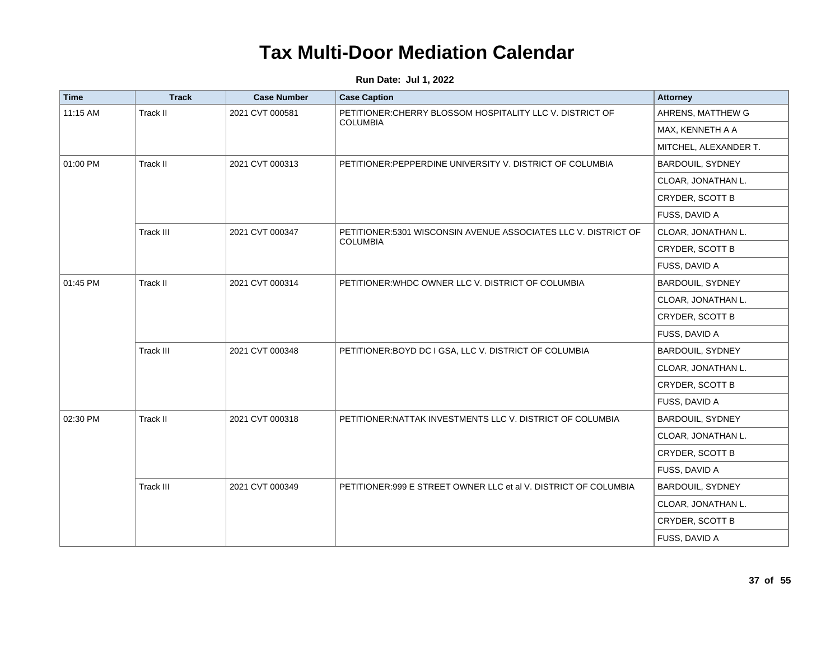| <b>Time</b> | <b>Track</b>    | <b>Case Number</b> | <b>Case Caption</b>                                             | <b>Attorney</b>         |
|-------------|-----------------|--------------------|-----------------------------------------------------------------|-------------------------|
| 11:15 AM    | Track II        | 2021 CVT 000581    | PETITIONER: CHERRY BLOSSOM HOSPITALITY LLC V. DISTRICT OF       | AHRENS, MATTHEW G       |
|             |                 |                    | <b>COLUMBIA</b>                                                 | MAX, KENNETH A A        |
|             |                 |                    |                                                                 | MITCHEL, ALEXANDER T.   |
| 01:00 PM    | Track II        | 2021 CVT 000313    | PETITIONER: PEPPERDINE UNIVERSITY V. DISTRICT OF COLUMBIA       | <b>BARDOUIL, SYDNEY</b> |
|             |                 |                    |                                                                 | CLOAR, JONATHAN L.      |
|             |                 |                    |                                                                 | CRYDER, SCOTT B         |
|             |                 |                    |                                                                 | FUSS, DAVID A           |
|             | Track III       | 2021 CVT 000347    | PETITIONER:5301 WISCONSIN AVENUE ASSOCIATES LLC V. DISTRICT OF  | CLOAR, JONATHAN L.      |
|             | <b>COLUMBIA</b> |                    | CRYDER, SCOTT B                                                 |                         |
|             |                 |                    |                                                                 | FUSS, DAVID A           |
| 01:45 PM    | Track II        | 2021 CVT 000314    | PETITIONER: WHDC OWNER LLC V. DISTRICT OF COLUMBIA              | BARDOUIL, SYDNEY        |
|             |                 |                    |                                                                 | CLOAR, JONATHAN L.      |
|             |                 |                    |                                                                 | CRYDER, SCOTT B         |
|             |                 |                    |                                                                 | FUSS, DAVID A           |
|             | Track III       | 2021 CVT 000348    | PETITIONER: BOYD DC I GSA, LLC V. DISTRICT OF COLUMBIA          | BARDOUIL, SYDNEY        |
|             |                 |                    |                                                                 | CLOAR, JONATHAN L.      |
|             |                 |                    |                                                                 | CRYDER, SCOTT B         |
|             |                 |                    |                                                                 | FUSS, DAVID A           |
| 02:30 PM    | Track II        | 2021 CVT 000318    | PETITIONER: NATTAK INVESTMENTS LLC V. DISTRICT OF COLUMBIA      | BARDOUIL, SYDNEY        |
|             |                 |                    |                                                                 | CLOAR, JONATHAN L.      |
|             |                 |                    |                                                                 | CRYDER, SCOTT B         |
|             |                 |                    |                                                                 | FUSS, DAVID A           |
|             | Track III       | 2021 CVT 000349    | PETITIONER:999 E STREET OWNER LLC et al V. DISTRICT OF COLUMBIA | BARDOUIL, SYDNEY        |
|             |                 |                    |                                                                 | CLOAR, JONATHAN L.      |
|             |                 |                    |                                                                 | CRYDER, SCOTT B         |
|             |                 |                    |                                                                 | FUSS, DAVID A           |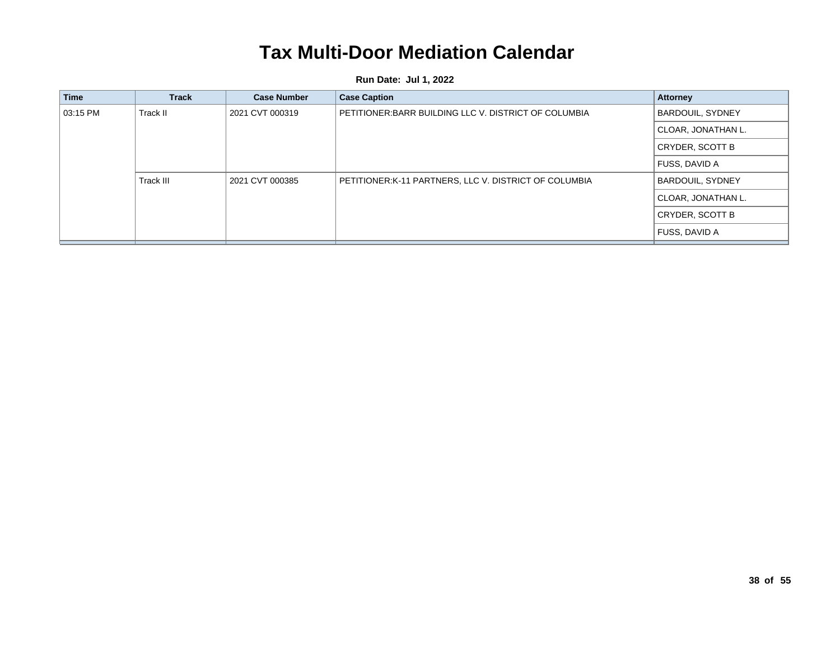| <b>Time</b> | <b>Track</b> | <b>Case Number</b> | <b>Case Caption</b>                                   | <b>Attorney</b>         |
|-------------|--------------|--------------------|-------------------------------------------------------|-------------------------|
| 03:15 PM    | Track II     | 2021 CVT 000319    | PETITIONER:BARR BUILDING LLC V. DISTRICT OF COLUMBIA  | <b>BARDOUIL, SYDNEY</b> |
|             |              |                    |                                                       | CLOAR, JONATHAN L.      |
|             |              |                    |                                                       | CRYDER, SCOTT B         |
|             |              |                    |                                                       | FUSS, DAVID A           |
|             | Track III    | 2021 CVT 000385    | PETITIONER:K-11 PARTNERS, LLC V. DISTRICT OF COLUMBIA | <b>BARDOUIL, SYDNEY</b> |
|             |              |                    |                                                       | CLOAR, JONATHAN L.      |
|             |              |                    | CRYDER, SCOTT B                                       |                         |
|             |              |                    |                                                       | FUSS, DAVID A           |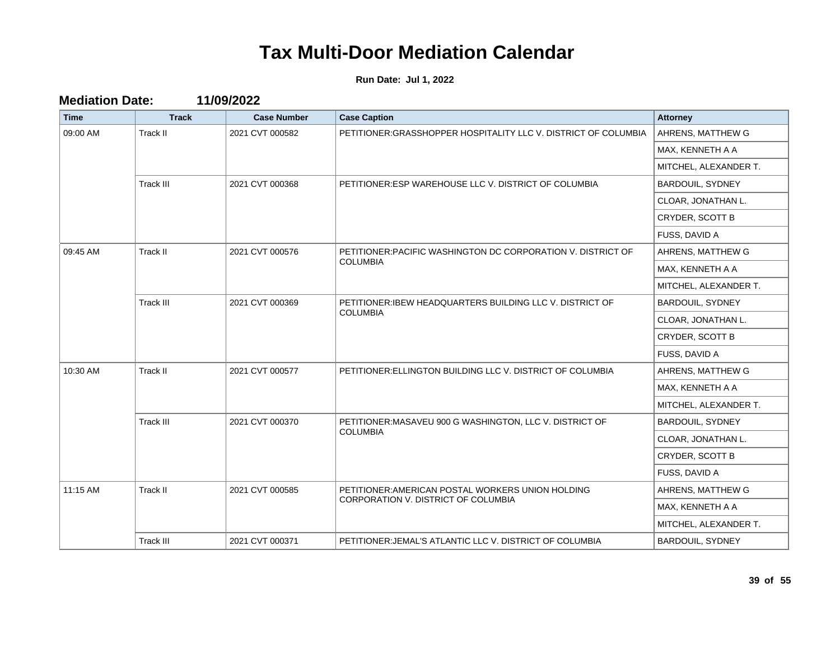**Run Date: Jul 1, 2022**

**Mediation Date: 11/09/2022**

| <b>Time</b> | <b>Track</b>     | <b>Case Number</b> | <b>Case Caption</b>                                                          | <b>Attorney</b>         |
|-------------|------------------|--------------------|------------------------------------------------------------------------------|-------------------------|
| 09:00 AM    | Track II         | 2021 CVT 000582    | PETITIONER: GRASSHOPPER HOSPITALITY LLC V. DISTRICT OF COLUMBIA              | AHRENS, MATTHEW G       |
|             |                  |                    |                                                                              | MAX, KENNETH A A        |
|             |                  |                    |                                                                              | MITCHEL, ALEXANDER T.   |
|             | Track III        | 2021 CVT 000368    | PETITIONER: ESP WAREHOUSE LLC V. DISTRICT OF COLUMBIA                        | BARDOUIL, SYDNEY        |
|             |                  |                    |                                                                              | CLOAR, JONATHAN L.      |
|             |                  |                    |                                                                              | CRYDER, SCOTT B         |
|             |                  |                    |                                                                              | FUSS, DAVID A           |
| 09:45 AM    | Track II         | 2021 CVT 000576    | PETITIONER: PACIFIC WASHINGTON DC CORPORATION V. DISTRICT OF                 | AHRENS, MATTHEW G       |
|             |                  |                    | <b>COLUMBIA</b>                                                              | MAX, KENNETH A A        |
|             |                  |                    |                                                                              | MITCHEL, ALEXANDER T.   |
|             | <b>Track III</b> | 2021 CVT 000369    | PETITIONER: IBEW HEADQUARTERS BUILDING LLC V. DISTRICT OF<br><b>COLUMBIA</b> | <b>BARDOUIL, SYDNEY</b> |
|             |                  |                    |                                                                              | CLOAR, JONATHAN L.      |
|             |                  |                    |                                                                              | CRYDER, SCOTT B         |
|             |                  |                    |                                                                              | FUSS, DAVID A           |
| 10:30 AM    | Track II         | 2021 CVT 000577    | PETITIONER: ELLINGTON BUILDING LLC V. DISTRICT OF COLUMBIA                   | AHRENS, MATTHEW G       |
|             |                  |                    |                                                                              | MAX, KENNETH A A        |
|             |                  |                    |                                                                              | MITCHEL, ALEXANDER T.   |
|             | <b>Track III</b> | 2021 CVT 000370    | PETITIONER: MASAVEU 900 G WASHINGTON, LLC V. DISTRICT OF                     | <b>BARDOUIL, SYDNEY</b> |
|             |                  |                    | <b>COLUMBIA</b>                                                              | CLOAR, JONATHAN L.      |
|             |                  |                    |                                                                              | CRYDER, SCOTT B         |
|             |                  |                    |                                                                              | FUSS, DAVID A           |
| 11:15 AM    | Track II         | 2021 CVT 000585    | PETITIONER: AMERICAN POSTAL WORKERS UNION HOLDING                            | AHRENS, MATTHEW G       |
|             |                  |                    | CORPORATION V. DISTRICT OF COLUMBIA                                          | MAX, KENNETH A A        |
|             |                  |                    |                                                                              | MITCHEL, ALEXANDER T.   |
|             | Track III        | 2021 CVT 000371    | PETITIONER: JEMAL'S ATLANTIC LLC V. DISTRICT OF COLUMBIA                     | <b>BARDOUIL, SYDNEY</b> |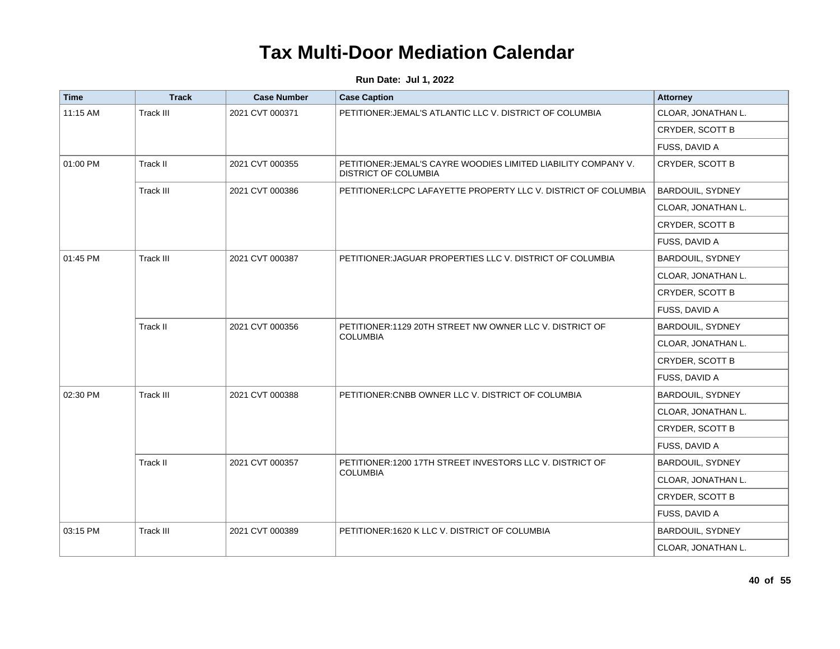| <b>Time</b> | <b>Track</b> | <b>Case Number</b> | <b>Case Caption</b>                                                                           | <b>Attorney</b>         |
|-------------|--------------|--------------------|-----------------------------------------------------------------------------------------------|-------------------------|
| 11:15 AM    | Track III    | 2021 CVT 000371    | PETITIONER: JEMAL'S ATLANTIC LLC V. DISTRICT OF COLUMBIA                                      | CLOAR, JONATHAN L.      |
|             |              |                    |                                                                                               | CRYDER, SCOTT B         |
|             |              |                    |                                                                                               | FUSS, DAVID A           |
| 01:00 PM    | Track II     | 2021 CVT 000355    | PETITIONER: JEMAL'S CAYRE WOODIES LIMITED LIABILITY COMPANY V.<br><b>DISTRICT OF COLUMBIA</b> | CRYDER, SCOTT B         |
|             | Track III    | 2021 CVT 000386    | PETITIONER: LCPC LAFAYETTE PROPERTY LLC V. DISTRICT OF COLUMBIA                               | <b>BARDOUIL, SYDNEY</b> |
|             |              |                    |                                                                                               | CLOAR, JONATHAN L.      |
|             |              |                    |                                                                                               | CRYDER, SCOTT B         |
|             |              |                    |                                                                                               | FUSS, DAVID A           |
| 01:45 PM    | Track III    | 2021 CVT 000387    | PETITIONER: JAGUAR PROPERTIES LLC V. DISTRICT OF COLUMBIA                                     | BARDOUIL, SYDNEY        |
|             |              |                    |                                                                                               | CLOAR, JONATHAN L.      |
|             |              |                    |                                                                                               | CRYDER, SCOTT B         |
|             |              |                    |                                                                                               | FUSS, DAVID A           |
|             | Track II     | 2021 CVT 000356    | PETITIONER:1129 20TH STREET NW OWNER LLC V. DISTRICT OF                                       | BARDOUIL, SYDNEY        |
|             |              |                    | <b>COLUMBIA</b>                                                                               | CLOAR, JONATHAN L.      |
|             |              |                    |                                                                                               | CRYDER, SCOTT B         |
|             |              |                    |                                                                                               | FUSS, DAVID A           |
| 02:30 PM    | Track III    | 2021 CVT 000388    | PETITIONER: CNBB OWNER LLC V. DISTRICT OF COLUMBIA                                            | BARDOUIL, SYDNEY        |
|             |              |                    |                                                                                               | CLOAR, JONATHAN L.      |
|             |              |                    |                                                                                               | CRYDER, SCOTT B         |
|             |              |                    |                                                                                               | FUSS, DAVID A           |
|             | Track II     | 2021 CVT 000357    | PETITIONER:1200 17TH STREET INVESTORS LLC V. DISTRICT OF                                      | BARDOUIL, SYDNEY        |
|             |              |                    | <b>COLUMBIA</b>                                                                               | CLOAR, JONATHAN L.      |
|             |              |                    |                                                                                               | CRYDER, SCOTT B         |
|             |              |                    |                                                                                               | FUSS, DAVID A           |
| 03:15 PM    | Track III    | 2021 CVT 000389    | PETITIONER:1620 K LLC V. DISTRICT OF COLUMBIA                                                 | BARDOUIL, SYDNEY        |
|             |              |                    |                                                                                               | CLOAR, JONATHAN L.      |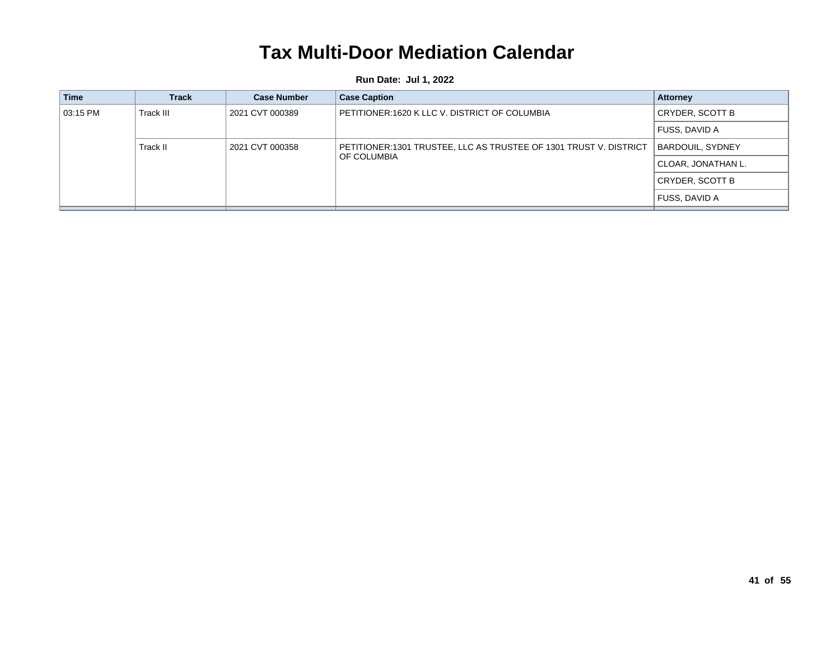| <b>Time</b> | Track     | <b>Case Number</b> | <b>Case Caption</b>                                               | <b>Attorney</b>         |
|-------------|-----------|--------------------|-------------------------------------------------------------------|-------------------------|
| 03:15 PM    | Track III | 2021 CVT 000389    | PETITIONER:1620 K LLC V. DISTRICT OF COLUMBIA                     | CRYDER, SCOTT B         |
|             |           |                    |                                                                   | FUSS, DAVID A           |
|             | Track II  | 2021 CVT 000358    | PETITIONER:1301 TRUSTEE, LLC AS TRUSTEE OF 1301 TRUST V. DISTRICT | <b>BARDOUIL, SYDNEY</b> |
|             |           | <b>OF COLUMBIA</b> | CLOAR, JONATHAN L.                                                |                         |
|             |           |                    | CRYDER, SCOTT B                                                   |                         |
|             |           |                    |                                                                   | FUSS, DAVID A           |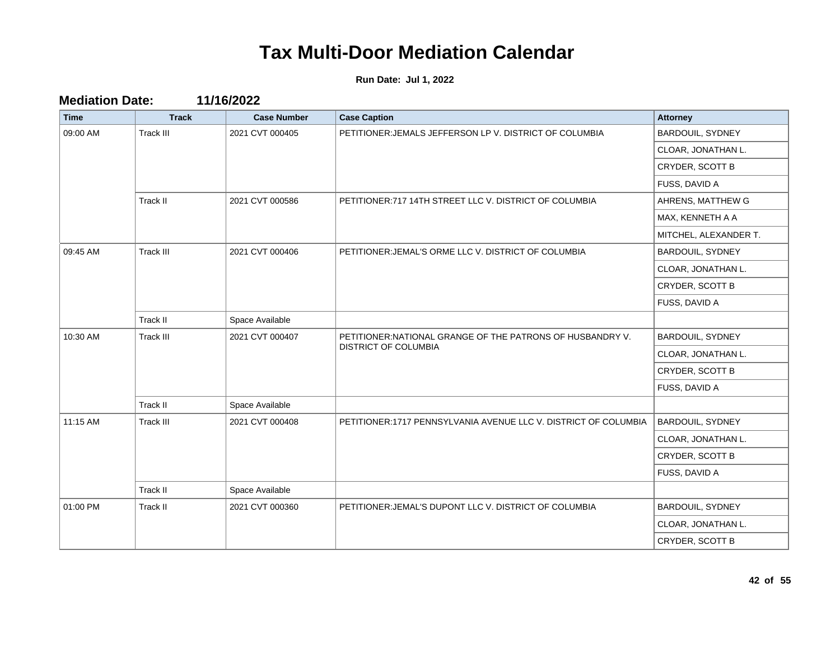| <b>Time</b> | <b>Track</b>     | <b>Case Number</b> | <b>Case Caption</b>                                                                       | <b>Attorney</b>         |
|-------------|------------------|--------------------|-------------------------------------------------------------------------------------------|-------------------------|
| 09:00 AM    | Track III        | 2021 CVT 000405    | PETITIONER: JEMALS JEFFERSON LP V. DISTRICT OF COLUMBIA                                   | BARDOUIL, SYDNEY        |
|             |                  |                    |                                                                                           | CLOAR, JONATHAN L.      |
|             |                  |                    |                                                                                           | CRYDER, SCOTT B         |
|             |                  |                    |                                                                                           | FUSS, DAVID A           |
|             | Track II         | 2021 CVT 000586    | PETITIONER: 717 14TH STREET LLC V. DISTRICT OF COLUMBIA                                   | AHRENS, MATTHEW G       |
|             |                  |                    |                                                                                           | MAX, KENNETH A A        |
|             |                  |                    |                                                                                           | MITCHEL, ALEXANDER T.   |
| 09:45 AM    | <b>Track III</b> | 2021 CVT 000406    | PETITIONER: JEMAL'S ORME LLC V. DISTRICT OF COLUMBIA                                      | <b>BARDOUIL, SYDNEY</b> |
|             |                  |                    |                                                                                           | CLOAR, JONATHAN L.      |
|             |                  |                    |                                                                                           | CRYDER, SCOTT B         |
|             |                  |                    |                                                                                           | FUSS, DAVID A           |
|             | Track II         | Space Available    |                                                                                           |                         |
| 10:30 AM    | Track III        | 2021 CVT 000407    | PETITIONER: NATIONAL GRANGE OF THE PATRONS OF HUSBANDRY V.<br><b>DISTRICT OF COLUMBIA</b> | BARDOUIL, SYDNEY        |
|             |                  |                    |                                                                                           | CLOAR, JONATHAN L.      |
|             |                  |                    |                                                                                           | CRYDER, SCOTT B         |
|             |                  |                    |                                                                                           | FUSS, DAVID A           |
|             | Track II         | Space Available    |                                                                                           |                         |
| 11:15 AM    | Track III        | 2021 CVT 000408    | PETITIONER:1717 PENNSYLVANIA AVENUE LLC V. DISTRICT OF COLUMBIA                           | <b>BARDOUIL, SYDNEY</b> |
|             |                  |                    |                                                                                           | CLOAR, JONATHAN L.      |
|             |                  |                    |                                                                                           | CRYDER, SCOTT B         |
|             |                  |                    |                                                                                           | FUSS, DAVID A           |
|             | Track II         | Space Available    |                                                                                           |                         |
| 01:00 PM    | Track II         | 2021 CVT 000360    | PETITIONER: JEMAL'S DUPONT LLC V. DISTRICT OF COLUMBIA                                    | <b>BARDOUIL, SYDNEY</b> |
|             |                  |                    |                                                                                           | CLOAR, JONATHAN L.      |
|             |                  |                    |                                                                                           | CRYDER, SCOTT B         |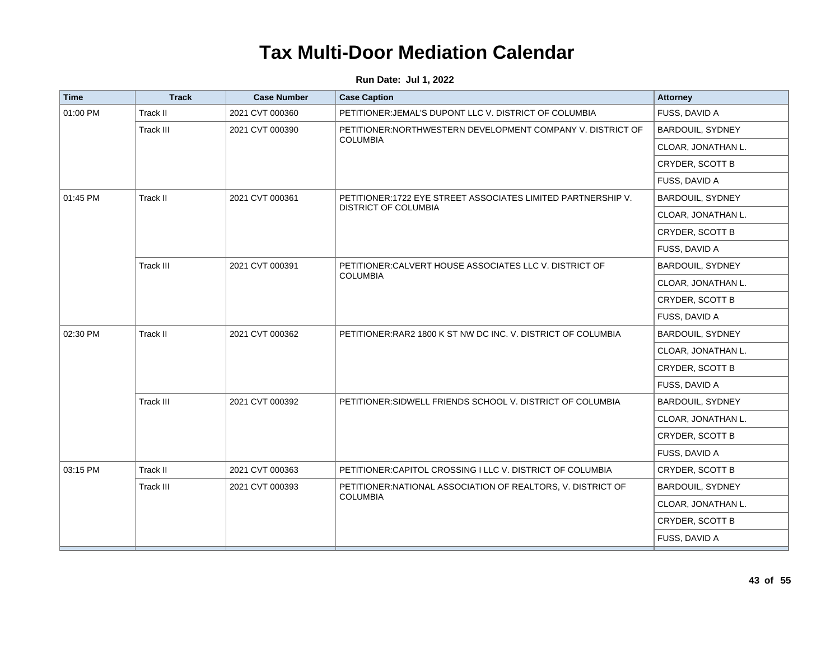| <b>Time</b> | <b>Track</b> | <b>Case Number</b> | <b>Case Caption</b>                                                                                                                                                                                                                                                                                                                                                                                                                                                                                                                                                                                                                                                                                                                                                                                                                                                                                          | <b>Attorney</b>         |
|-------------|--------------|--------------------|--------------------------------------------------------------------------------------------------------------------------------------------------------------------------------------------------------------------------------------------------------------------------------------------------------------------------------------------------------------------------------------------------------------------------------------------------------------------------------------------------------------------------------------------------------------------------------------------------------------------------------------------------------------------------------------------------------------------------------------------------------------------------------------------------------------------------------------------------------------------------------------------------------------|-------------------------|
| 01:00 PM    | Track II     | 2021 CVT 000360    | PETITIONER: JEMAL'S DUPONT LLC V. DISTRICT OF COLUMBIA                                                                                                                                                                                                                                                                                                                                                                                                                                                                                                                                                                                                                                                                                                                                                                                                                                                       | FUSS, DAVID A           |
|             | Track III    | 2021 CVT 000390    | PETITIONER: NORTHWESTERN DEVELOPMENT COMPANY V. DISTRICT OF                                                                                                                                                                                                                                                                                                                                                                                                                                                                                                                                                                                                                                                                                                                                                                                                                                                  | <b>BARDOUIL, SYDNEY</b> |
|             |              |                    |                                                                                                                                                                                                                                                                                                                                                                                                                                                                                                                                                                                                                                                                                                                                                                                                                                                                                                              | CLOAR, JONATHAN L.      |
|             |              |                    | <b>COLUMBIA</b><br>CRYDER, SCOTT B<br>FUSS, DAVID A<br>PETITIONER:1722 EYE STREET ASSOCIATES LIMITED PARTNERSHIP V.<br>BARDOUIL, SYDNEY<br><b>DISTRICT OF COLUMBIA</b><br>CLOAR, JONATHAN L.<br>CRYDER, SCOTT B<br>FUSS, DAVID A<br>BARDOUIL, SYDNEY<br>PETITIONER: CALVERT HOUSE ASSOCIATES LLC V. DISTRICT OF<br><b>COLUMBIA</b><br>CLOAR, JONATHAN L.<br>CRYDER, SCOTT B<br>FUSS, DAVID A<br>PETITIONER: RAR2 1800 K ST NW DC INC. V. DISTRICT OF COLUMBIA<br><b>BARDOUIL, SYDNEY</b><br>CLOAR, JONATHAN L.<br>CRYDER, SCOTT B<br>FUSS, DAVID A<br>PETITIONER: SIDWELL FRIENDS SCHOOL V. DISTRICT OF COLUMBIA<br>BARDOUIL, SYDNEY<br>CLOAR, JONATHAN L.<br>CRYDER, SCOTT B<br>FUSS, DAVID A<br>PETITIONER: CAPITOL CROSSING I LLC V. DISTRICT OF COLUMBIA<br>CRYDER, SCOTT B<br>PETITIONER: NATIONAL ASSOCIATION OF REALTORS, V. DISTRICT OF<br>BARDOUIL, SYDNEY<br><b>COLUMBIA</b><br>CLOAR, JONATHAN L. |                         |
|             |              |                    |                                                                                                                                                                                                                                                                                                                                                                                                                                                                                                                                                                                                                                                                                                                                                                                                                                                                                                              |                         |
| 01:45 PM    | Track II     | 2021 CVT 000361    |                                                                                                                                                                                                                                                                                                                                                                                                                                                                                                                                                                                                                                                                                                                                                                                                                                                                                                              |                         |
|             |              |                    |                                                                                                                                                                                                                                                                                                                                                                                                                                                                                                                                                                                                                                                                                                                                                                                                                                                                                                              |                         |
|             |              |                    |                                                                                                                                                                                                                                                                                                                                                                                                                                                                                                                                                                                                                                                                                                                                                                                                                                                                                                              |                         |
|             |              |                    |                                                                                                                                                                                                                                                                                                                                                                                                                                                                                                                                                                                                                                                                                                                                                                                                                                                                                                              |                         |
|             | Track III    | 2021 CVT 000391    |                                                                                                                                                                                                                                                                                                                                                                                                                                                                                                                                                                                                                                                                                                                                                                                                                                                                                                              |                         |
|             |              |                    |                                                                                                                                                                                                                                                                                                                                                                                                                                                                                                                                                                                                                                                                                                                                                                                                                                                                                                              |                         |
|             |              |                    |                                                                                                                                                                                                                                                                                                                                                                                                                                                                                                                                                                                                                                                                                                                                                                                                                                                                                                              |                         |
|             |              |                    |                                                                                                                                                                                                                                                                                                                                                                                                                                                                                                                                                                                                                                                                                                                                                                                                                                                                                                              |                         |
| 02:30 PM    | Track II     | 2021 CVT 000362    |                                                                                                                                                                                                                                                                                                                                                                                                                                                                                                                                                                                                                                                                                                                                                                                                                                                                                                              |                         |
|             |              |                    |                                                                                                                                                                                                                                                                                                                                                                                                                                                                                                                                                                                                                                                                                                                                                                                                                                                                                                              |                         |
|             |              |                    |                                                                                                                                                                                                                                                                                                                                                                                                                                                                                                                                                                                                                                                                                                                                                                                                                                                                                                              |                         |
|             |              |                    |                                                                                                                                                                                                                                                                                                                                                                                                                                                                                                                                                                                                                                                                                                                                                                                                                                                                                                              |                         |
|             | Track III    | 2021 CVT 000392    |                                                                                                                                                                                                                                                                                                                                                                                                                                                                                                                                                                                                                                                                                                                                                                                                                                                                                                              |                         |
|             |              |                    |                                                                                                                                                                                                                                                                                                                                                                                                                                                                                                                                                                                                                                                                                                                                                                                                                                                                                                              |                         |
|             |              |                    |                                                                                                                                                                                                                                                                                                                                                                                                                                                                                                                                                                                                                                                                                                                                                                                                                                                                                                              |                         |
|             |              |                    |                                                                                                                                                                                                                                                                                                                                                                                                                                                                                                                                                                                                                                                                                                                                                                                                                                                                                                              |                         |
| 03:15 PM    | Track II     | 2021 CVT 000363    |                                                                                                                                                                                                                                                                                                                                                                                                                                                                                                                                                                                                                                                                                                                                                                                                                                                                                                              |                         |
|             | Track III    | 2021 CVT 000393    |                                                                                                                                                                                                                                                                                                                                                                                                                                                                                                                                                                                                                                                                                                                                                                                                                                                                                                              |                         |
|             |              |                    |                                                                                                                                                                                                                                                                                                                                                                                                                                                                                                                                                                                                                                                                                                                                                                                                                                                                                                              |                         |
|             |              |                    |                                                                                                                                                                                                                                                                                                                                                                                                                                                                                                                                                                                                                                                                                                                                                                                                                                                                                                              | CRYDER, SCOTT B         |
|             |              |                    |                                                                                                                                                                                                                                                                                                                                                                                                                                                                                                                                                                                                                                                                                                                                                                                                                                                                                                              | FUSS, DAVID A           |
|             |              |                    |                                                                                                                                                                                                                                                                                                                                                                                                                                                                                                                                                                                                                                                                                                                                                                                                                                                                                                              |                         |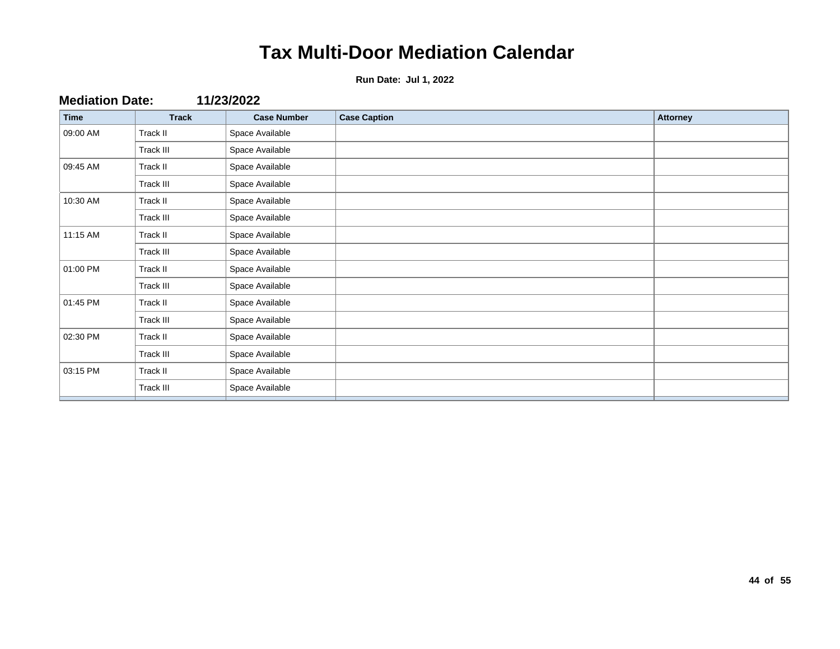| <b>Time</b> | <b>Track</b> | <b>Case Number</b> | <b>Case Caption</b> | <b>Attorney</b> |
|-------------|--------------|--------------------|---------------------|-----------------|
| 09:00 AM    | Track II     | Space Available    |                     |                 |
|             | Track III    | Space Available    |                     |                 |
| 09:45 AM    | Track II     | Space Available    |                     |                 |
|             | Track III    | Space Available    |                     |                 |
| 10:30 AM    | Track II     | Space Available    |                     |                 |
|             | Track III    | Space Available    |                     |                 |
| 11:15 AM    | Track II     | Space Available    |                     |                 |
|             | Track III    | Space Available    |                     |                 |
| 01:00 PM    | Track II     | Space Available    |                     |                 |
|             | Track III    | Space Available    |                     |                 |
| 01:45 PM    | Track II     | Space Available    |                     |                 |
|             | Track III    | Space Available    |                     |                 |
| 02:30 PM    | Track II     | Space Available    |                     |                 |
|             | Track III    | Space Available    |                     |                 |
| 03:15 PM    | Track II     | Space Available    |                     |                 |
|             | Track III    | Space Available    |                     |                 |
|             |              |                    |                     |                 |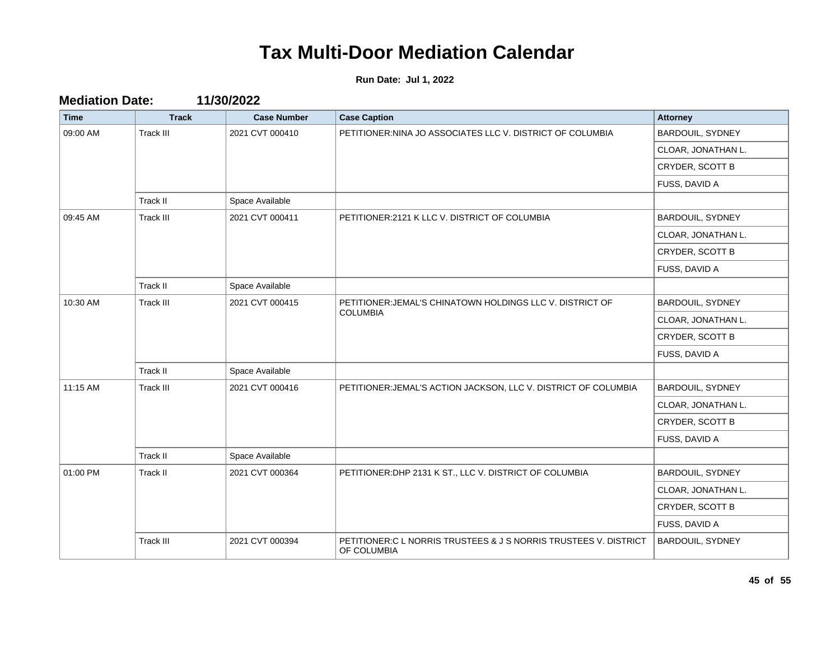| <b>Time</b> | <b>Track</b>     | <b>Case Number</b> | <b>Case Caption</b>                                                              | <b>Attorney</b>         |
|-------------|------------------|--------------------|----------------------------------------------------------------------------------|-------------------------|
| 09:00 AM    | <b>Track III</b> | 2021 CVT 000410    | PETITIONER: NINA JO ASSOCIATES LLC V. DISTRICT OF COLUMBIA                       | BARDOUIL, SYDNEY        |
|             |                  |                    |                                                                                  | CLOAR, JONATHAN L.      |
|             |                  |                    |                                                                                  | CRYDER, SCOTT B         |
|             |                  |                    |                                                                                  | FUSS, DAVID A           |
|             | Track II         | Space Available    |                                                                                  |                         |
| 09:45 AM    | <b>Track III</b> | 2021 CVT 000411    | PETITIONER: 2121 K LLC V. DISTRICT OF COLUMBIA                                   | BARDOUIL, SYDNEY        |
|             |                  |                    |                                                                                  | CLOAR, JONATHAN L.      |
|             |                  |                    |                                                                                  | CRYDER, SCOTT B         |
|             |                  |                    |                                                                                  | FUSS, DAVID A           |
|             | Track II         | Space Available    |                                                                                  |                         |
| 10:30 AM    | <b>Track III</b> | 2021 CVT 000415    | PETITIONER: JEMAL'S CHINATOWN HOLDINGS LLC V. DISTRICT OF<br><b>COLUMBIA</b>     | BARDOUIL, SYDNEY        |
|             |                  |                    |                                                                                  | CLOAR, JONATHAN L.      |
|             |                  |                    |                                                                                  | CRYDER, SCOTT B         |
|             |                  |                    |                                                                                  | FUSS, DAVID A           |
|             | Track II         | Space Available    |                                                                                  |                         |
| 11:15 AM    | <b>Track III</b> | 2021 CVT 000416    | PETITIONER: JEMAL'S ACTION JACKSON, LLC V. DISTRICT OF COLUMBIA                  | BARDOUIL, SYDNEY        |
|             |                  |                    |                                                                                  | CLOAR, JONATHAN L.      |
|             |                  |                    |                                                                                  | CRYDER, SCOTT B         |
|             |                  |                    |                                                                                  | FUSS, DAVID A           |
|             | Track II         | Space Available    |                                                                                  |                         |
| 01:00 PM    | Track II         | 2021 CVT 000364    | PETITIONER: DHP 2131 K ST., LLC V. DISTRICT OF COLUMBIA                          | <b>BARDOUIL, SYDNEY</b> |
|             |                  |                    |                                                                                  | CLOAR, JONATHAN L.      |
|             |                  |                    |                                                                                  | CRYDER, SCOTT B         |
|             |                  |                    |                                                                                  | FUSS, DAVID A           |
|             | <b>Track III</b> | 2021 CVT 000394    | PETITIONER: C L NORRIS TRUSTEES & J S NORRIS TRUSTEES V. DISTRICT<br>OF COLUMBIA | BARDOUIL, SYDNEY        |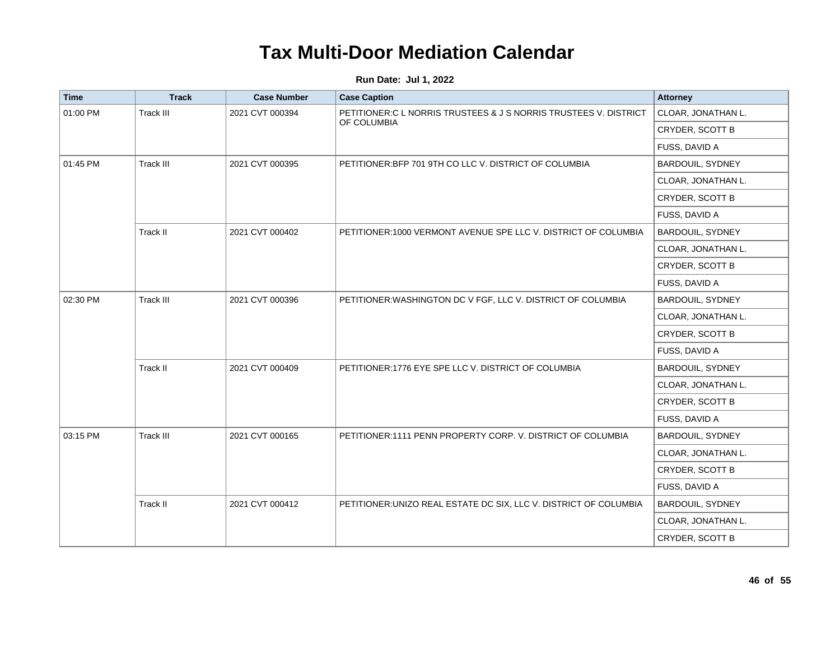| <b>Time</b> | <b>Track</b> | <b>Case Number</b> | <b>Case Caption</b>                                               | <b>Attorney</b>    |
|-------------|--------------|--------------------|-------------------------------------------------------------------|--------------------|
| 01:00 PM    | Track III    | 2021 CVT 000394    | PETITIONER: C L NORRIS TRUSTEES & J S NORRIS TRUSTEES V. DISTRICT | CLOAR, JONATHAN L. |
|             |              |                    | OF COLUMBIA                                                       | CRYDER, SCOTT B    |
|             |              |                    |                                                                   | FUSS, DAVID A      |
| 01:45 PM    | Track III    | 2021 CVT 000395    | PETITIONER: BFP 701 9TH CO LLC V. DISTRICT OF COLUMBIA            | BARDOUIL, SYDNEY   |
|             |              |                    |                                                                   | CLOAR, JONATHAN L. |
|             |              |                    |                                                                   | CRYDER, SCOTT B    |
|             |              |                    |                                                                   | FUSS, DAVID A      |
|             | Track II     | 2021 CVT 000402    | PETITIONER:1000 VERMONT AVENUE SPE LLC V. DISTRICT OF COLUMBIA    | BARDOUIL, SYDNEY   |
|             |              |                    |                                                                   | CLOAR, JONATHAN L. |
|             |              |                    |                                                                   | CRYDER, SCOTT B    |
|             |              |                    |                                                                   | FUSS, DAVID A      |
| 02:30 PM    | Track III    | 2021 CVT 000396    | PETITIONER: WASHINGTON DC V FGF, LLC V. DISTRICT OF COLUMBIA      | BARDOUIL, SYDNEY   |
|             |              |                    |                                                                   | CLOAR, JONATHAN L. |
|             |              |                    |                                                                   | CRYDER, SCOTT B    |
|             |              |                    |                                                                   | FUSS, DAVID A      |
|             | Track II     | 2021 CVT 000409    | PETITIONER: 1776 EYE SPE LLC V. DISTRICT OF COLUMBIA              | BARDOUIL, SYDNEY   |
|             |              |                    |                                                                   | CLOAR, JONATHAN L. |
|             |              |                    |                                                                   | CRYDER, SCOTT B    |
|             |              |                    |                                                                   | FUSS, DAVID A      |
| 03:15 PM    | Track III    | 2021 CVT 000165    | PETITIONER:1111 PENN PROPERTY CORP. V. DISTRICT OF COLUMBIA       | BARDOUIL, SYDNEY   |
|             |              |                    |                                                                   | CLOAR, JONATHAN L. |
|             |              |                    |                                                                   | CRYDER, SCOTT B    |
|             |              |                    |                                                                   | FUSS, DAVID A      |
|             | Track II     | 2021 CVT 000412    | PETITIONER: UNIZO REAL ESTATE DC SIX, LLC V. DISTRICT OF COLUMBIA | BARDOUIL, SYDNEY   |
|             |              |                    |                                                                   | CLOAR, JONATHAN L. |
|             |              |                    |                                                                   | CRYDER, SCOTT B    |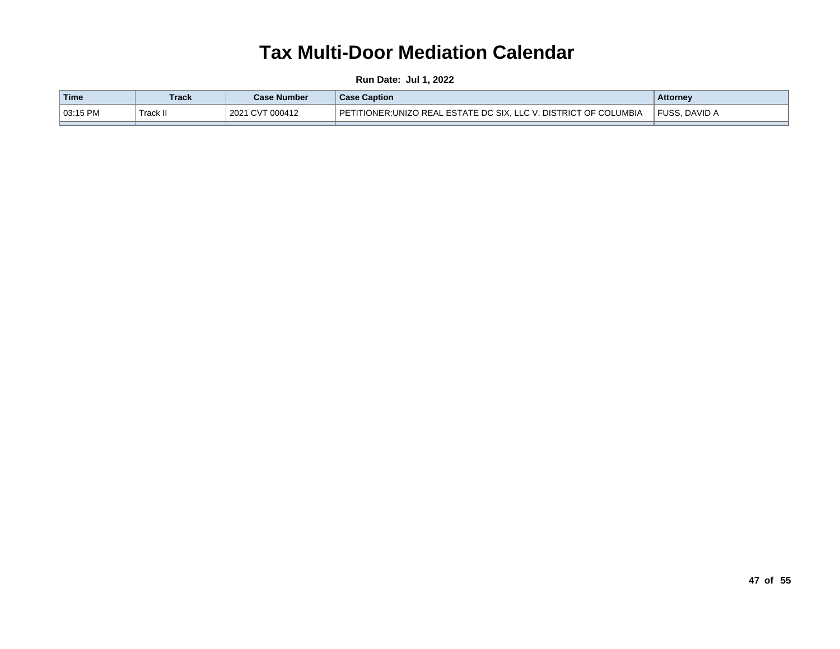| Time                | <b>Track</b> | <b>Case Number</b>                     | <b>Case Caption</b>                                                                                     | <b>Attorney</b>   |
|---------------------|--------------|----------------------------------------|---------------------------------------------------------------------------------------------------------|-------------------|
| $^{\circ}$ 03:15 PM | ⊺Track ı.    | $\bigcap \{T\}$<br>Г 000412<br>2021 CV | '. DISTRICT OF COLUMBIA<br>IONER:UNIZO REAL ESTATE DC SIX.<br>$\sqrt{2}$<br>$\blacksquare$ DET<br>LLG V | ≀ FUSS<br>DAVID A |
|                     |              |                                        |                                                                                                         |                   |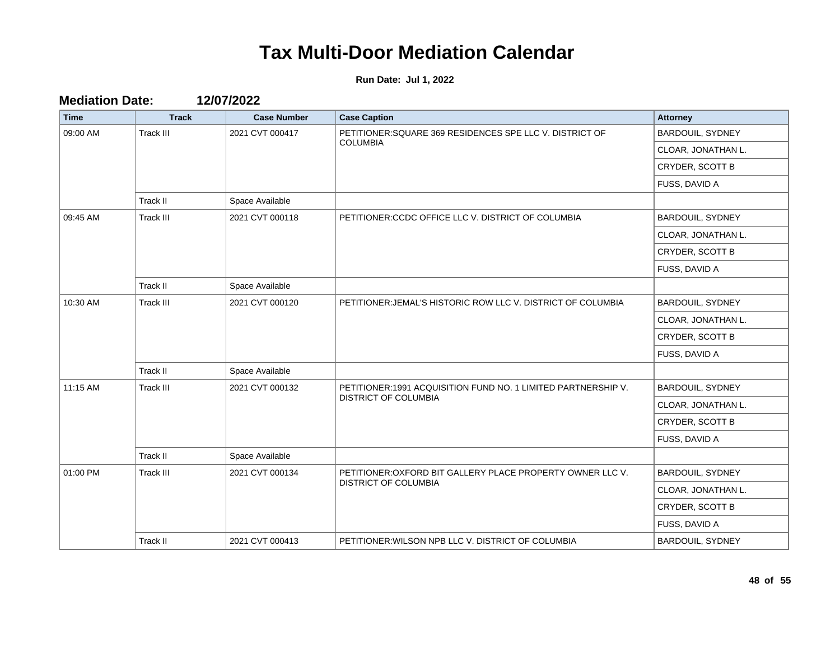| <b>Time</b> | <b>Track</b>     | <b>Case Number</b> | <b>Case Caption</b>                                                                | <b>Attorney</b>         |
|-------------|------------------|--------------------|------------------------------------------------------------------------------------|-------------------------|
| 09:00 AM    | <b>Track III</b> | 2021 CVT 000417    | PETITIONER: SQUARE 369 RESIDENCES SPE LLC V. DISTRICT OF<br><b>COLUMBIA</b>        | BARDOUIL, SYDNEY        |
|             |                  |                    |                                                                                    | CLOAR, JONATHAN L.      |
|             |                  |                    |                                                                                    | <b>CRYDER, SCOTT B</b>  |
|             |                  |                    |                                                                                    | FUSS, DAVID A           |
|             | Track II         | Space Available    |                                                                                    |                         |
| 09:45 AM    | <b>Track III</b> | 2021 CVT 000118    | PETITIONER: CCDC OFFICE LLC V. DISTRICT OF COLUMBIA                                | BARDOUIL, SYDNEY        |
|             |                  |                    |                                                                                    | CLOAR, JONATHAN L.      |
|             |                  |                    |                                                                                    | CRYDER, SCOTT B         |
|             |                  |                    |                                                                                    | FUSS, DAVID A           |
|             | Track II         | Space Available    |                                                                                    |                         |
| 10:30 AM    | <b>Track III</b> | 2021 CVT 000120    | PETITIONER: JEMAL'S HISTORIC ROW LLC V. DISTRICT OF COLUMBIA                       | BARDOUIL, SYDNEY        |
|             |                  |                    |                                                                                    | CLOAR, JONATHAN L.      |
|             |                  |                    |                                                                                    | <b>CRYDER, SCOTT B</b>  |
|             |                  |                    |                                                                                    | FUSS, DAVID A           |
|             | Track II         | Space Available    |                                                                                    |                         |
| 11:15 AM    | <b>Track III</b> | 2021 CVT 000132    | PETITIONER:1991 ACQUISITION FUND NO. 1 LIMITED PARTNERSHIP V.                      | BARDOUIL, SYDNEY        |
|             |                  |                    | <b>DISTRICT OF COLUMBIA</b>                                                        | CLOAR, JONATHAN L.      |
|             |                  |                    |                                                                                    | <b>CRYDER, SCOTT B</b>  |
|             |                  |                    |                                                                                    | FUSS, DAVID A           |
|             | Track II         | Space Available    |                                                                                    |                         |
| 01:00 PM    | <b>Track III</b> | 2021 CVT 000134    | PETITIONER: OXFORD BIT GALLERY PLACE PROPERTY OWNER LLC V.<br>DISTRICT OF COLUMBIA | BARDOUIL, SYDNEY        |
|             |                  |                    |                                                                                    | CLOAR, JONATHAN L.      |
|             |                  |                    |                                                                                    | <b>CRYDER, SCOTT B</b>  |
|             |                  |                    |                                                                                    | FUSS, DAVID A           |
|             | Track II         | 2021 CVT 000413    | PETITIONER: WILSON NPB LLC V. DISTRICT OF COLUMBIA                                 | <b>BARDOUIL, SYDNEY</b> |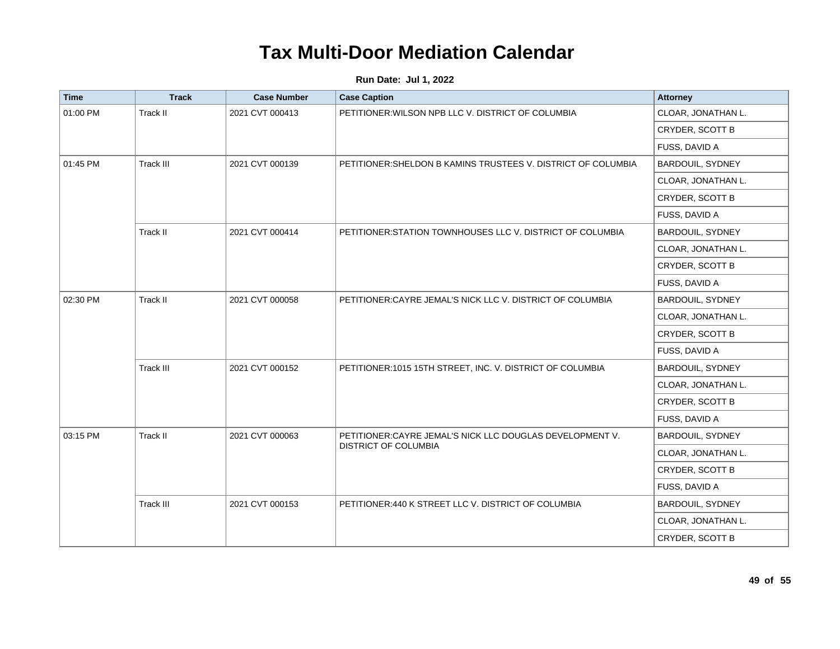| <b>Time</b> | <b>Track</b> | <b>Case Number</b> | <b>Case Caption</b>                                           | <b>Attorney</b>    |
|-------------|--------------|--------------------|---------------------------------------------------------------|--------------------|
| 01:00 PM    | Track II     | 2021 CVT 000413    | PETITIONER: WILSON NPB LLC V. DISTRICT OF COLUMBIA            | CLOAR, JONATHAN L. |
|             |              |                    |                                                               | CRYDER, SCOTT B    |
|             |              |                    |                                                               | FUSS, DAVID A      |
| 01:45 PM    | Track III    | 2021 CVT 000139    | PETITIONER: SHELDON B KAMINS TRUSTEES V. DISTRICT OF COLUMBIA | BARDOUIL, SYDNEY   |
|             |              |                    |                                                               | CLOAR, JONATHAN L. |
|             |              |                    |                                                               | CRYDER, SCOTT B    |
|             |              |                    |                                                               | FUSS, DAVID A      |
|             | Track II     | 2021 CVT 000414    | PETITIONER: STATION TOWNHOUSES LLC V. DISTRICT OF COLUMBIA    | BARDOUIL, SYDNEY   |
|             |              |                    |                                                               | CLOAR, JONATHAN L. |
|             |              |                    |                                                               | CRYDER, SCOTT B    |
|             |              |                    |                                                               | FUSS, DAVID A      |
| 02:30 PM    | Track II     | 2021 CVT 000058    | PETITIONER: CAYRE JEMAL'S NICK LLC V. DISTRICT OF COLUMBIA    | BARDOUIL, SYDNEY   |
|             |              |                    |                                                               | CLOAR, JONATHAN L. |
|             |              |                    |                                                               | CRYDER, SCOTT B    |
|             |              |                    |                                                               | FUSS, DAVID A      |
|             | Track III    | 2021 CVT 000152    | PETITIONER:1015 15TH STREET, INC. V. DISTRICT OF COLUMBIA     | BARDOUIL, SYDNEY   |
|             |              |                    |                                                               | CLOAR, JONATHAN L. |
|             |              |                    |                                                               | CRYDER, SCOTT B    |
|             |              |                    |                                                               | FUSS, DAVID A      |
| 03:15 PM    | Track II     | 2021 CVT 000063    | PETITIONER: CAYRE JEMAL'S NICK LLC DOUGLAS DEVELOPMENT V.     | BARDOUIL, SYDNEY   |
|             |              |                    | <b>DISTRICT OF COLUMBIA</b>                                   | CLOAR, JONATHAN L. |
|             |              |                    |                                                               | CRYDER, SCOTT B    |
|             |              |                    |                                                               | FUSS, DAVID A      |
|             | Track III    | 2021 CVT 000153    | PETITIONER: 440 K STREET LLC V. DISTRICT OF COLUMBIA          | BARDOUIL, SYDNEY   |
|             |              |                    |                                                               | CLOAR, JONATHAN L. |
|             |              |                    |                                                               | CRYDER, SCOTT B    |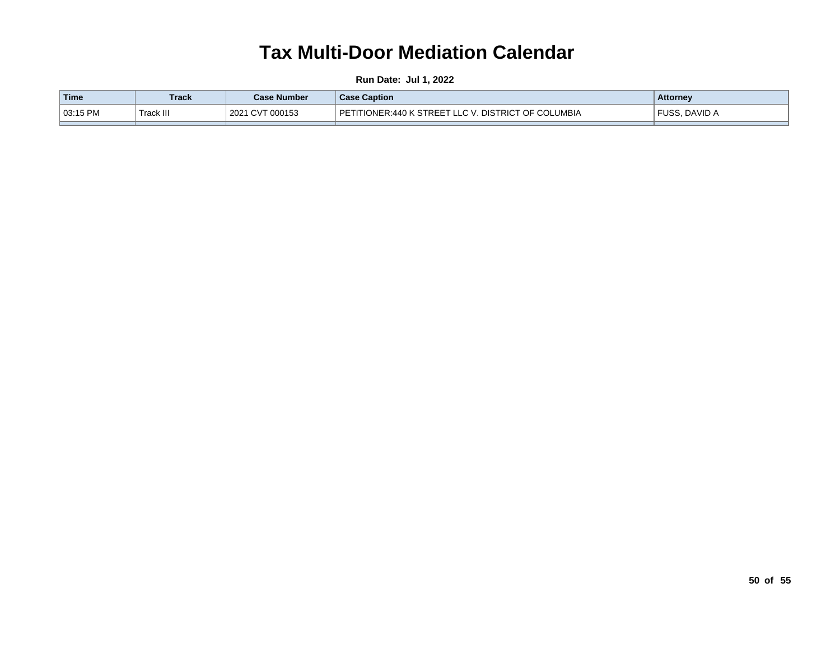| Time       | <b>Track</b> | <b>Case Number</b>    | <b>Case Caption</b>                                                         | <b>Attorney</b>        |
|------------|--------------|-----------------------|-----------------------------------------------------------------------------|------------------------|
| ' 03:15 PM | ∵Track Iı.   | CVT<br>000153<br>2021 | ົີ ∩F COLUMBIA<br>K STREET<br><b>DET</b><br>DISTRICT<br>TIONER:4<br>. 440 K | DAVID A<br><b>FUSS</b> |
|            |              |                       |                                                                             |                        |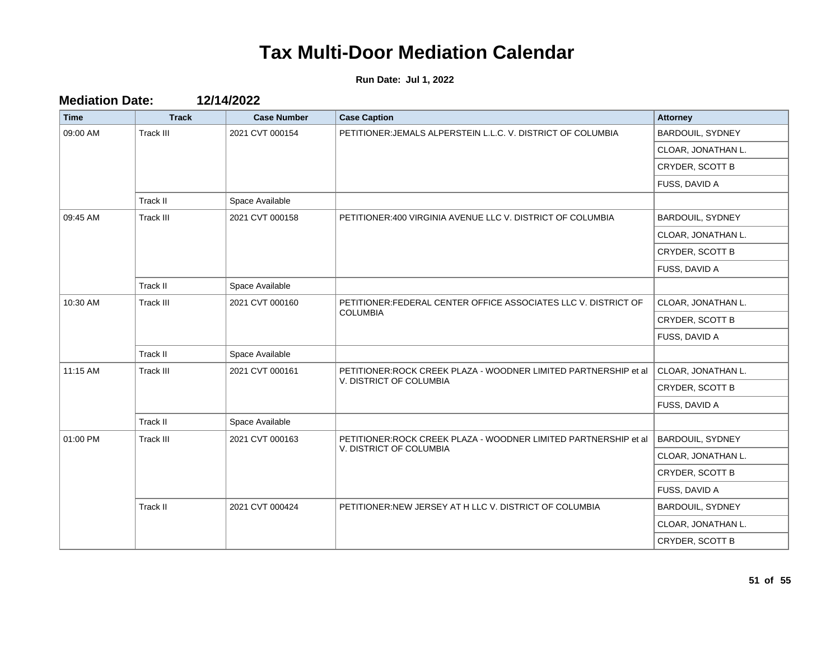| <b>Time</b> | <b>Track</b> | <b>Case Number</b> | <b>Case Caption</b>                                                                          | <b>Attorney</b>         |
|-------------|--------------|--------------------|----------------------------------------------------------------------------------------------|-------------------------|
| 09:00 AM    | Track III    | 2021 CVT 000154    | PETITIONER: JEMALS ALPERSTEIN L.L.C. V. DISTRICT OF COLUMBIA                                 | <b>BARDOUIL, SYDNEY</b> |
|             |              |                    |                                                                                              | CLOAR, JONATHAN L.      |
|             |              |                    |                                                                                              | CRYDER, SCOTT B         |
|             |              |                    |                                                                                              | FUSS, DAVID A           |
|             | Track II     | Space Available    |                                                                                              |                         |
| 09:45 AM    | Track III    | 2021 CVT 000158    | PETITIONER: 400 VIRGINIA AVENUE LLC V. DISTRICT OF COLUMBIA                                  | BARDOUIL, SYDNEY        |
|             |              |                    |                                                                                              | CLOAR, JONATHAN L.      |
|             |              |                    |                                                                                              | <b>CRYDER, SCOTT B</b>  |
|             |              |                    |                                                                                              | FUSS, DAVID A           |
|             | Track II     | Space Available    |                                                                                              |                         |
| 10:30 AM    | Track III    | 2021 CVT 000160    | PETITIONER: FEDERAL CENTER OFFICE ASSOCIATES LLC V. DISTRICT OF<br><b>COLUMBIA</b>           | CLOAR, JONATHAN L.      |
|             |              |                    |                                                                                              | CRYDER, SCOTT B         |
|             |              |                    |                                                                                              | FUSS, DAVID A           |
|             | Track II     | Space Available    |                                                                                              |                         |
| 11:15 AM    | Track III    | 2021 CVT 000161    | PETITIONER: ROCK CREEK PLAZA - WOODNER LIMITED PARTNERSHIP et al.<br>V. DISTRICT OF COLUMBIA | CLOAR, JONATHAN L.      |
|             |              |                    |                                                                                              | CRYDER, SCOTT B         |
|             |              |                    |                                                                                              | FUSS, DAVID A           |
|             | Track II     | Space Available    |                                                                                              |                         |
| 01:00 PM    | Track III    | 2021 CVT 000163    | PETITIONER: ROCK CREEK PLAZA - WOODNER LIMITED PARTNERSHIP et al.<br>V. DISTRICT OF COLUMBIA | <b>BARDOUIL, SYDNEY</b> |
|             |              |                    |                                                                                              | CLOAR, JONATHAN L.      |
|             |              |                    |                                                                                              | <b>CRYDER, SCOTT B</b>  |
|             |              |                    |                                                                                              | FUSS, DAVID A           |
|             | Track II     | 2021 CVT 000424    | PETITIONER: NEW JERSEY AT HILLC V. DISTRICT OF COLUMBIA                                      | BARDOUIL, SYDNEY        |
|             |              |                    |                                                                                              | CLOAR, JONATHAN L.      |
|             |              |                    |                                                                                              | CRYDER, SCOTT B         |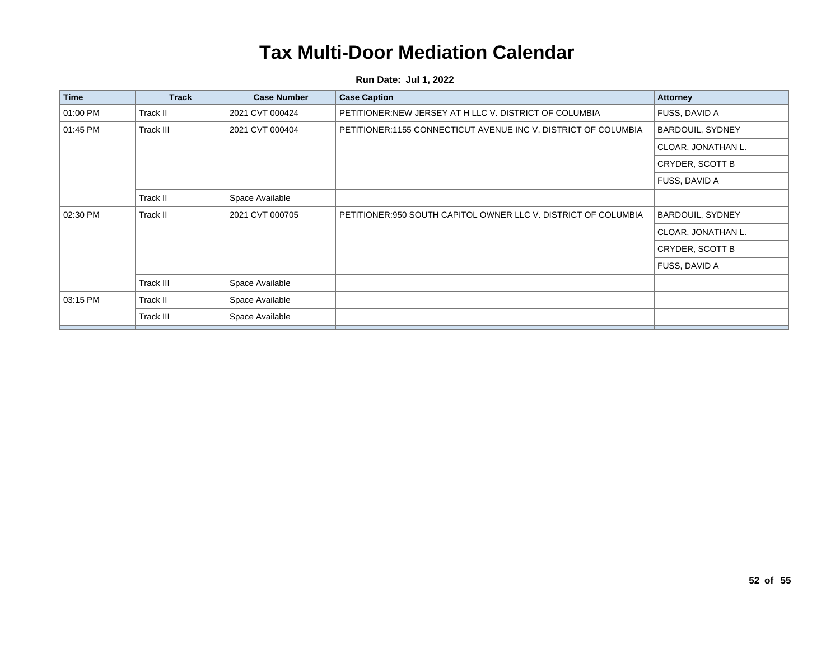| <b>Time</b> | <b>Track</b>    | <b>Case Number</b> | <b>Case Caption</b>                                            | <b>Attorney</b>         |
|-------------|-----------------|--------------------|----------------------------------------------------------------|-------------------------|
| 01:00 PM    | Track II        | 2021 CVT 000424    | PETITIONER: NEW JERSEY AT HILLC V. DISTRICT OF COLUMBIA        | FUSS, DAVID A           |
| 01:45 PM    | Track III       | 2021 CVT 000404    | PETITIONER:1155 CONNECTICUT AVENUE INC V. DISTRICT OF COLUMBIA | <b>BARDOUIL, SYDNEY</b> |
|             |                 |                    |                                                                | CLOAR, JONATHAN L.      |
|             |                 |                    |                                                                | CRYDER, SCOTT B         |
|             |                 |                    |                                                                | FUSS, DAVID A           |
|             | Track II        | Space Available    |                                                                |                         |
| 02:30 PM    | <b>Track II</b> | 2021 CVT 000705    | PETITIONER:950 SOUTH CAPITOL OWNER LLC V. DISTRICT OF COLUMBIA | BARDOUIL, SYDNEY        |
|             |                 |                    |                                                                | CLOAR, JONATHAN L.      |
|             |                 |                    |                                                                | CRYDER, SCOTT B         |
|             |                 |                    |                                                                | FUSS, DAVID A           |
|             | Track III       | Space Available    |                                                                |                         |
| 03:15 PM    | Track II        | Space Available    |                                                                |                         |
|             | Track III       | Space Available    |                                                                |                         |
|             |                 |                    |                                                                |                         |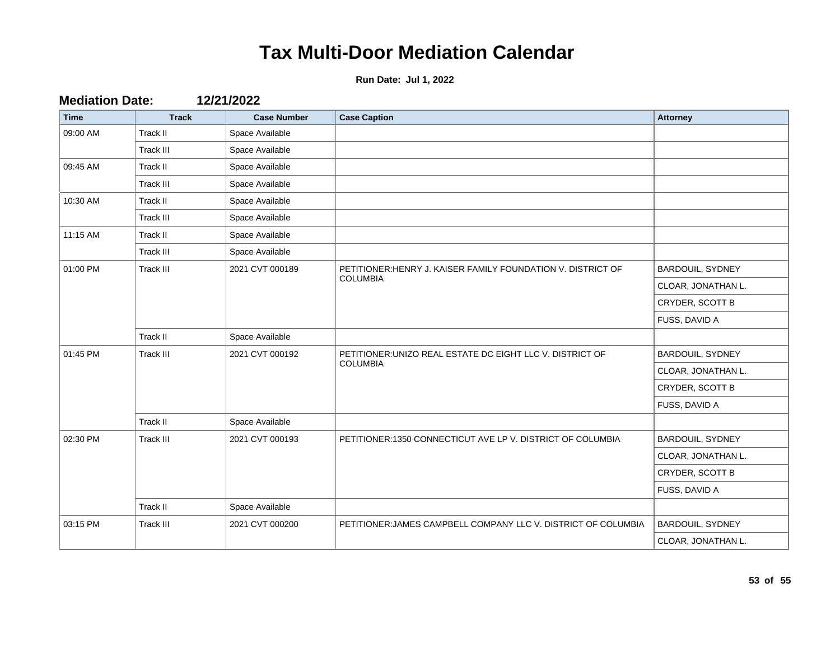| <b>Time</b> | <b>Track</b>     | <b>Case Number</b> | <b>Case Caption</b>                                                          | <b>Attorney</b>    |
|-------------|------------------|--------------------|------------------------------------------------------------------------------|--------------------|
| 09:00 AM    | Track II         | Space Available    |                                                                              |                    |
|             | Track III        | Space Available    |                                                                              |                    |
| 09:45 AM    | Track II         | Space Available    |                                                                              |                    |
|             | Track III        | Space Available    |                                                                              |                    |
| 10:30 AM    | Track II         | Space Available    |                                                                              |                    |
|             | Track III        | Space Available    |                                                                              |                    |
| 11:15 AM    | Track II         | Space Available    |                                                                              |                    |
|             | Track III        | Space Available    |                                                                              |                    |
| 01:00 PM    | Track III        | 2021 CVT 000189    | PETITIONER: HENRY J. KAISER FAMILY FOUNDATION V. DISTRICT OF                 | BARDOUIL, SYDNEY   |
|             |                  |                    | <b>COLUMBIA</b>                                                              | CLOAR, JONATHAN L. |
|             |                  |                    |                                                                              | CRYDER, SCOTT B    |
|             |                  |                    |                                                                              | FUSS, DAVID A      |
|             | Track II         | Space Available    |                                                                              |                    |
| 01:45 PM    | <b>Track III</b> | 2021 CVT 000192    | PETITIONER: UNIZO REAL ESTATE DC EIGHT LLC V. DISTRICT OF<br><b>COLUMBIA</b> | BARDOUIL, SYDNEY   |
|             |                  |                    |                                                                              | CLOAR, JONATHAN L. |
|             |                  |                    |                                                                              | CRYDER, SCOTT B    |
|             |                  |                    |                                                                              | FUSS, DAVID A      |
|             | Track II         | Space Available    |                                                                              |                    |
| 02:30 PM    | Track III        | 2021 CVT 000193    | PETITIONER:1350 CONNECTICUT AVE LP V. DISTRICT OF COLUMBIA                   | BARDOUIL, SYDNEY   |
|             |                  |                    |                                                                              | CLOAR, JONATHAN L. |
|             |                  |                    |                                                                              | CRYDER, SCOTT B    |
|             |                  |                    |                                                                              | FUSS, DAVID A      |
|             | Track II         | Space Available    |                                                                              |                    |
| 03:15 PM    | <b>Track III</b> | 2021 CVT 000200    | PETITIONER: JAMES CAMPBELL COMPANY LLC V. DISTRICT OF COLUMBIA               | BARDOUIL, SYDNEY   |
|             |                  |                    |                                                                              | CLOAR, JONATHAN L. |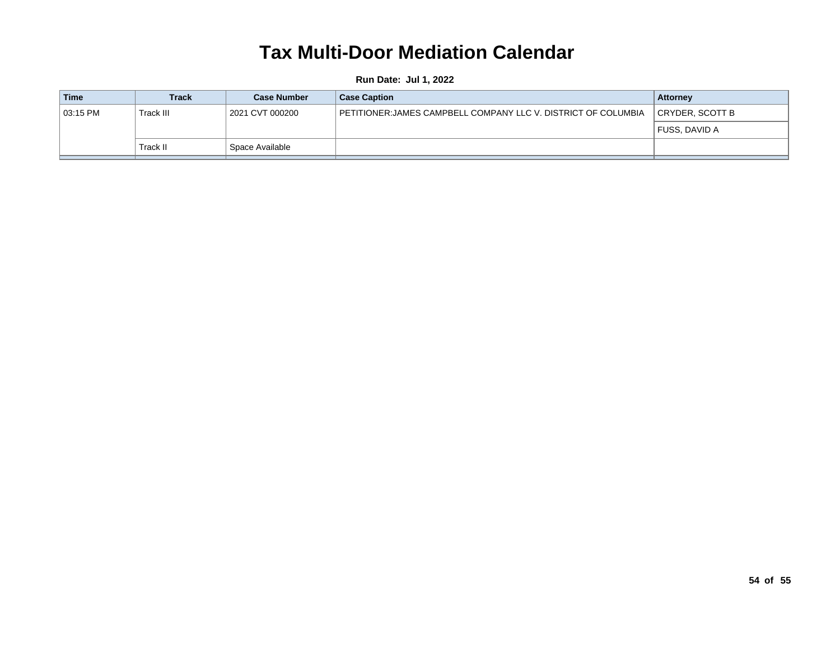| <b>Track</b> | <b>Case Number</b> | <b>Case Caption</b>                                           | <b>Attorney</b>      |
|--------------|--------------------|---------------------------------------------------------------|----------------------|
| Track III    | 2021 CVT 000200    | PETITIONER:JAMES CAMPBELL COMPANY LLC V. DISTRICT OF COLUMBIA | CRYDER. SCOTT B      |
|              |                    |                                                               | <b>FUSS, DAVID A</b> |
| Track II     | Space Available    |                                                               |                      |
|              |                    |                                                               |                      |